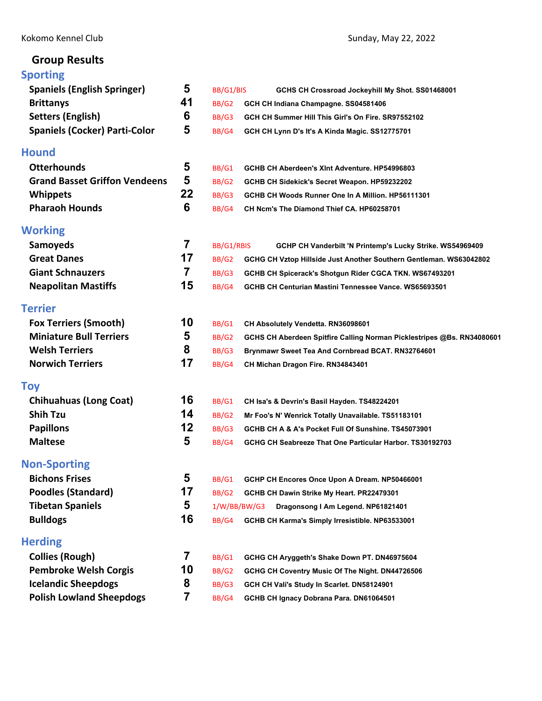# **Group Results**

## **[Sporting](#page-2-0)**

| 5              | BB/G1/BIS    | GCHS CH Crossroad Jockeyhill My Shot. SS01468001                       |
|----------------|--------------|------------------------------------------------------------------------|
| 41             | BB/G2        | GCH CH Indiana Champagne. SS04581406                                   |
| 6              | BB/G3        | GCH CH Summer Hill This Girl's On Fire. SR97552102                     |
| 5              | BB/G4        | GCH CH Lynn D's It's A Kinda Magic. SS12775701                         |
|                |              |                                                                        |
| 5              | BB/G1        | GCHB CH Aberdeen's XInt Adventure. HP54996803                          |
| 5              | BB/G2        | GCHB CH Sidekick's Secret Weapon. HP59232202                           |
| 22             | BB/G3        | GCHB CH Woods Runner One In A Million, HP56111301                      |
| 6              | BB/G4        | CH Ncm's The Diamond Thief CA. HP60258701                              |
|                |              |                                                                        |
| 7              | BB/G1/RBIS   | GCHP CH Vanderbilt 'N Printemp's Lucky Strike. WS54969409              |
| 17             | BB/G2        | GCHG CH Vztop Hillside Just Another Southern Gentleman. WS63042802     |
| $\overline{7}$ | BB/G3        | GCHB CH Spicerack's Shotgun Rider CGCA TKN. WS67493201                 |
| 15             | BB/G4        | GCHB CH Centurian Mastini Tennessee Vance. WS65693501                  |
|                |              |                                                                        |
| 10             | BB/G1        | CH Absolutely Vendetta. RN36098601                                     |
| 5              | BB/G2        | GCHS CH Aberdeen Spitfire Calling Norman Picklestripes @Bs. RN34080601 |
| 8              | BB/G3        | Brynmawr Sweet Tea And Cornbread BCAT. RN32764601                      |
| 17             | BB/G4        | CH Michan Dragon Fire. RN34843401                                      |
|                |              |                                                                        |
| 16             | BB/G1        | CH Isa's & Devrin's Basil Hayden. TS48224201                           |
| 14             | <b>BB/G2</b> | Mr Foo's N' Wenrick Totally Unavailable. TS51183101                    |
| 12             | BB/G3        | GCHB CH A & A's Pocket Full Of Sunshine, TS45073901                    |
| 5              | BB/G4        | GCHG CH Seabreeze That One Particular Harbor. TS30192703               |
|                |              |                                                                        |
| 5              | <b>BB/G1</b> | GCHP CH Encores Once Upon A Dream. NP50466001                          |
| 17             | BB/G2        | GCHB CH Dawin Strike My Heart. PR22479301                              |
| 5              | 1/W/BB/BW/G3 | Dragonsong I Am Legend. NP61821401                                     |
| 16             | BB/G4        | GCHB CH Karma's Simply Irresistible. NP63533001                        |
|                |              |                                                                        |
| 7              | BB/G1        | GCHG CH Aryggeth's Shake Down PT. DN46975604                           |
| 10             | BB/G2        | GCHG CH Coventry Music Of The Night. DN44726506                        |
| 8              | BB/G3        | GCH CH Vali's Study In Scarlet. DN58124901                             |
| 7              | BB/G4        | GCHB CH Ignacy Dobrana Para. DN61064501                                |
|                |              |                                                                        |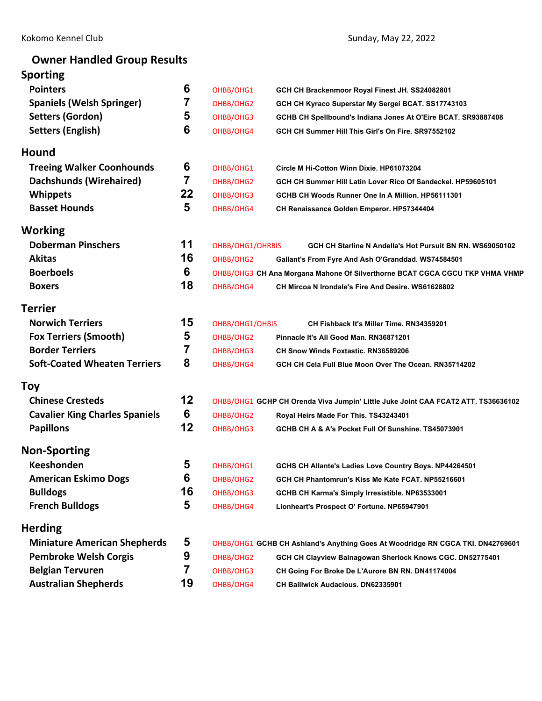# **Owner Handled Group Results**

| <b>Sporting</b>                       |                |                  |                                                                                   |  |
|---------------------------------------|----------------|------------------|-----------------------------------------------------------------------------------|--|
| <b>Pointers</b>                       | 6              | OHBB/OHG1        | GCH CH Brackenmoor Royal Finest JH. SS24082801                                    |  |
| <b>Spaniels (Welsh Springer)</b>      | 7              | OHBB/OHG2        | GCH CH Kyraco Superstar My Sergei BCAT. SS17743103                                |  |
| <b>Setters (Gordon)</b>               | 5              | OHBB/OHG3        | GCHB CH Spellbound's Indiana Jones At O'Eire BCAT. SR93887408                     |  |
| <b>Setters (English)</b>              | 6              | OHBB/OHG4        | GCH CH Summer Hill This Girl's On Fire, SR97552102                                |  |
| Hound                                 |                |                  |                                                                                   |  |
| <b>Treeing Walker Coonhounds</b>      | 6              | OHBB/OHG1        | Circle M Hi-Cotton Winn Dixie. HP61073204                                         |  |
| <b>Dachshunds (Wirehaired)</b>        | $\overline{7}$ | OHBB/OHG2        | GCH CH Summer Hill Latin Lover Rico Of Sandeckel. HP59605101                      |  |
| <b>Whippets</b>                       | 22             | OHBB/OHG3        | GCHB CH Woods Runner One In A Million. HP56111301                                 |  |
| <b>Basset Hounds</b>                  | 5              | OHBB/OHG4        | CH Renaissance Golden Emperor. HP57344404                                         |  |
| <b>Working</b>                        |                |                  |                                                                                   |  |
| <b>Doberman Pinschers</b>             | 11             | OHBB/OHG1/OHRBIS | GCH CH Starline N Andella's Hot Pursuit BN RN. WS69050102                         |  |
| <b>Akitas</b>                         | 16             | OHBB/OHG2        | Gallant's From Fyre And Ash O'Granddad. WS74584501                                |  |
| <b>Boerboels</b>                      | 6              |                  | OHBB/OHG3 CH Ana Morgana Mahone Of Silverthorne BCAT CGCA CGCU TKP VHMA VHMP      |  |
| <b>Boxers</b>                         | 18             | OHBB/OHG4        | CH Mircoa N Irondale's Fire And Desire. WS61628802                                |  |
| <b>Terrier</b>                        |                |                  |                                                                                   |  |
| <b>Norwich Terriers</b>               | 15             | OHBB/OHG1/OHBIS  | CH Fishback It's Miller Time, RN34359201                                          |  |
| <b>Fox Terriers (Smooth)</b>          | 5              | OHBB/OHG2        | Pinnacle It's All Good Man. RN36871201                                            |  |
| <b>Border Terriers</b>                | 7              | OHBB/OHG3        | CH Snow Winds Foxtastic. RN36589206                                               |  |
| <b>Soft-Coated Wheaten Terriers</b>   | 8              | OHBB/OHG4        | GCH CH Cela Full Blue Moon Over The Ocean, RN35714202                             |  |
| <b>Toy</b>                            |                |                  |                                                                                   |  |
| <b>Chinese Cresteds</b>               | 12             |                  | OHBB/OHG1 GCHP CH Orenda Viva Jumpin' Little Juke Joint CAA FCAT2 ATT. TS36636102 |  |
| <b>Cavalier King Charles Spaniels</b> | 6              | OHBB/OHG2        | Royal Heirs Made For This. TS43243401                                             |  |
| <b>Papillons</b>                      | 12             | OHBB/OHG3        | GCHB CH A & A's Pocket Full Of Sunshine. TS45073901                               |  |
| <b>Non-Sporting</b>                   |                |                  |                                                                                   |  |
| <b>Keeshonden</b>                     | 5              | OHBB/OHG1        | GCHS CH Allante's Ladies Love Country Boys. NP44264501                            |  |
| <b>American Eskimo Dogs</b>           | 6              | OHBB/OHG2        | GCH CH Phantomrun's Kiss Me Kate FCAT. NP55216601                                 |  |
| <b>Bulldogs</b>                       | 16             | OHBB/OHG3        | GCHB CH Karma's Simply Irresistible. NP63533001                                   |  |
| <b>French Bulldogs</b>                | 5              | OHBB/OHG4        | Lionheart's Prospect O' Fortune. NP65947901                                       |  |
| <b>Herding</b>                        |                |                  |                                                                                   |  |
| <b>Miniature American Shepherds</b>   | 5              |                  | OHBB/OHG1 GCHB CH Ashland's Anything Goes At Woodridge RN CGCA TKI. DN42769601    |  |
| <b>Pembroke Welsh Corgis</b>          | 9              | OHBB/OHG2        | GCH CH Clayview Balnagowan Sherlock Knows CGC. DN52775401                         |  |
| <b>Belgian Tervuren</b>               | 7              | OHBB/OHG3        | CH Going For Broke De L'Aurore BN RN. DN41174004                                  |  |
| <b>Australian Shepherds</b>           | 19             | OHBB/OHG4        | <b>CH Bailiwick Audacious. DN62335901</b>                                         |  |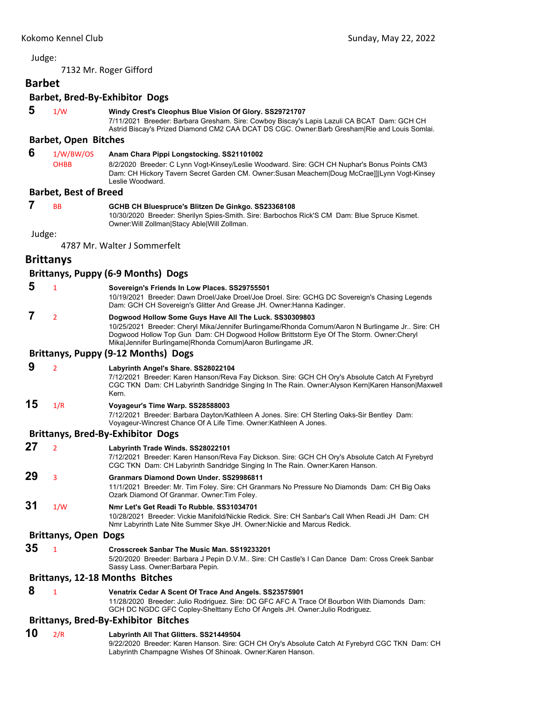<span id="page-2-0"></span>7132 Mr. Roger Gifford

# **Barbet**

## **Barbet, Bred‐By‐Exhibitor Dogs**

#### **5** 1/W **Windy Crest's Cleophus Blue Vision Of Glory. SS29721707**

7/11/2021 Breeder: Barbara Gresham. Sire: Cowboy Biscay's Lapis Lazuli CA BCAT Dam: GCH CH Astrid Biscay's Prized Diamond CM2 CAA DCAT DS CGC. Owner:Barb Gresham|Rie and Louis Somlai.

## **Barbet, Open Bitches**

## **6** 1/W/BW/OS **Anam Chara Pippi Longstocking. SS21101002**

OHBB 8/2/2020 Breeder: C Lynn Vogt-Kinsey/Leslie Woodward. Sire: GCH CH Nuphar's Bonus Points CM3 Dam: CH Hickory Tavern Secret Garden CM. Owner:Susan Meachem|Doug McCrae]]|Lynn Vogt-Kinsey Leslie Woodward.

#### **Barbet, Best of Breed**

## **7** BB **GCHB CH Bluespruce's Blitzen De Ginkgo. SS23368108**

10/30/2020 Breeder: Sherilyn Spies-Smith. Sire: Barbochos Rick'S CM Dam: Blue Spruce Kismet. Owner:Will Zollman|Stacy Able|Will Zollman.

Judge:

4787 Mr. Walter J Sommerfelt

## **Brittanys**

## **Brittanys, Puppy (6‐9 Months) Dogs**

| 5  | 1                   | Sovereign's Friends In Low Places. SS29755501<br>10/19/2021 Breeder: Dawn Droel/Jake Droel/Joe Droel. Sire: GCHG DC Sovereign's Chasing Legends<br>Dam: GCH CH Sovereign's Glitter And Grease JH. Owner: Hanna Kadinger.                                                                                             |
|----|---------------------|----------------------------------------------------------------------------------------------------------------------------------------------------------------------------------------------------------------------------------------------------------------------------------------------------------------------|
|    | $\overline{2}$      | Dogwood Hollow Some Guys Have All The Luck. SS30309803<br>10/25/2021 Breeder: Cheryl Mika/Jennifer Burlingame/Rhonda Cornum/Aaron N Burlingame Jr Sire: CH<br>Dogwood Hollow Top Gun Dam: CH Dogwood Hollow Brittstorm Eye Of The Storm. Owner:Cheryl<br>Mika Jennifer Burlingame Rhonda Cornum Aaron Burlingame JR. |
|    |                     | Brittanys, Puppy (9-12 Months) Dogs                                                                                                                                                                                                                                                                                  |
| 9  | $\overline{2}$      | Labyrinth Angel's Share. SS28022104<br>7/12/2021 Breeder: Karen Hanson/Reva Fay Dickson. Sire: GCH CH Ory's Absolute Catch At Fyrebyrd<br>CGC TKN Dam: CH Labyrinth Sandridge Singing In The Rain. Owner: Alyson Kern Karen Hanson Maxwell<br>Kern.                                                                  |
| 15 | 1/R                 | Voyageur's Time Warp. SS28588003<br>7/12/2021 Breeder: Barbara Dayton/Kathleen A Jones. Sire: CH Sterling Oaks-Sir Bentley Dam:<br>Voyageur-Wincrest Chance Of A Life Time. Owner: Kathleen A Jones.                                                                                                                 |
|    |                     | <b>Brittanys, Bred-By-Exhibitor Dogs</b>                                                                                                                                                                                                                                                                             |
| 27 | $\overline{2}$      | Labyrinth Trade Winds. SS28022101<br>7/12/2021 Breeder: Karen Hanson/Reva Fay Dickson. Sire: GCH CH Ory's Absolute Catch At Fyrebyrd<br>CGC TKN Dam: CH Labyrinth Sandridge Singing In The Rain. Owner:Karen Hanson.                                                                                                 |
| 29 | 3                   | Granmars Diamond Down Under, SS29986811<br>11/1/2021 Breeder: Mr. Tim Foley. Sire: CH Granmars No Pressure No Diamonds Dam: CH Big Oaks<br>Ozark Diamond Of Granmar. Owner: Tim Foley.                                                                                                                               |
| 31 | 1/W                 | Nmr Let's Get Readi To Rubble, SS31034701<br>10/28/2021 Breeder: Vickie Manifold/Nickie Redick, Sire: CH Sanbar's Call When Readi JH Dam: CH<br>Nmr Labyrinth Late Nite Summer Skye JH. Owner: Nickie and Marcus Redick.                                                                                             |
|    | Rrittanue Anon Doge |                                                                                                                                                                                                                                                                                                                      |

#### **Brittanys, Open Dogs**

**35** <sup>1</sup> **Crosscreek Sanbar The Music Man. SS19233201** 5/20/2020 Breeder: Barbara J Pepin D.V.M.. Sire: CH Castle's I Can Dance Dam: Cross Creek Sanbar Sassy Lass. Owner:Barbara Pepin.

#### **Brittanys, 12‐18 Months Bitches**

## **8** <sup>1</sup> **Venatrix Cedar A Scent Of Trace And Angels. SS23575901**

11/28/2020 Breeder: Julio Rodriguez. Sire: DC GFC AFC A Trace Of Bourbon With Diamonds Dam: GCH DC NGDC GFC Copley-Shelttany Echo Of Angels JH. Owner:Julio Rodriguez.

## **Brittanys, Bred‐By‐Exhibitor Bitches**

**10** 2/R **Labyrinth All That Glitters. SS21449504** 9/22/2020 Breeder: Karen Hanson. Sire: GCH CH Ory's Absolute Catch At Fyrebyrd CGC TKN Dam: CH Labyrinth Champagne Wishes Of Shinoak. Owner:Karen Hanson.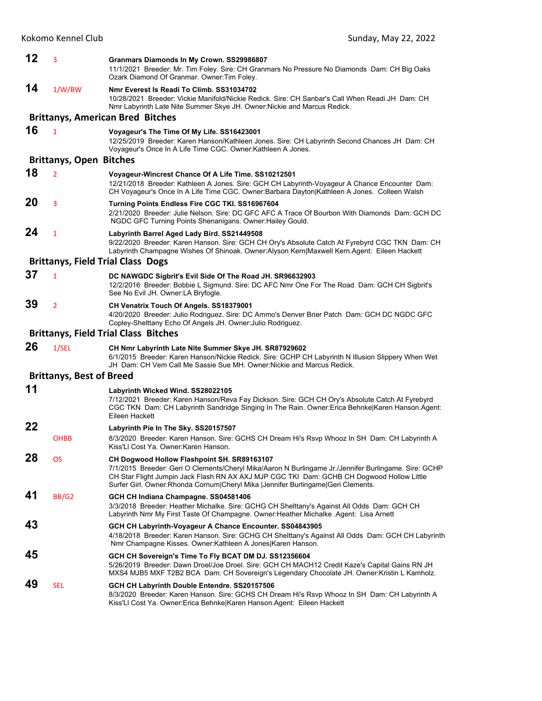| 12 | 3                               | Granmars Diamonds In My Crown. SS29986807<br>11/1/2021 Breeder: Mr. Tim Foley. Sire: CH Granmars No Pressure No Diamonds Dam: CH Big Oaks<br>Ozark Diamond Of Granmar. Owner: Tim Foley.                                                                                                                                                |
|----|---------------------------------|-----------------------------------------------------------------------------------------------------------------------------------------------------------------------------------------------------------------------------------------------------------------------------------------------------------------------------------------|
| 14 | 1/W/BW                          | Nmr Everest Is Readi To Climb. SS31034702<br>10/28/2021 Breeder: Vickie Manifold/Nickie Redick. Sire: CH Sanbar's Call When Readi JH Dam: CH<br>Nmr Labyrinth Late Nite Summer Skye JH. Owner: Nickie and Marcus Redick.                                                                                                                |
|    |                                 | <b>Brittanys, American Bred Bitches</b>                                                                                                                                                                                                                                                                                                 |
| 16 | $\mathbf{1}$                    | Voyageur's The Time Of My Life. SS16423001<br>12/25/2019 Breeder: Karen Hanson/Kathleen Jones. Sire: CH Labyrinth Second Chances JH Dam: CH<br>Voyageur's Once In A Life Time CGC. Owner: Kathleen A Jones.                                                                                                                             |
|    | <b>Brittanys, Open Bitches</b>  |                                                                                                                                                                                                                                                                                                                                         |
| 18 | $\overline{2}$                  | Voyageur-Wincrest Chance Of A Life Time. SS10212501<br>12/21/2018 Breeder: Kathleen A Jones. Sire: GCH CH Labyrinth-Voyageur A Chance Encounter Dam:<br>CH Voyageur's Once In A Life Time CGC. Owner:Barbara Dayton Kathleen A Jones. Colleen Walsh                                                                                     |
| 20 | 3                               | Turning Points Endless Fire CGC TKI. SS16967604<br>2/21/2020 Breeder: Julie Nelson. Sire: DC GFC AFC A Trace Of Bourbon With Diamonds Dam: GCH DC<br>NGDC GFC Turning Points Shenanigans. Owner: Hailey Gould.                                                                                                                          |
| 24 | $\mathbf{1}$                    | Labyrinth Barrel Aged Lady Bird. SS21449508<br>9/22/2020 Breeder: Karen Hanson. Sire: GCH CH Ory's Absolute Catch At Fyrebyrd CGC TKN Dam: CH<br>Labyrinth Champagne Wishes Of Shinoak. Owner:Alyson Kern Maxwell Kern.Agent: Eileen Hackett                                                                                            |
|    |                                 | <b>Brittanys, Field Trial Class Dogs</b>                                                                                                                                                                                                                                                                                                |
| 37 | $\mathbf{1}$                    | DC NAWGDC Sigbrit's Evil Side Of The Road JH. SR96632903<br>12/2/2016 Breeder: Bobbie L Sigmund. Sire: DC AFC Nmr One For The Road Dam: GCH CH Sigbrit's<br>See No Evil JH. Owner: LA Bryfogle.                                                                                                                                         |
| 39 | $\overline{2}$                  | CH Venatrix Touch Of Angels. SS18379001<br>4/20/2020 Breeder: Julio Rodriguez. Sire: DC Ammo's Denver Brier Patch Dam: GCH DC NGDC GFC<br>Copley-Shelttany Echo Of Angels JH. Owner: Julio Rodriguez.                                                                                                                                   |
|    |                                 | <b>Brittanys, Field Trial Class Bitches</b>                                                                                                                                                                                                                                                                                             |
| 26 | 1/SEL                           | CH Nmr Labyrinth Late Nite Summer Skye JH. SR87929602<br>6/1/2015 Breeder: Karen Hanson/Nickie Redick. Sire: GCHP CH Labyrinth N Illusion Slippery When Wet<br>JH Dam: CH Vem Call Me Sassie Sue MH. Owner: Nickie and Marcus Redick.                                                                                                   |
|    | <b>Brittanys, Best of Breed</b> |                                                                                                                                                                                                                                                                                                                                         |
| 11 |                                 | Labyrinth Wicked Wind. SS28022105<br>7/12/2021 Breeder: Karen Hanson/Reva Fay Dickson. Sire: GCH CH Ory's Absolute Catch At Fyrebyrd<br>CGC TKN Dam: CH Labyrinth Sandridge Singing In The Rain. Owner: Erica Behnke Karen Hanson. Agent:<br>Eileen Hackett                                                                             |
| 22 | <b>OHBB</b>                     | Labyrinth Pie In The Sky. SS20157507<br>8/3/2020 Breeder: Karen Hanson. Sire: GCHS CH Dream Hi's Rsvp Whooz In SH Dam: CH Labyrinth A<br>Kiss'Ll Cost Ya. Owner:Karen Hanson.                                                                                                                                                           |
| 28 | <b>OS</b>                       | CH Dogwood Hollow Flashpoint SH. SR89163107<br>7/1/2015 Breeder: Geri O Clements/Cheryl Mika/Aaron N Burlingame Jr./Jennifer Burlingame. Sire: GCHP<br>CH Star Flight Jumpin Jack Flash RN AX AXJ MJP CGC TKI Dam: GCHB CH Dogwood Hollow Little<br>Surfer Girl. Owner: Rhonda Cornum Cheryl Mika   Jennifer Burlingame  Geri Clements. |
| 41 | BB/G2                           | GCH CH Indiana Champagne. SS04581406<br>3/3/2018 Breeder: Heather Michalke. Sire: GCHG CH Shelttany's Against All Odds Dam: GCH CH<br>Labyrinth Nmr My First Taste Of Champagne. Owner: Heather Michalke . Agent: Lisa Arnett                                                                                                           |
| 43 |                                 | GCH CH Labyrinth-Voyageur A Chance Encounter. SS04843905<br>4/18/2018 Breeder: Karen Hanson. Sire: GCHG CH Shelttany's Against All Odds Dam: GCH CH Labyrinth<br>Nmr Champagne Kisses. Owner: Kathleen A Jones Karen Hanson.                                                                                                            |
| 45 |                                 | GCH CH Sovereign's Time To Fly BCAT DM DJ. SS12356604<br>5/26/2019 Breeder: Dawn Droel/Joe Droel. Sire: GCH CH MACH12 Credit Kaze's Capital Gains RN JH<br>MXS4 MJB5 MXF T2B2 BCA Dam: CH Sovereign's Legendary Chocolate JH. Owner:Kristin L Kamholz.                                                                                  |
| 49 | <b>SEL</b>                      | GCH CH Labyrinth Double Entendre. SS20157506<br>8/3/2020 Breeder: Karen Hanson. Sire: GCHS CH Dream Hi's Rsvp Whooz In SH Dam: CH Labyrinth A                                                                                                                                                                                           |

Kiss'Ll Cost Ya. Owner:Erica Behnke|Karen Hanson.Agent: Eileen Hackett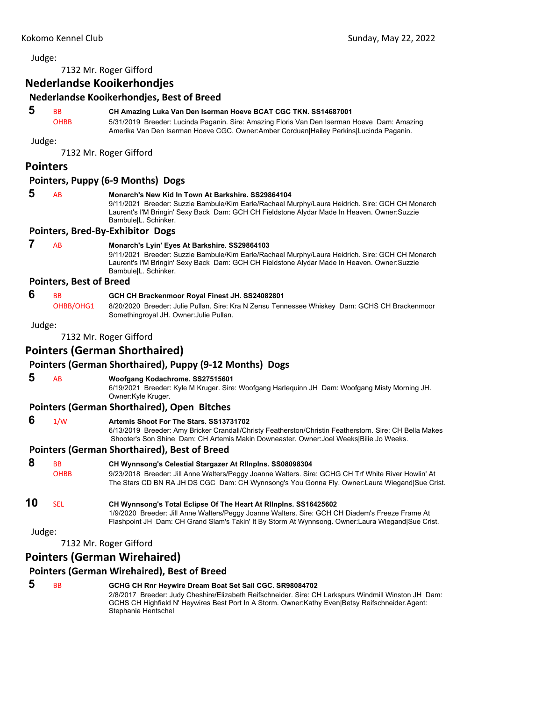7132 Mr. Roger Gifford

### **Nederlandse Kooikerhondjes**

### **Nederlandse Kooikerhondjes, Best of Breed**

## **5** BB **CH Amazing Luka Van Den Iserman Hoeve BCAT CGC TKN. SS14687001**

OHBB 5/31/2019 Breeder: Lucinda Paganin. Sire: Amazing Floris Van Den Iserman Hoeve Dam: Amazing Amerika Van Den Iserman Hoeve CGC. Owner:Amber Corduan|Hailey Perkins|Lucinda Paganin.

Judge:

7132 Mr. Roger Gifford

#### **Pointers**

#### **Pointers, Puppy (6‐9 Months) Dogs**

 **5** AB **Monarch's New Kid In Town At Barkshire. SS29864104**

9/11/2021 Breeder: Suzzie Bambule/Kim Earle/Rachael Murphy/Laura Heidrich. Sire: GCH CH Monarch Laurent's I'M Bringin' Sexy Back Dam: GCH CH Fieldstone Alydar Made In Heaven. Owner:Suzzie Bambule|L. Schinker.

#### **Pointers, Bred‐By‐Exhibitor Dogs**

## **7** AB **Monarch's Lyin' Eyes At Barkshire. SS29864103**

9/11/2021 Breeder: Suzzie Bambule/Kim Earle/Rachael Murphy/Laura Heidrich. Sire: GCH CH Monarch Laurent's I'M Bringin' Sexy Back Dam: GCH CH Fieldstone Alydar Made In Heaven. Owner:Suzzie Bambule|L. Schinker.

#### **Pointers, Best of Breed**

#### **6** BB **GCH CH Brackenmoor Royal Finest JH. SS24082801**

OHBB/OHG1 8/20/2020 Breeder: Julie Pullan. Sire: Kra N Zensu Tennessee Whiskey Dam: GCHS CH Brackenmoor Somethingroyal JH. Owner:Julie Pullan.

Judge:

7132 Mr. Roger Gifford

## **Pointers (German Shorthaired)**

### **Pointers (German Shorthaired), Puppy (9‐12 Months) Dogs**

 **5** AB **Woofgang Kodachrome. SS27515601**

6/19/2021 Breeder: Kyle M Kruger. Sire: Woofgang Harlequinn JH Dam: Woofgang Misty Morning JH. Owner:Kyle Kruger.

#### **Pointers (German Shorthaired), Open Bitches**

## **6** 1/W **Artemis Shoot For The Stars. SS13731702**

6/13/2019 Breeder: Amy Bricker Crandall/Christy Featherston/Christin Featherstorn. Sire: CH Bella Makes Shooter's Son Shine Dam: CH Artemis Makin Downeaster. Owner:Joel Weeks|Bilie Jo Weeks.

Flashpoint JH Dam: CH Grand Slam's Takin' It By Storm At Wynnsong. Owner:Laura Wiegand|Sue Crist.

#### **Pointers (German Shorthaired), Best of Breed**

 **8** BB **CH Wynnsong's Celestial Stargazer At Rllnplns. SS08098304** OHBB 9/23/2018 Breeder: Jill Anne Walters/Peggy Joanne Walters. Sire: GCHG CH Trf White River Howlin' At The Stars CD BN RA JH DS CGC Dam: CH Wynnsong's You Gonna Fly. Owner:Laura Wiegand|Sue Crist. **10** SEL **CH Wynnsong's Total Eclipse Of The Heart At Rllnplns. SS16425602** 1/9/2020 Breeder: Jill Anne Walters/Peggy Joanne Walters. Sire: GCH CH Diadem's Freeze Frame At

Judge:

7132 Mr. Roger Gifford

## **Pointers (German Wirehaired)**

## **Pointers (German Wirehaired), Best of Breed**

 **5** BB **GCHG CH Rnr Heywire Dream Boat Set Sail CGC. SR98084702** 2/8/2017 Breeder: Judy Cheshire/Elizabeth Reifschneider. Sire: CH Larkspurs Windmill Winston JH Dam: GCHS CH Highfield N' Heywires Best Port In A Storm. Owner:Kathy Even|Betsy Reifschneider.Agent: Stephanie Hentschel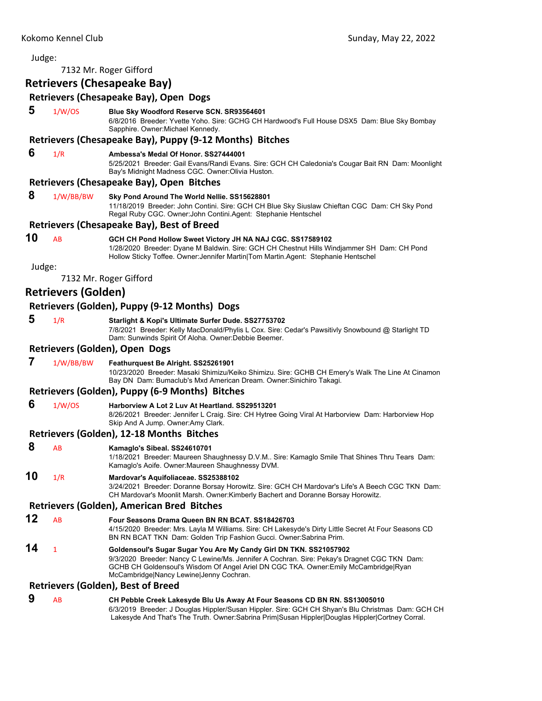#### Judge: 7132 Mr. Roger Gifford **Retrievers (Chesapeake Bay) Retrievers (Chesapeake Bay), Open Dogs 5** 1/W/OS **Blue Sky Woodford Reserve SCN. SR93564601** 6/8/2016 Breeder: Yvette Yoho. Sire: GCHG CH Hardwood's Full House DSX5 Dam: Blue Sky Bombay Sapphire. Owner:Michael Kennedy. **Retrievers (Chesapeake Bay), Puppy (9‐12 Months) Bitches 6** 1/R **Ambessa's Medal Of Honor. SS27444001** 5/25/2021 Breeder: Gail Evans/Randi Evans. Sire: GCH CH Caledonia's Cougar Bait RN Dam: Moonlight Bay's Midnight Madness CGC. Owner:Olivia Huston. **Retrievers (Chesapeake Bay), Open Bitches 8** 1/W/BB/BW **Sky Pond Around The World Nellie. SS15628801** 11/18/2019 Breeder: John Contini. Sire: GCH CH Blue Sky Siuslaw Chieftan CGC Dam: CH Sky Pond Regal Ruby CGC. Owner:John Contini.Agent: Stephanie Hentschel **Retrievers (Chesapeake Bay), Best of Breed 10** AB **GCH CH Pond Hollow Sweet Victory JH NA NAJ CGC. SS17589102** 1/28/2020 Breeder: Dyane M Baldwin. Sire: GCH CH Chestnut Hills Windjammer SH Dam: CH Pond Hollow Sticky Toffee. Owner:Jennifer Martin|Tom Martin.Agent: Stephanie Hentschel Judge: 7132 Mr. Roger Gifford **Retrievers (Golden) Retrievers (Golden), Puppy (9‐12 Months) Dogs 5** 1/R **Starlight & Kopi's Ultimate Surfer Dude. SS27753702** 7/8/2021 Breeder: Kelly MacDonald/Phylis L Cox. Sire: Cedar's Pawsitivly Snowbound @ Starlight TD Dam: Sunwinds Spirit Of Aloha. Owner:Debbie Beemer. **Retrievers (Golden), Open Dogs 7** 1/W/BB/BW **Feathurquest Be Alright. SS25261901** 10/23/2020 Breeder: Masaki Shimizu/Keiko Shimizu. Sire: GCHB CH Emery's Walk The Line At Cinamon Bay DN Dam: Bumaclub's Mxd American Dream. Owner:Sinichiro Takagi. **Retrievers (Golden), Puppy (6‐9 Months) Bitches 6** 1/W/OS **Harborview A Lot 2 Luv At Heartland. SS29513201** 8/26/2021 Breeder: Jennifer L Craig. Sire: CH Hytree Going Viral At Harborview Dam: Harborview Hop Skip And A Jump. Owner:Amy Clark. **Retrievers (Golden), 12‐18 Months Bitches 8** AB **Kamaglo's Sibeal. SS24610701** 1/18/2021 Breeder: Maureen Shaughnessy D.V.M.. Sire: Kamaglo Smile That Shines Thru Tears Dam: Kamaglo's Aoife. Owner:Maureen Shaughnessy DVM. **10** 1/R **Mardovar's Aquifoliaceae. SS25388102** 3/24/2021 Breeder: Doranne Borsay Horowitz. Sire: GCH CH Mardovar's Life's A Beech CGC TKN Dam: CH Mardovar's Moonlit Marsh. Owner:Kimberly Bachert and Doranne Borsay Horowitz. **Retrievers (Golden), American Bred Bitches 12** AB **Four Seasons Drama Queen BN RN BCAT. SS18426703** 4/15/2020 Breeder: Mrs. Layla M Williams. Sire: CH Lakesyde's Dirty Little Secret At Four Seasons CD BN RN BCAT TKN Dam: Golden Trip Fashion Gucci. Owner:Sabrina Prim. **14** <sup>1</sup> **Goldensoul's Sugar Sugar You Are My Candy Girl DN TKN. SS21057902** 9/3/2020 Breeder: Nancy C Lewine/Ms. Jennifer A Cochran. Sire: Pekay's Dragnet CGC TKN Dam: GCHB CH Goldensoul's Wisdom Of Angel Ariel DN CGC TKA. Owner:Emily McCambridge|Ryan McCambridge|Nancy Lewine|Jenny Cochran. **Retrievers (Golden), Best of Breed 9** AB **CH Pebble Creek Lakesyde Blu Us Away At Four Seasons CD BN RN. SS13005010**

6/3/2019 Breeder: J Douglas Hippler/Susan Hippler. Sire: GCH CH Shyan's Blu Christmas Dam: GCH CH Lakesyde And That's The Truth. Owner:Sabrina Prim|Susan Hippler|Douglas Hippler|Cortney Corral.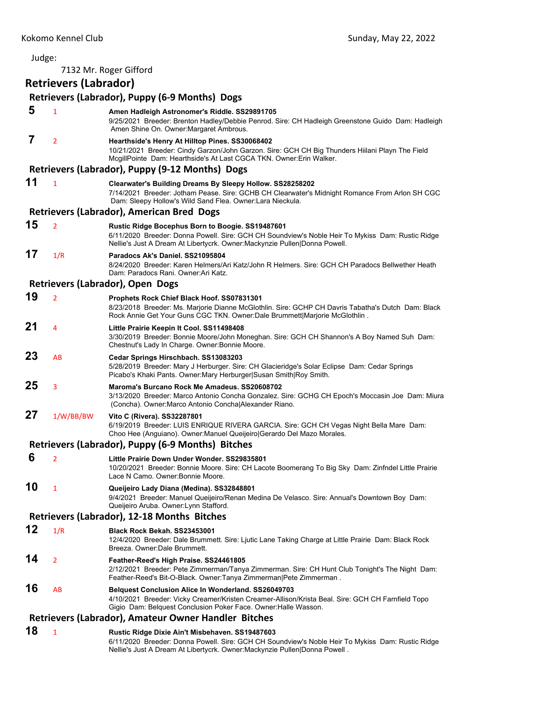| Judge: |                              |                                                                                                                                                                                                                                    |
|--------|------------------------------|------------------------------------------------------------------------------------------------------------------------------------------------------------------------------------------------------------------------------------|
|        |                              | 7132 Mr. Roger Gifford                                                                                                                                                                                                             |
|        | <b>Retrievers (Labrador)</b> |                                                                                                                                                                                                                                    |
|        |                              | Retrievers (Labrador), Puppy (6-9 Months) Dogs                                                                                                                                                                                     |
| 5      | $\mathbf{1}$                 | Amen Hadleigh Astronomer's Riddle. SS29891705<br>9/25/2021 Breeder: Brenton Hadley/Debbie Penrod. Sire: CH Hadleigh Greenstone Guido Dam: Hadleigh<br>Amen Shine On. Owner: Margaret Ambrous.                                      |
| 7      | $\overline{2}$               | Hearthside's Henry At Hilltop Pines. SS30068402<br>10/21/2021 Breeder: Cindy Garzon/John Garzon. Sire: GCH CH Big Thunders Hiilani Playn The Field<br>McgillPointe Dam: Hearthside's At Last CGCA TKN. Owner: Erin Walker.         |
|        |                              | Retrievers (Labrador), Puppy (9-12 Months) Dogs                                                                                                                                                                                    |
| 11     | $\mathbf{1}$                 | Clearwater's Building Dreams By Sleepy Hollow. SS28258202<br>7/14/2021 Breeder: Jotham Pease. Sire: GCHB CH Clearwater's Midnight Romance From Arlon SH CGC<br>Dam: Sleepy Hollow's Wild Sand Flea. Owner:Lara Nieckula.           |
|        |                              | Retrievers (Labrador), American Bred Dogs                                                                                                                                                                                          |
| 15     | $\overline{2}$               | Rustic Ridge Bocephus Born to Boogie. SS19487601<br>6/11/2020 Breeder: Donna Powell. Sire: GCH CH Soundview's Noble Heir To Mykiss Dam: Rustic Ridge<br>Nellie's Just A Dream At Libertycrk. Owner: Mackynzie Pullen Donna Powell. |
| 17     | 1/R                          | Paradocs Ak's Daniel. SS21095804<br>8/24/2020 Breeder: Karen Helmers/Ari Katz/John R Helmers. Sire: GCH CH Paradocs Bellwether Heath<br>Dam: Paradocs Rani, Owner: Ari Katz.                                                       |
|        |                              | Retrievers (Labrador), Open Dogs                                                                                                                                                                                                   |
| 19     | $\overline{2}$               | Prophets Rock Chief Black Hoof. SS07831301<br>8/23/2018 Breeder: Ms. Marjorie Dianne McGlothlin. Sire: GCHP CH Davris Tabatha's Dutch Dam: Black<br>Rock Annie Get Your Guns CGC TKN. Owner: Dale Brummett Marjorie McGlothlin.    |
| 21     | 4                            | Little Prairie Keepin It Cool. SS11498408<br>3/30/2019 Breeder: Bonnie Moore/John Moneghan. Sire: GCH CH Shannon's A Boy Named Suh Dam:<br>Chestnut's Lady In Charge. Owner: Bonnie Moore.                                         |
| 23     | AB                           | Cedar Springs Hirschbach. SS13083203<br>5/28/2019 Breeder: Mary J Herburger. Sire: CH Glacieridge's Solar Eclipse Dam: Cedar Springs<br>Picabo's Khaki Pants. Owner: Mary Herburger Susan Smith Roy Smith.                         |
| 25     | 3                            | Maroma's Burcano Rock Me Amadeus, SS20608702<br>3/13/2020 Breeder: Marco Antonio Concha Gonzalez. Sire: GCHG CH Epoch's Moccasin Joe Dam: Miura<br>(Concha). Owner: Marco Antonio Concha Alexander Riano.                          |
| 27     | 1/W/BB/BW                    | Vito C (Rivera). SS32287801<br>6/19/2019 Breeder: LUIS ENRIQUE RIVERA GARCIA. Sire: GCH CH Vegas Night Bella Mare Dam:<br>Choo Hee (Anguiano). Owner: Manuel Queijeiro   Gerardo Del Mazo Morales.                                 |
|        |                              | Retrievers (Labrador), Puppy (6-9 Months) Bitches                                                                                                                                                                                  |
| 6      | $\overline{2}$               | Little Prairie Down Under Wonder. SS29835801<br>10/20/2021 Breeder: Bonnie Moore. Sire: CH Lacote Boomerang To Big Sky Dam: Zinfndel Little Prairie<br>Lace N Camo, Owner: Bonnie Moore,                                           |
| 10     | $\mathbf{1}$                 | Queijeiro Lady Diana (Medina). SS32848801<br>9/4/2021 Breeder: Manuel Queijeiro/Renan Medina De Velasco. Sire: Annual's Downtown Boy Dam:<br>Queijeiro Aruba. Owner: Lynn Stafford.                                                |
|        |                              | Retrievers (Labrador), 12-18 Months Bitches                                                                                                                                                                                        |
| 12     | 1/R                          | Black Rock Bekah. SS23453001<br>12/4/2020 Breeder: Dale Brummett. Sire: Ljutic Lane Taking Charge at Little Prairie Dam: Black Rock<br>Breeza. Owner: Dale Brummett.                                                               |
| 14     | $\overline{2}$               | Feather-Reed's High Praise. SS24461805<br>2/12/2021 Breeder: Pete Zimmerman/Tanya Zimmerman. Sire: CH Hunt Club Tonight's The Night Dam:<br>Feather-Reed's Bit-O-Black. Owner:Tanya Zimmerman Pete Zimmerman.                      |
| 16     | AB                           | <b>Belquest Conclusion Alice In Wonderland. SS26049703</b><br>4/10/2021 Breeder: Vicky Creamer/Kristen Creamer-Allison/Krista Beal. Sire: GCH CH Farnfield Topo<br>Gigio Dam: Belquest Conclusion Poker Face. Owner: Halle Wasson. |
|        |                              | Retrievers (Labrador), Amateur Owner Handler Bitches                                                                                                                                                                               |
| 18     | $\mathbf{1}$                 | Rustic Ridge Dixie Ain't Misbehaven. SS19487603<br>6/11/2020 Breeder: Donna Powell. Sire: GCH CH Soundview's Noble Heir To Mykiss Dam: Rustic Ridge                                                                                |

Nellie's Just A Dream At Libertycrk. Owner:Mackynzie Pullen|Donna Powell .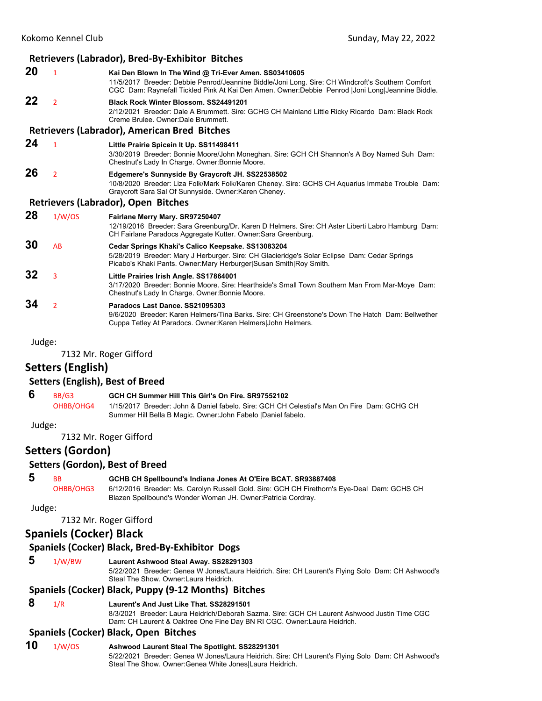#### **Retrievers (Labrador), Bred‐By‐Exhibitor Bitches 20** <sup>1</sup> **Kai Den Blown In The Wind @ Tri-Ever Amen. SS03410605** 11/5/2017 Breeder: Debbie Penrod/Jeannine Biddle/Joni Long. Sire: CH Windcroft's Southern Comfort CGC Dam: Raynefall Tickled Pink At Kai Den Amen. Owner:Debbie Penrod |Joni Long|Jeannine Biddle. **22** <sup>2</sup> **Black Rock Winter Blossom. SS24491201** 2/12/2021 Breeder: Dale A Brummett. Sire: GCHG CH Mainland Little Ricky Ricardo Dam: Black Rock Creme Brulee. Owner:Dale Brummett. **Retrievers (Labrador), American Bred Bitches 24** <sup>1</sup> **Little Prairie Spicein It Up. SS11498411** 3/30/2019 Breeder: Bonnie Moore/John Moneghan. Sire: GCH CH Shannon's A Boy Named Suh Dam: Chestnut's Lady In Charge. Owner:Bonnie Moore. **26** <sup>2</sup> **Edgemere's Sunnyside By Graycroft JH. SS22538502** 10/8/2020 Breeder: Liza Folk/Mark Folk/Karen Cheney. Sire: GCHS CH Aquarius Immabe Trouble Dam: Graycroft Sara Sal Of Sunnyside. Owner:Karen Cheney. **Retrievers (Labrador), Open Bitches 28** 1/W/OS **Fairlane Merry Mary. SR97250407** 12/19/2016 Breeder: Sara Greenburg/Dr. Karen D Helmers. Sire: CH Aster Liberti Labro Hamburg Dam: CH Fairlane Paradocs Aggregate Kutter. Owner:Sara Greenburg. **30** AB **Cedar Springs Khaki's Calico Keepsake. SS13083204** 5/28/2019 Breeder: Mary J Herburger. Sire: CH Glacieridge's Solar Eclipse Dam: Cedar Springs Picabo's Khaki Pants. Owner:Mary Herburger|Susan Smith|Roy Smith. **32** <sup>3</sup> **Little Prairies Irish Angle. SS17864001** 3/17/2020 Breeder: Bonnie Moore. Sire: Hearthside's Small Town Southern Man From Mar-Moye Dam: Chestnut's Lady In Charge. Owner:Bonnie Moore. **34** <sup>2</sup> **Paradocs Last Dance. SS21095303** 9/6/2020 Breeder: Karen Helmers/Tina Barks. Sire: CH Greenstone's Down The Hatch Dam: Bellwether Cuppa Tetley At Paradocs. Owner:Karen Helmers|John Helmers.

Judge:

7132 Mr. Roger Gifford

## **Setters (English)**

#### **Setters (English), Best of Breed**

- **6** BB/G3 **GCH CH Summer Hill This Girl's On Fire. SR97552102**
	- OHBB/OHG4 1/15/2017 Breeder: John & Daniel fabelo. Sire: GCH CH Celestial's Man On Fire Dam: GCHG CH Summer Hill Bella B Magic. Owner:John Fabelo |Daniel fabelo.

Judge:

7132 Mr. Roger Gifford

**Setters (Gordon)**

#### **Setters (Gordon), Best of Breed**

 **5** BB **GCHB CH Spellbound's Indiana Jones At O'Eire BCAT. SR93887408**

OHBB/OHG3 6/12/2016 Breeder: Ms. Carolyn Russell Gold. Sire: GCH CH Firethorn's Eye-Deal Dam: GCHS CH Blazen Spellbound's Wonder Woman JH. Owner:Patricia Cordray.

Judge:

7132 Mr. Roger Gifford

## **Spaniels (Cocker) Black**

## **Spaniels (Cocker) Black, Bred‐By‐Exhibitor Dogs**

 **5** 1/W/BW **Laurent Ashwood Steal Away. SS28291303**

5/22/2021 Breeder: Genea W Jones/Laura Heidrich. Sire: CH Laurent's Flying Solo Dam: CH Ashwood's Steal The Show. Owner:Laura Heidrich.

## **Spaniels (Cocker) Black, Puppy (9‐12 Months) Bitches**

## **8** 1/R **Laurent's And Just Like That. SS28291501**

8/3/2021 Breeder: Laura Heidrich/Deborah Sazma. Sire: GCH CH Laurent Ashwood Justin Time CGC Dam: CH Laurent & Oaktree One Fine Day BN RI CGC. Owner:Laura Heidrich.

## **Spaniels (Cocker) Black, Open Bitches**

## **10** 1/W/OS **Ashwood Laurent Steal The Spotlight. SS28291301**

5/22/2021 Breeder: Genea W Jones/Laura Heidrich. Sire: CH Laurent's Flying Solo Dam: CH Ashwood's Steal The Show. Owner: Genea White Jones Laura Heidrich.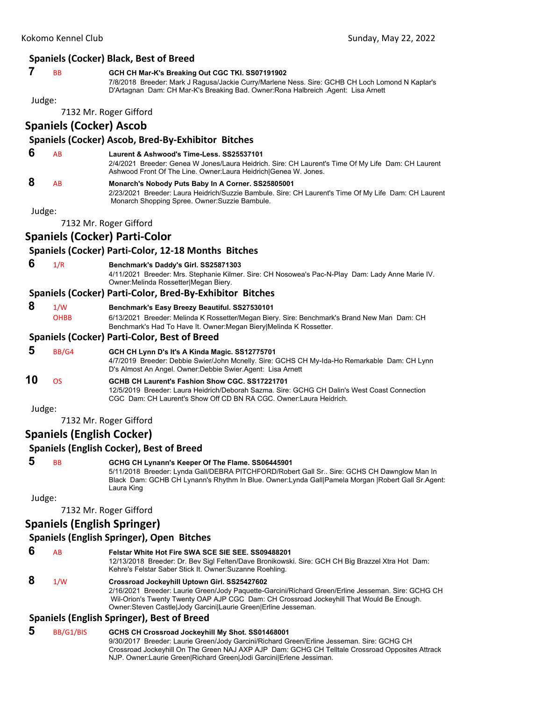#### **Spaniels (Cocker) Black, Best of Breed**

## **7** BB **GCH CH Mar-K's Breaking Out CGC TKI. SS07191902**

7/8/2018 Breeder: Mark J Ragusa/Jackie Curry/Marlene Ness. Sire: GCHB CH Loch Lomond N Kaplar's D'Artagnan Dam: CH Mar-K's Breaking Bad. Owner:Rona Halbreich .Agent: Lisa Arnett

Judge:

7132 Mr. Roger Gifford

## **Spaniels (Cocker) Ascob**

#### **Spaniels (Cocker) Ascob, Bred‐By‐Exhibitor Bitches**

 **6** AB **Laurent & Ashwood's Time-Less. SS25537101**

2/4/2021 Breeder: Genea W Jones/Laura Heidrich. Sire: CH Laurent's Time Of My Life Dam: CH Laurent Ashwood Front Of The Line. Owner:Laura Heidrich|Genea W. Jones.

 **8** AB **Monarch's Nobody Puts Baby In A Corner. SS25805001**

2/23/2021 Breeder: Laura Heidrich/Suzzie Bambule. Sire: CH Laurent's Time Of My Life Dam: CH Laurent Monarch Shopping Spree. Owner:Suzzie Bambule.

Judge:

7132 Mr. Roger Gifford

## **Spaniels (Cocker) Parti‐Color**

#### **Spaniels (Cocker) Parti‐Color, 12‐18 Months Bitches**

 **6** 1/R **Benchmark's Daddy's Girl. SS25871303**

4/11/2021 Breeder: Mrs. Stephanie Kilmer. Sire: CH Nosowea's Pac-N-Play Dam: Lady Anne Marie IV. Owner:Melinda Rossetter|Megan Biery.

#### **Spaniels (Cocker) Parti‐Color, Bred‐By‐Exhibitor Bitches**

#### **8** 1/W **Benchmark's Easy Breezy Beautiful. SS27530101**

OHBB 6/13/2021 Breeder: Melinda K Rossetter/Megan Biery. Sire: Benchmark's Brand New Man Dam: CH Benchmark's Had To Have It. Owner:Megan Biery|Melinda K Rossetter.

#### **Spaniels (Cocker) Parti‐Color, Best of Breed**

- **5** BB/G4 **GCH CH Lynn D's It's A Kinda Magic. SS12775701**
	- 4/7/2019 Breeder: Debbie Swier/John Mcnelly. Sire: GCHS CH My-Ida-Ho Remarkable Dam: CH Lynn D's Almost An Angel. Owner:Debbie Swier.Agent: Lisa Arnett

#### **10** OS **GCHB CH Laurent's Fashion Show CGC. SS17221701** 12/5/2019 Breeder: Laura Heidrich/Deborah Sazma. Sire: GCHG CH Dalin's West Coast Connection CGC Dam: CH Laurent's Show Off CD BN RA CGC. Owner:Laura Heidrich.

Judge:

7132 Mr. Roger Gifford

## **Spaniels (English Cocker)**

### **Spaniels (English Cocker), Best of Breed**

## **5** BB **GCHG CH Lynann's Keeper Of The Flame. SS06445901**

5/11/2018 Breeder: Lynda Gall/DEBRA PITCHFORD/Robert Gall Sr.. Sire: GCHS CH Dawnglow Man In Black Dam: GCHB CH Lynann's Rhythm In Blue. Owner:Lynda Gall|Pamela Morgan |Robert Gall Sr.Agent: Laura King

Judge:

7132 Mr. Roger Gifford

## **Spaniels (English Springer)**

### **Spaniels (English Springer), Open Bitches**

 **6** AB **Felstar White Hot Fire SWA SCE SIE SEE. SS09488201** 12/13/2018 Breeder: Dr. Bev Sigl Felten/Dave Bronikowski. Sire: GCH CH Big Brazzel Xtra Hot Dam: Kehre's Felstar Saber Stick It. Owner:Suzanne Roehling.  **8** 1/W **Crossroad Jockeyhill Uptown Girl. SS25427602** 2/16/2021 Breeder: Laurie Green/Jody Paquette-Garcini/Richard Green/Erline Jesseman. Sire: GCHG CH Wil-Orion's Twenty Twenty OAP AJP CGC Dam: CH Crossroad Jockeyhill That Would Be Enough.

#### Owner:Steven Castle|Jody Garcini|Laurie Green|Erline Jesseman. **Spaniels (English Springer), Best of Breed**

 **5** BB/G1/BIS **GCHS CH Crossroad Jockeyhill My Shot. SS01468001** 9/30/2017 Breeder: Laurie Green/Jody Garcini/Richard Green/Erline Jesseman. Sire: GCHG CH Crossroad Jockeyhill On The Green NAJ AXP AJP Dam: GCHG CH Telltale Crossroad Opposites Attrack NJP. Owner:Laurie Green|Richard Green|Jodi Garcini|Erlene Jessiman.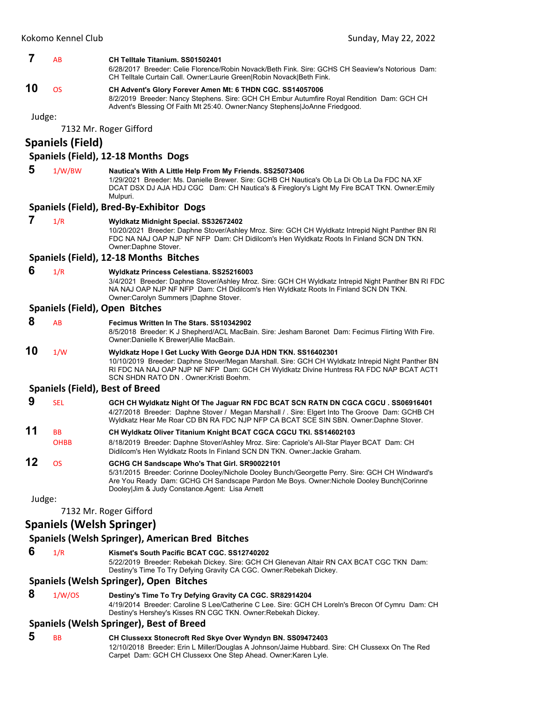#### **7** AB **CH Telltale Titanium. SS01502401**

6/28/2017 Breeder: Celie Florence/Robin Novack/Beth Fink. Sire: GCHS CH Seaview's Notorious Dam: CH Telltale Curtain Call. Owner:Laurie Green|Robin Novack|Beth Fink.

## **10** OS **CH Advent's Glory Forever Amen Mt: 6 THDN CGC. SS14057006**

8/2/2019 Breeder: Nancy Stephens. Sire: GCH CH Embur Autumfire Royal Rendition Dam: GCH CH Advent's Blessing Of Faith Mt 25:40. Owner:Nancy Stephens|JoAnne Friedgood.

Judge:

7132 Mr. Roger Gifford

## **Spaniels (Field)**

#### **Spaniels (Field), 12‐18 Months Dogs**

#### **5** 1/W/BW **Nautica's With A Little Help From My Friends. SS25073406**

1/29/2021 Breeder: Ms. Danielle Brewer. Sire: GCHB CH Nautica's Ob La Di Ob La Da FDC NA XF DCAT DSX DJ AJA HDJ CGC Dam: CH Nautica's & Fireglory's Light My Fire BCAT TKN. Owner:Emily Mulpuri.

#### **Spaniels (Field), Bred‐By‐Exhibitor Dogs**

| Wyldkatz Midnight Special. SS32672402<br>10/20/2021 Breeder: Daphne Stover/Ashley Mroz. Sire: GCH CH Wyldkatz Intrepid Night Panther BN RI<br>FDC NA NAJ OAP NJP NF NFP Dam: CH Didilcom's Hen Wyldkatz Roots In Finland SCN DN TKN.<br>Owner: Daphne Stover.                                          |
|--------------------------------------------------------------------------------------------------------------------------------------------------------------------------------------------------------------------------------------------------------------------------------------------------------|
| Spaniels (Field), 12-18 Months Bitches                                                                                                                                                                                                                                                                 |
| Wyldkatz Princess Celestiana. SS25216003<br>3/4/2021 Breeder: Daphne Stover/Ashley Mroz. Sire: GCH CH Wyldkatz Intrepid Night Panther BN RI FDC<br>NA NAJ OAP NJP NF NFP Dam: CH Didilcom's Hen Wyldkatz Roots In Finland SCN DN TKN.<br>Owner:Carolyn Summers  Daphne Stover.                         |
| Spaniels (Field), Open Bitches                                                                                                                                                                                                                                                                         |
| Fecimus Written In The Stars, SS10342902<br>8/5/2018 Breeder: K J Shepherd/ACL MacBain. Sire: Jesham Baronet Dam: Fecimus Flirting With Fire.<br>Owner: Danielle K Brewer Allie MacBain.                                                                                                               |
| Wyldkatz Hope I Get Lucky With George DJA HDN TKN. SS16402301<br>10/10/2019 Breeder: Daphne Stover/Megan Marshall. Sire: GCH CH Wyldkatz Intrepid Night Panther BN<br>RI FDC NA NAJ OAP NJP NF NFP Dam: GCH CH Wyldkatz Divine Huntress RA FDC NAP BCAT ACT1<br>SCN SHDN RATO DN. Owner: Kristi Boehm. |
| <b>Spaniels (Field), Best of Breed</b>                                                                                                                                                                                                                                                                 |
| GCH CH Wyldkatz Night Of The Jaguar RN FDC BCAT SCN RATN DN CGCA CGCU. SS06916401<br>4/27/2018 Breeder: Daphne Stover / Megan Marshall / . Sire: Elgert Into The Groove Dam: GCHB CH<br>Wyldkatz Hear Me Roar CD BN RA FDC NJP NFP CA BCAT SCE SIN SBN. Owner:Daphne Stover.                           |
| CH Wyldkatz Oliver Titanium Knight BCAT CGCA CGCU TKI. SS14602103<br>8/18/2019 Breeder: Daphne Stover/Ashley Mroz. Sire: Capriole's All-Star Player BCAT Dam: CH<br>Didilcom's Hen Wyldkatz Roots In Finland SCN DN TKN. Owner: Jackie Graham.                                                         |
| GCHG CH Sandscape Who's That Girl. SR90022101<br>5/31/2015 Breeder: Corinne Dooley/Nichole Dooley Bunch/Georgette Perry. Sire: GCH CH Windward's<br>Are You Ready Dam: GCHG CH Sandscape Pardon Me Boys. Owner: Nichole Dooley Bunch Corinne<br>Dooley Jim & Judy Constance Agent: Lisa Arnett         |
|                                                                                                                                                                                                                                                                                                        |
| 7132 Mr. Roger Gifford                                                                                                                                                                                                                                                                                 |
|                                                                                                                                                                                                                                                                                                        |

### **Spaniels (Welsh Springer)**

### **Spaniels (Welsh Springer), American Bred Bitches**

 **6** 1/R **Kismet's South Pacific BCAT CGC. SS12740202**

5/22/2019 Breeder: Rebekah Dickey. Sire: GCH CH Glenevan Altair RN CAX BCAT CGC TKN Dam: Destiny's Time To Try Defying Gravity CA CGC. Owner:Rebekah Dickey.

## **Spaniels (Welsh Springer), Open Bitches**

 **8** 1/W/OS **Destiny's Time To Try Defying Gravity CA CGC. SR82914204**

4/19/2014 Breeder: Caroline S Lee/Catherine C Lee. Sire: GCH CH Loreln's Brecon Of Cymru Dam: CH Destiny's Hershey's Kisses RN CGC TKN. Owner:Rebekah Dickey.

#### **Spaniels (Welsh Springer), Best of Breed**

 **5** BB **CH Clussexx Stonecroft Red Skye Over Wyndyn BN. SS09472403** 12/10/2018 Breeder: Erin L Miller/Douglas A Johnson/Jaime Hubbard. Sire: CH Clussexx On The Red Carpet Dam: GCH CH Clussexx One Step Ahead. Owner:Karen Lyle.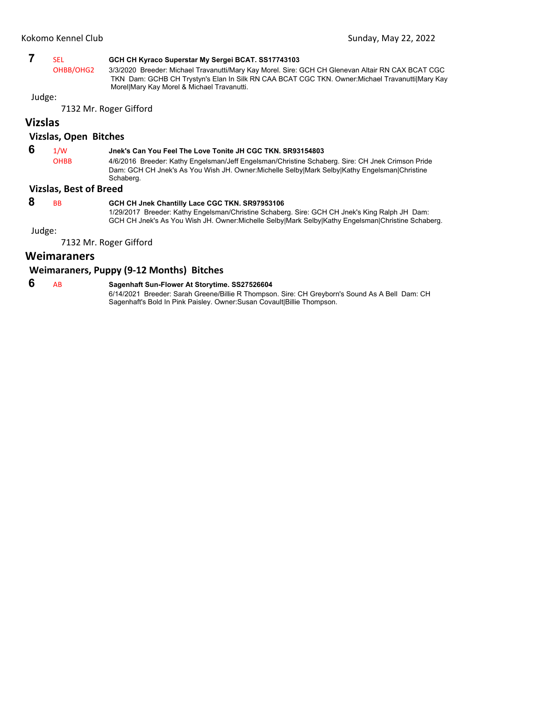## **7** SEL **GCH CH Kyraco Superstar My Sergei BCAT. SS17743103**

OHBB/OHG2 3/3/2020 Breeder: Michael Travanutti/Mary Kay Morel. Sire: GCH CH Glenevan Altair RN CAX BCAT CGC TKN Dam: GCHB CH Trystyn's Elan In Silk RN CAA BCAT CGC TKN. Owner:Michael Travanutti|Mary Kay Morel|Mary Kay Morel & Michael Travanutti.

## Judge:

7132 Mr. Roger Gifford

## **Vizslas**

#### **Vizslas, Open Bitches**

## **6** 1/W **Jnek's Can You Feel The Love Tonite JH CGC TKN. SR93154803**

OHBB 4/6/2016 Breeder: Kathy Engelsman/Jeff Engelsman/Christine Schaberg. Sire: CH Jnek Crimson Pride Dam: GCH CH Jnek's As You Wish JH. Owner:Michelle Selby|Mark Selby|Kathy Engelsman|Christine Schaberg.

#### **Vizslas, Best of Breed**

## **8** BB **GCH CH Jnek Chantilly Lace CGC TKN. SR97953106**

1/29/2017 Breeder: Kathy Engelsman/Christine Schaberg. Sire: GCH CH Jnek's King Ralph JH Dam: GCH CH Jnek's As You Wish JH. Owner:Michelle Selby|Mark Selby|Kathy Engelsman|Christine Schaberg.

Judge:

7132 Mr. Roger Gifford

## **Weimaraners**

## **Weimaraners, Puppy (9‐12 Months) Bitches**

 **6** AB **Sagenhaft Sun-Flower At Storytime. SS27526604** 6/14/2021 Breeder: Sarah Greene/Billie R Thompson. Sire: CH Greyborn's Sound As A Bell Dam: CH Sagenhaft's Bold In Pink Paisley. Owner:Susan Covault|Billie Thompson.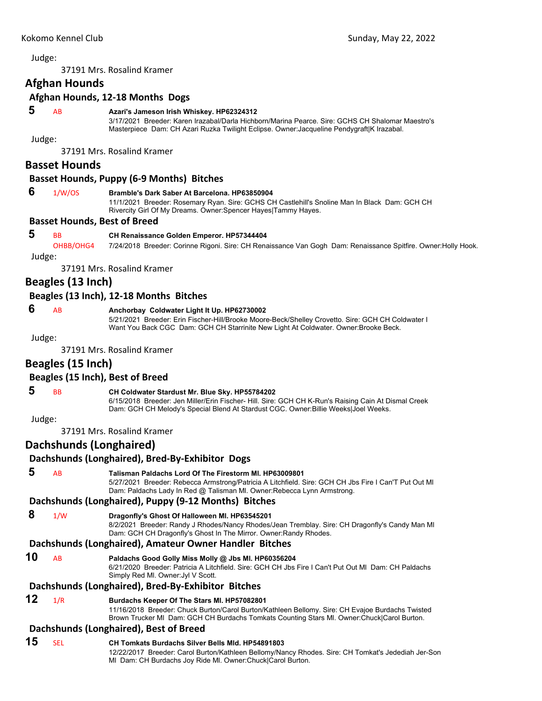<span id="page-11-0"></span>37191 Mrs. Rosalind Kramer

## **Afghan Hounds**

#### **Afghan Hounds, 12‐18 Months Dogs**

#### **5** AB **Azari's Jameson Irish Whiskey. HP62324312**

3/17/2021 Breeder: Karen Irazabal/Darla Hichborn/Marina Pearce. Sire: GCHS CH Shalomar Maestro's Masterpiece Dam: CH Azari Ruzka Twilight Eclipse. Owner:Jacqueline Pendygraft|K Irazabal.

Judge:

37191 Mrs. Rosalind Kramer

#### **Basset Hounds**

#### **Basset Hounds, Puppy (6‐9 Months) Bitches**

#### **6** 1/W/OS **Bramble's Dark Saber At Barcelona. HP63850904**

11/1/2021 Breeder: Rosemary Ryan. Sire: GCHS CH Castlehill's Snoline Man In Black Dam: GCH CH Rivercity Girl Of My Dreams. Owner:Spencer Hayes|Tammy Hayes.

#### **Basset Hounds, Best of Breed**

#### **5** BB **CH Renaissance Golden Emperor. HP57344404**

OHBB/OHG4 7/24/2018 Breeder: Corinne Rigoni. Sire: CH Renaissance Van Gogh Dam: Renaissance Spitfire. Owner:Holly Hook. Judge:

37191 Mrs. Rosalind Kramer

## **Beagles (13 Inch)**

#### **Beagles (13 Inch), 12‐18 Months Bitches**

#### **6** AB **Anchorbay Coldwater Light It Up. HP62730002**

5/21/2021 Breeder: Erin Fischer-Hill/Brooke Moore-Beck/Shelley Crovetto. Sire: GCH CH Coldwater I Want You Back CGC Dam: GCH CH Starrinite New Light At Coldwater. Owner:Brooke Beck.

#### Judge:

37191 Mrs. Rosalind Kramer

### **Beagles (15 Inch)**

#### **Beagles (15 Inch), Best of Breed**

## **5** BB **CH Coldwater Stardust Mr. Blue Sky. HP55784202**

6/15/2018 Breeder: Jen Miller/Erin Fischer- Hill. Sire: GCH CH K-Run's Raising Cain At Dismal Creek Dam: GCH CH Melody's Special Blend At Stardust CGC. Owner:Billie Weeks|Joel Weeks.

Judge:

37191 Mrs. Rosalind Kramer

## **Dachshunds (Longhaired)**

#### **Dachshunds (Longhaired), Bred‐By‐Exhibitor Dogs**

- **5** AB **Talisman Paldachs Lord Of The Firestorm Ml. HP63009801** 5/27/2021 Breeder: Rebecca Armstrong/Patricia A Litchfield. Sire: GCH CH Jbs Fire I Can'T Put Out Ml Dam: Paldachs Lady In Red @ Talisman Ml. Owner:Rebecca Lynn Armstrong. **Dachshunds (Longhaired), Puppy (9‐12 Months) Bitches 8** 1/W **Dragonfly's Ghost Of Halloween Ml. HP63545201** 8/2/2021 Breeder: Randy J Rhodes/Nancy Rhodes/Jean Tremblay. Sire: CH Dragonfly's Candy Man Ml Dam: GCH CH Dragonfly's Ghost In The Mirror. Owner:Randy Rhodes. **Dachshunds (Longhaired), Amateur Owner Handler Bitches 10** AB **Paldachs Good Golly Miss Molly @ Jbs Ml. HP60356204** 6/21/2020 Breeder: Patricia A Litchfield. Sire: GCH CH Jbs Fire I Can't Put Out Ml Dam: CH Paldachs Simply Red Ml. Owner:Jyl V Scott. **Dachshunds (Longhaired), Bred‐By‐Exhibitor Bitches 12** 1/R **Burdachs Keeper Of The Stars Ml. HP57082801** 11/16/2018 Breeder: Chuck Burton/Carol Burton/Kathleen Bellomy. Sire: CH Evajoe Burdachs Twisted Brown Trucker Ml Dam: GCH CH Burdachs Tomkats Counting Stars Ml. Owner:Chuck|Carol Burton. **Dachshunds (Longhaired), Best of Breed 15** SEL **CH Tomkats Burdachs Silver Bells Mld. HP54891803**
	- 12/22/2017 Breeder: Carol Burton/Kathleen Bellomy/Nancy Rhodes. Sire: CH Tomkat's Jedediah Jer-Son Ml Dam: CH Burdachs Joy Ride Ml. Owner:Chuck|Carol Burton.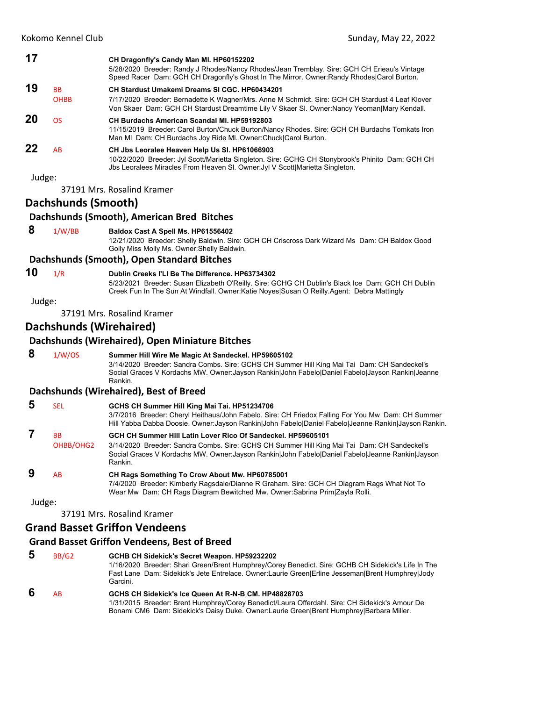| 17     |                     | CH Dragonfly's Candy Man MI. HP60152202<br>5/28/2020 Breeder: Randy J Rhodes/Nancy Rhodes/Jean Tremblay. Sire: GCH CH Erieau's Vintage<br>Speed Racer Dam: GCH CH Dragonfly's Ghost In The Mirror. Owner: Randy Rhodes Carol Burton. |
|--------|---------------------|--------------------------------------------------------------------------------------------------------------------------------------------------------------------------------------------------------------------------------------|
| 19     | <b>BB</b>           | CH Stardust Umakemi Dreams SI CGC, HP60434201                                                                                                                                                                                        |
|        | <b>OHBB</b>         | 7/17/2020 Breeder: Bernadette K Wagner/Mrs. Anne M Schmidt. Sire: GCH CH Stardust 4 Leaf Klover<br>Von Skaer Dam: GCH CH Stardust Dreamtime Lily V Skaer SI. Owner:Nancy Yeoman Mary Kendall.                                        |
| 20     | <b>OS</b>           | <b>CH Burdachs American Scandal MI. HP59192803</b><br>11/15/2019 Breeder: Carol Burton/Chuck Burton/Nancy Rhodes. Sire: GCH CH Burdachs Tomkats Iron<br>Man MI Dam: CH Burdachs Joy Ride MI. Owner: Chuck Carol Burton.              |
| 22     | <b>AB</b>           | CH Jbs Leoralee Heaven Help Us SI. HP61066903<br>10/22/2020 Breeder: Jyl Scott/Marietta Singleton. Sire: GCHG CH Stonybrook's Phinito Dam: GCH CH<br>Jbs Leoralees Miracles From Heaven SI. Owner: Jyl V Scott Marietta Singleton.   |
| Judge: |                     |                                                                                                                                                                                                                                      |
|        |                     | 37191 Mrs. Rosalind Kramer                                                                                                                                                                                                           |
|        | Dachshunds (Smooth) |                                                                                                                                                                                                                                      |
|        |                     | Dachshunds (Smooth), American Bred Bitches                                                                                                                                                                                           |
| 8      | 1/W/BB              | Baldox Cast A Spell Ms. HP61556402                                                                                                                                                                                                   |

12/21/2020 Breeder: Shelly Baldwin. Sire: GCH CH Criscross Dark Wizard Ms Dam: CH Baldox Good Golly Miss Molly Ms. Owner:Shelly Baldwin.

## **Dachshunds (Smooth), Open Standard Bitches**

## **10** 1/R **Dublin Creeks I'Ll Be The Difference. HP63734302**

5/23/2021 Breeder: Susan Elizabeth O'Reilly. Sire: GCHG CH Dublin's Black Ice Dam: GCH CH Dublin Creek Fun In The Sun At Windfall. Owner:Katie Noyes|Susan O Reilly.Agent: Debra Mattingly

#### Judge:

37191 Mrs. Rosalind Kramer

## **Dachshunds (Wirehaired)**

## **Dachshunds (Wirehaired), Open Miniature Bitches**

| 8 | 1/W/OS                            | Summer Hill Wire Me Magic At Sandeckel. HP59605102<br>3/14/2020 Breeder: Sandra Combs. Sire: GCHS CH Summer Hill King Mai Tai Dam: CH Sandeckel's<br>Social Graces V Kordachs MW. Owner: Jayson Rankin John Fabelo Daniel Fabelo Jayson Rankin Jeanne<br>Rankin.           |
|---|-----------------------------------|----------------------------------------------------------------------------------------------------------------------------------------------------------------------------------------------------------------------------------------------------------------------------|
|   |                                   | Dachshunds (Wirehaired), Best of Breed                                                                                                                                                                                                                                     |
| 5 | SEL.                              | GCHS CH Summer Hill King Mai Tai. HP51234706<br>3/7/2016 Breeder: Cheryl Heithaus/John Fabelo. Sire: CH Friedox Falling For You Mw Dam: CH Summer<br>Hill Yabba Dabba Doosie. Owner: Jayson Rankin John Fabelo Daniel Fabelo Jeanne Rankin Jayson Rankin.                  |
|   | <b>B<sub>B</sub></b><br>OHBB/OHG2 | GCH CH Summer Hill Latin Lover Rico Of Sandeckel, HP59605101<br>3/14/2020 Breeder: Sandra Combs. Sire: GCHS CH Summer Hill King Mai Tai Dam: CH Sandeckel's<br>Social Graces V Kordachs MW. Owner: Jayson Rankin John Fabelo Daniel Fabelo Jeanne Rankin Jayson<br>Rankin. |
| 9 | AB                                | CH Rags Something To Crow About Mw. HP60785001<br>7/4/2020 Breeder: Kimberly Ragsdale/Dianne R Graham. Sire: GCH CH Diagram Rags What Not To<br>Wear Mw Dam: CH Rags Diagram Bewitched Mw. Owner: Sabrina Prim Zayla Rolli.                                                |

Judge:

37191 Mrs. Rosalind Kramer

## **Grand Basset Griffon Vendeens**

## **Grand Basset Griffon Vendeens, Best of Breed**

 **5** BB/G2 **GCHB CH Sidekick's Secret Weapon. HP59232202** 1/16/2020 Breeder: Shari Green/Brent Humphrey/Corey Benedict. Sire: GCHB CH Sidekick's Life In The Fast Lane Dam: Sidekick's Jete Entrelace. Owner:Laurie Green|Erline Jesseman|Brent Humphrey|Jody Garcini.  **6** AB **GCHS CH Sidekick's Ice Queen At R-N-B CM. HP48828703** 1/31/2015 Breeder: Brent Humphrey/Corey Benedict/Laura Offerdahl. Sire: CH Sidekick's Amour De Bonami CM6 Dam: Sidekick's Daisy Duke. Owner:Laurie Green|Brent Humphrey|Barbara Miller.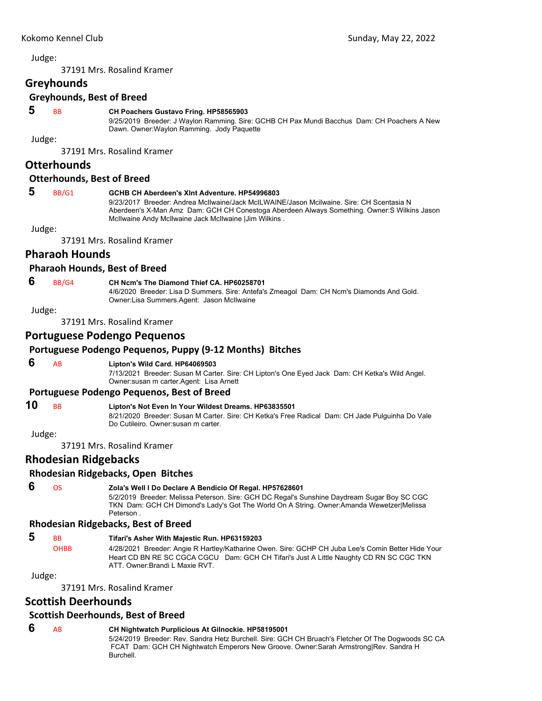37191 Mrs. Rosalind Kramer

## **Greyhounds**

## **Greyhounds, Best of Breed**

## **5** BB **CH Poachers Gustavo Fring. HP58565903**

9/25/2019 Breeder: J Waylon Ramming. Sire: GCHB CH Pax Mundi Bacchus Dam: CH Poachers A New Dawn. Owner:Waylon Ramming. Jody Paquette

Judge:

37191 Mrs. Rosalind Kramer

#### **Otterhounds**

#### **Otterhounds, Best of Breed**

#### **5** BB/G1 **GCHB CH Aberdeen's Xlnt Adventure. HP54996803**

9/23/2017 Breeder: Andrea McIlwaine/Jack McILWAINE/Jason Mcilwaine. Sire: CH Scentasia N Aberdeen's X-Man Amz Dam: GCH CH Conestoga Aberdeen Always Something. Owner:S Wilkins Jason McIlwaine Andy McIlwaine Jack McIlwaine |Jim Wilkins .

Judge:

37191 Mrs. Rosalind Kramer

### **Pharaoh Hounds**

#### **Pharaoh Hounds, Best of Breed**

#### **6** BB/G4 **CH Ncm's The Diamond Thief CA. HP60258701**

4/6/2020 Breeder: Lisa D Summers. Sire: Antefa's Zmeagol Dam: CH Ncm's Diamonds And Gold.

Owner:Lisa Summers.Agent: Jason McIlwaine

Judge:

37191 Mrs. Rosalind Kramer

#### **Portuguese Podengo Pequenos**

#### **Portuguese Podengo Pequenos, Puppy (9‐12 Months) Bitches**

#### **6** AB **Lipton's Wild Card. HP64069503**

7/13/2021 Breeder: Susan M Carter. Sire: CH Lipton's One Eyed Jack Dam: CH Ketka's Wild Angel. Owner:susan m carter.Agent: Lisa Arnett

#### **Portuguese Podengo Pequenos, Best of Breed**

## **10** BB **Lipton's Not Even In Your Wildest Dreams. HP63835501**

8/21/2020 Breeder: Susan M Carter. Sire: CH Ketka's Free Radical Dam: CH Jade Pulguinha Do Vale Do Cutileiro. Owner:susan m carter.

Judge:

37191 Mrs. Rosalind Kramer

## **Rhodesian Ridgebacks**

#### **Rhodesian Ridgebacks, Open Bitches**

## **6** OS **Zola's Well I Do Declare A Bendicio Of Regal. HP57628601**

5/2/2019 Breeder: Melissa Peterson. Sire: GCH DC Regal's Sunshine Daydream Sugar Boy SC CGC TKN Dam: GCH CH Dimond's Lady's Got The World On A String. Owner:Amanda Wewetzer|Melissa Peterson .

### **Rhodesian Ridgebacks, Best of Breed**

## **5** BB **Tifari's Asher With Majestic Run. HP63159203**

OHBB 4/28/2021 Breeder: Angie R Hartley/Katharine Owen. Sire: GCHP CH Juba Lee's Comin Better Hide Your Heart CD BN RE SC CGCA CGCU Dam: GCH CH Tifari's Just A Little Naughty CD RN SC CGC TKN ATT. Owner:Brandi L Maxie RVT.

Judge:

37191 Mrs. Rosalind Kramer

## **Scottish Deerhounds**

### **Scottish Deerhounds, Best of Breed**

### **6** AB **CH Nightwatch Purplicious At Gilnockie. HP58195001**

5/24/2019 Breeder: Rev. Sandra Hetz Burchell. Sire: GCH CH Bruach's Fletcher Of The Dogwoods SC CA FCAT Dam: GCH CH Nightwatch Emperors New Groove. Owner:Sarah Armstrong|Rev. Sandra H Burchell.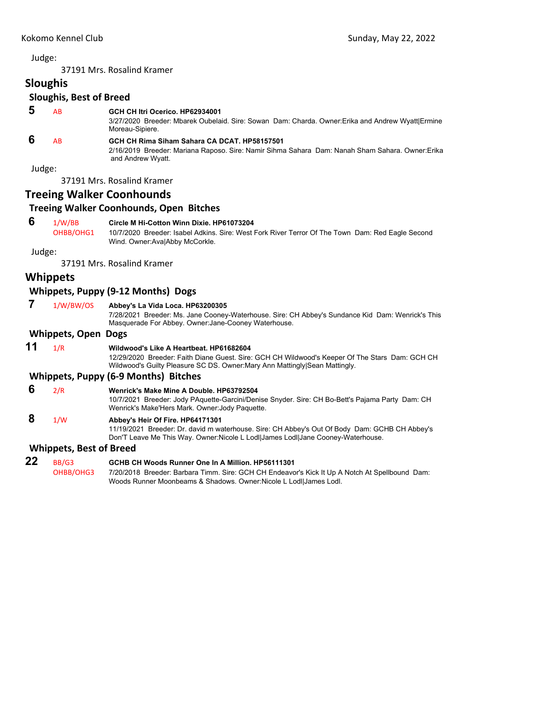37191 Mrs. Rosalind Kramer

| <b>Sloughis</b> |  |  |
|-----------------|--|--|
|                 |  |  |

## **Sloughis, Best of Breed**

| 5 | <b>AB</b> | GCH CH Itri Ocerico, HP62934001<br>3/27/2020 Breeder: Mbarek Oubelaid. Sire: Sowan Dam: Charda. Owner: Erika and Andrew Wyattl Ermine<br>Moreau-Sipiere.              |
|---|-----------|-----------------------------------------------------------------------------------------------------------------------------------------------------------------------|
| 6 | <b>AB</b> | GCH CH Rima Siham Sahara CA DCAT, HP58157501<br>2/16/2019 Breeder: Mariana Raposo. Sire: Namir Sihma Sahara Dam: Nanah Sham Sahara. Owner: Erika<br>and Andrew Wyatt. |

Judge:

37191 Mrs. Rosalind Kramer

## **Treeing Walker Coonhounds**

### **Treeing Walker Coonhounds, Open Bitches**

## **6** 1/W/BB **Circle M Hi-Cotton Winn Dixie. HP61073204**

OHBB/OHG1 10/7/2020 Breeder: Isabel Adkins. Sire: West Fork River Terror Of The Town Dam: Red Eagle Second Wind. Owner:Ava|Abby McCorkle.

Judge:

37191 Mrs. Rosalind Kramer

## **Whippets**

### **Whippets, Puppy (9‐12 Months) Dogs**

 **7** 1/W/BW/OS **Abbey's La Vida Loca. HP63200305**

7/28/2021 Breeder: Ms. Jane Cooney-Waterhouse. Sire: CH Abbey's Sundance Kid Dam: Wenrick's This Masquerade For Abbey. Owner:Jane-Cooney Waterhouse.

#### **Whippets, Open Dogs**

| 11 | 1/R                            | Wildwood's Like A Heartbeat. HP61682604<br>12/29/2020 Breeder: Faith Diane Guest. Sire: GCH CH Wildwood's Keeper Of The Stars Dam: GCH CH<br>Wildwood's Guilty Pleasure SC DS. Owner: Mary Ann Mattingly Sean Mattingly. |
|----|--------------------------------|--------------------------------------------------------------------------------------------------------------------------------------------------------------------------------------------------------------------------|
|    |                                | Whippets, Puppy (6-9 Months) Bitches                                                                                                                                                                                     |
| 6  | 2/R                            | Wenrick's Make Mine A Double, HP63792504<br>10/7/2021 Breeder: Jody PAquette-Garcini/Denise Snyder. Sire: CH Bo-Bett's Pajama Party Dam: CH<br>Wenrick's Make'Hers Mark. Owner Jody Paquette.                            |
| 8  | 1/W                            | Abbey's Heir Of Fire. HP64171301<br>11/19/2021 Breeder: Dr. david m waterhouse. Sire: CH Abbey's Out Of Body Dam: GCHB CH Abbey's<br>Don'T Leave Me This Way. Owner: Nicole L Lodl James Lodl Jane Cooney-Waterhouse.    |
|    | <b>Whippets, Best of Breed</b> |                                                                                                                                                                                                                          |
| 22 | BB/G3<br>OHBB/OHG3             | GCHB CH Woods Runner One In A Million, HP56111301<br>7/20/2018 Breeder: Barbara Timm. Sire: GCH CH Endeavor's Kick It Up A Notch At Spellbound Dam:                                                                      |

Woods Runner Moonbeams & Shadows. Owner:Nicole L Lodl|James Lodl.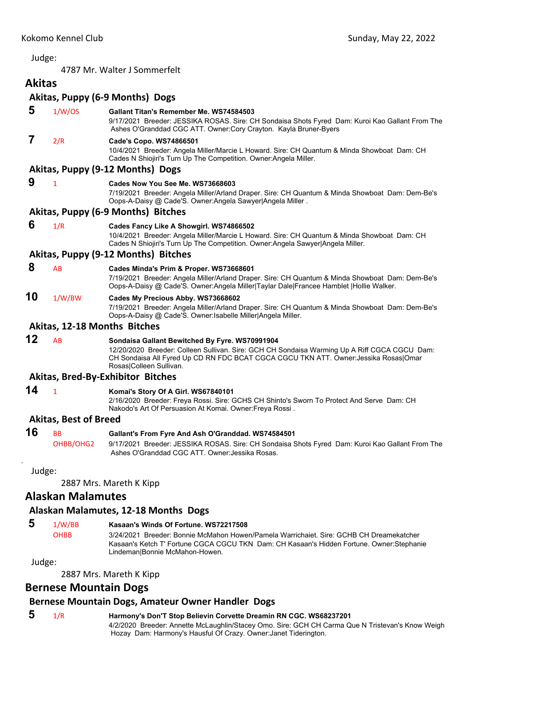4787 Mr. Walter J Sommerfelt

#### <span id="page-15-0"></span>**Akitas Akitas, Puppy (6‐9 Months) Dogs**

|        |                              | ANILAS, PUPPY (0-5 MONTHIS) DOSS                                                                                                                                                                                                                                  |
|--------|------------------------------|-------------------------------------------------------------------------------------------------------------------------------------------------------------------------------------------------------------------------------------------------------------------|
| 5      | 1/W/OS                       | Gallant Titan's Remember Me. WS74584503<br>9/17/2021 Breeder: JESSIKA ROSAS. Sire: CH Sondaisa Shots Fyred Dam: Kuroi Kao Gallant From The<br>Ashes O'Granddad CGC ATT. Owner:Cory Crayton. Kayla Bruner-Byers                                                    |
| 7      | 2/R                          | Cade's Copo. WS74866501<br>10/4/2021 Breeder: Angela Miller/Marcie L Howard. Sire: CH Quantum & Minda Showboat Dam: CH<br>Cades N Shiojiri's Turn Up The Competition. Owner: Angela Miller.                                                                       |
|        |                              | Akitas, Puppy (9-12 Months) Dogs                                                                                                                                                                                                                                  |
| 9      | $\mathbf{1}$                 | Cades Now You See Me. WS73668603<br>7/19/2021 Breeder: Angela Miller/Arland Draper. Sire: CH Quantum & Minda Showboat Dam: Dem-Be's<br>Oops-A-Daisy @ Cade'S. Owner:Angela Sawyer Angela Miller.                                                                  |
|        |                              | Akitas, Puppy (6-9 Months) Bitches                                                                                                                                                                                                                                |
| 6      | 1/R                          | Cades Fancy Like A Showgirl. WS74866502<br>10/4/2021 Breeder: Angela Miller/Marcie L Howard. Sire: CH Quantum & Minda Showboat Dam: CH<br>Cades N Shiojiri's Turn Up The Competition. Owner: Angela Sawyer Angela Miller.                                         |
|        |                              | Akitas, Puppy (9-12 Months) Bitches                                                                                                                                                                                                                               |
| 8      | AB                           | Cades Minda's Prim & Proper. WS73668601<br>7/19/2021 Breeder: Angela Miller/Arland Draper. Sire: CH Quantum & Minda Showboat Dam: Dem-Be's<br>Oops-A-Daisy @ Cade'S. Owner:Angela Miller Taylar Dale Francee Hamblet  Hollie Walker.                              |
| 10     | 1/W/BW                       | Cades My Precious Abby. WS73668602<br>7/19/2021 Breeder: Angela Miller/Arland Draper. Sire: CH Quantum & Minda Showboat Dam: Dem-Be's<br>Oops-A-Daisy @ Cade'S. Owner: Isabelle Miller Angela Miller.                                                             |
|        |                              | Akitas, 12-18 Months Bitches                                                                                                                                                                                                                                      |
| 12     | <b>AB</b>                    | Sondaisa Gallant Bewitched By Fyre. WS70991904<br>12/20/2020 Breeder: Colleen Sullivan. Sire: GCH CH Sondaisa Warming Up A Riff CGCA CGCU Dam:<br>CH Sondaisa All Fyred Up CD RN FDC BCAT CGCA CGCU TKN ATT. Owner: Jessika Rosas Omar<br>Rosas Colleen Sullivan. |
|        |                              | <b>Akitas, Bred-By-Exhibitor Bitches</b>                                                                                                                                                                                                                          |
| 14     | $\mathbf{1}$                 | Komai's Story Of A Girl. WS67840101<br>2/16/2020 Breeder: Freya Rossi. Sire: GCHS CH Shinto's Sworn To Protect And Serve Dam: CH<br>Nakodo's Art Of Persuasion At Komai. Owner: Freya Rossi.                                                                      |
|        | <b>Akitas, Best of Breed</b> |                                                                                                                                                                                                                                                                   |
| 16     | <b>BB</b><br>OHBB/OHG2       | Gallant's From Fyre And Ash O'Granddad. WS74584501<br>9/17/2021 Breeder: JESSIKA ROSAS. Sire: CH Sondaisa Shots Fyred Dam: Kuroi Kao Gallant From The<br>Ashes O'Granddad CGC ATT, Owner: Jessika Rosas,                                                          |
| Judge: |                              |                                                                                                                                                                                                                                                                   |
|        |                              |                                                                                                                                                                                                                                                                   |

2887 Mrs. Mareth K Kipp

## **Alaskan Malamutes**

## **Alaskan Malamutes, 12‐18 Months Dogs**

# **5** 1/W/BB **Kasaan's Winds Of Fortune. WS72217508**

3/24/2021 Breeder: Bonnie McMahon Howen/Pamela Warrichaiet. Sire: GCHB CH Dreamekatcher Kasaan's Ketch T' Fortune CGCA CGCU TKN Dam: CH Kasaan's Hidden Fortune. Owner:Stephanie Lindeman|Bonnie McMahon-Howen.

## Judge:

2887 Mrs. Mareth K Kipp

## **Bernese Mountain Dogs**

## **Bernese Mountain Dogs, Amateur Owner Handler Dogs**

## **5** 1/R **Harmony's Don'T Stop Believin Corvette Dreamin RN CGC. WS68237201**

4/2/2020 Breeder: Annette McLaughlin/Stacey Omo. Sire: GCH CH Carma Que N Tristevan's Know Weigh Hozay Dam: Harmony's Hausful Of Crazy. Owner:Janet Tiderington.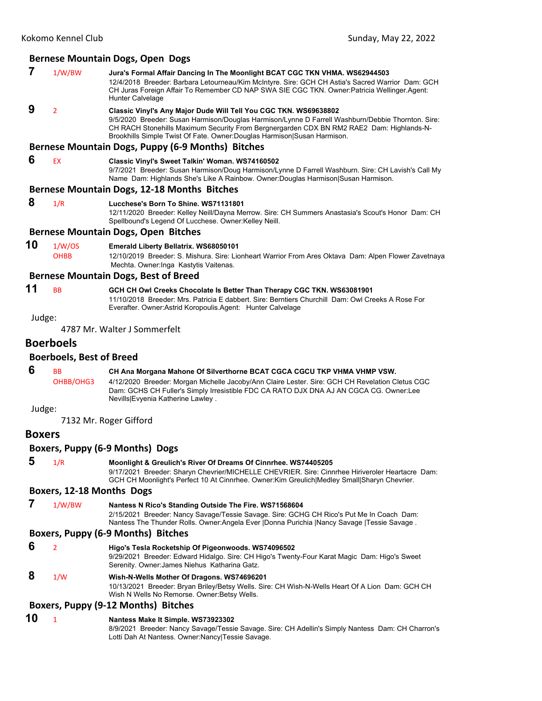#### **Bernese Mountain Dogs, Open Dogs**

|   | 1/W/BW | Jura's Formal Affair Dancing In The Moonlight BCAT CGC TKN VHMA. WS62944503<br>12/4/2018 Breeder: Barbara Letourneau/Kim McIntyre. Sire: GCH CH Astia's Sacred Warrior Dam: GCH<br>CH Juras Foreign Affair To Remember CD NAP SWA SIE CGC TKN. Owner: Patricia Wellinger. Agent:<br>Hunter Calvelage                                          |
|---|--------|-----------------------------------------------------------------------------------------------------------------------------------------------------------------------------------------------------------------------------------------------------------------------------------------------------------------------------------------------|
| 9 |        | Classic Vinyl's Any Major Dude Will Tell You CGC TKN. WS69638802<br>9/5/2020 Breeder: Susan Harmison/Douglas Harmison/Lynne D Farrell Washburn/Debbie Thornton. Sire:<br>CH RACH Stonehills Maximum Security From Bergnergarden CDX BN RM2 RAE2 Dam: Highlands-N-<br>Brookhills Simple Twist Of Fate. Owner: Douglas Harmison Susan Harmison. |

#### **Bernese Mountain Dogs, Puppy (6‐9 Months) Bitches**

#### **6** EX **Classic Vinyl's Sweet Talkin' Woman. WS74160502** 9/7/2021 Breeder: Susan Harmison/Doug Harmison/Lynne D Farrell Washburn. Sire: CH Lavish's Call My

Name Dam: Highlands She's Like A Rainbow. Owner:Douglas Harmison|Susan Harmison.

#### **Bernese Mountain Dogs, 12‐18 Months Bitches**

 **8** 1/R **Lucchese's Born To Shine. WS71131801**

12/11/2020 Breeder: Kelley Neill/Dayna Merrow. Sire: CH Summers Anastasia's Scout's Honor Dam: CH Spellbound's Legend Of Lucchese. Owner:Kelley Neill.

#### **Bernese Mountain Dogs, Open Bitches**

#### **10** 1/W/OS **Emerald Liberty Bellatrix. WS68050101**

OHBB 12/10/2019 Breeder: S. Mishura. Sire: Lionheart Warrior From Ares Oktava Dam: Alpen Flower Zavetnaya Mechta. Owner:Inga Kastytis Vaitenas.

#### **Bernese Mountain Dogs, Best of Breed**

## **11** BB **GCH CH Owl Creeks Chocolate Is Better Than Therapy CGC TKN. WS63081901**

11/10/2018 Breeder: Mrs. Patricia E dabbert. Sire: Berntiers Churchill Dam: Owl Creeks A Rose For Everafter. Owner:Astrid Koropoulis.Agent: Hunter Calvelage

Judge:

4787 Mr. Walter J Sommerfelt

#### **Boerboels**

#### **Boerboels, Best of Breed**

**6** BB **CH Ana Morgana Mahone Of Silverthorne BCAT CGCA CGCU TKP VHMA VHMP VSW.** OHBB/OHG3 4/12/2020 Breeder: Morgan Michelle Jacoby/Ann Claire Lester. Sire: GCH CH Revelation Cletus CGC

Dam: GCHS CH Fuller's Simply Irresistible FDC CA RATO DJX DNA AJ AN CGCA CG. Owner:Lee Nevills|Evyenia Katherine Lawley .

# Judge:

## **Boxers**

#### **Boxers, Puppy (6‐9 Months) Dogs**

7132 Mr. Roger Gifford

 **5** 1/R **Moonlight & Greulich's River Of Dreams Of Cinnrhee. WS74405205** 9/17/2021 Breeder: Sharyn Chevrier/MICHELLE CHEVRIER. Sire: Cinnrhee Hiriveroler Heartacre Dam: GCH CH Moonlight's Perfect 10 At Cinnrhee. Owner:Kim Greulich|Medley Small|Sharyn Chevrier.

#### **Boxers, 12‐18 Months Dogs**

 **7** 1/W/BW **Nantess N Rico's Standing Outside The Fire. WS71568604** 2/15/2021 Breeder: Nancy Savage/Tessie Savage. Sire: GCHG CH Rico's Put Me In Coach Dam: Nantess The Thunder Rolls. Owner:Angela Ever |Donna Purichia |Nancy Savage |Tessie Savage .

#### **Boxers, Puppy (6‐9 Months) Bitches**

- **6** <sup>2</sup> **Higo's Tesla Rocketship Of Pigeonwoods. WS74096502** 9/29/2021 Breeder: Edward Hidalgo. Sire: CH Higo's Twenty-Four Karat Magic Dam: Higo's Sweet Serenity. Owner:James Niehus Katharina Gatz.  **8** 1/W **Wish-N-Wells Mother Of Dragons. WS74696201**
	- 10/13/2021 Breeder: Bryan Briley/Betsy Wells. Sire: CH Wish-N-Wells Heart Of A Lion Dam: GCH CH Wish N Wells No Remorse. Owner:Betsy Wells.

#### **Boxers, Puppy (9‐12 Months) Bitches**

#### **10** <sup>1</sup> **Nantess Make It Simple. WS73923302** 8/9/2021 Breeder: Nancy Savage/Tessie Savage. Sire: CH Adellin's Simply Nantess Dam: CH Charron's Lotti Dah At Nantess. Owner:Nancy|Tessie Savage.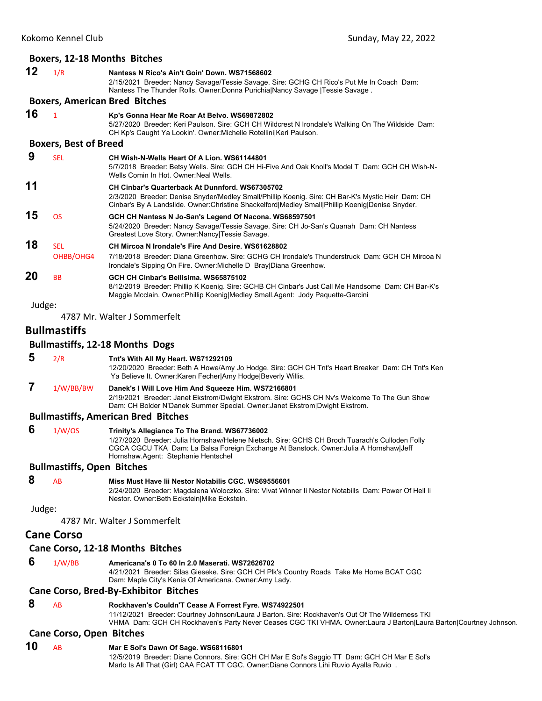## **Boxers, 12‐18 Months Bitches**

|        |                                   | Boxers, 12-18 Months Bitches                                                                                                                                                                                                                                                     |
|--------|-----------------------------------|----------------------------------------------------------------------------------------------------------------------------------------------------------------------------------------------------------------------------------------------------------------------------------|
| 12     | 1/R                               | Nantess N Rico's Ain't Goin' Down. WS71568602<br>2/15/2021 Breeder: Nancy Savage/Tessie Savage. Sire: GCHG CH Rico's Put Me In Coach Dam:<br>Nantess The Thunder Rolls. Owner:Donna Purichia Nancy Savage  Tessie Savage.                                                        |
|        |                                   | <b>Boxers, American Bred Bitches</b>                                                                                                                                                                                                                                             |
| 16     | $\mathbf{1}$                      | Kp's Gonna Hear Me Roar At Belvo. WS69872802<br>5/27/2020 Breeder: Keri Paulson. Sire: GCH CH Wildcrest N Irondale's Walking On The Wildside Dam:<br>CH Kp's Caught Ya Lookin'. Owner: Michelle Rotellini Keri Paulson.                                                          |
|        | <b>Boxers, Best of Breed</b>      |                                                                                                                                                                                                                                                                                  |
| 9      | <b>SEL</b>                        | CH Wish-N-Wells Heart Of A Lion. WS61144801<br>5/7/2018 Breeder: Betsy Wells. Sire: GCH CH Hi-Five And Oak Knoll's Model T Dam: GCH CH Wish-N-<br>Wells Comin In Hot. Owner: Neal Wells.                                                                                         |
| 11     |                                   | <b>CH Cinbar's Quarterback At Dunnford. WS67305702</b><br>2/3/2020 Breeder: Denise Snyder/Medley Small/Phillip Koenig. Sire: CH Bar-K's Mystic Heir Dam: CH<br>Cinbar's By A Landslide. Owner: Christine Shackelford   Medley Small   Phillip Koenig   Denise Snyder.            |
| 15     | <b>OS</b>                         | GCH CH Nantess N Jo-San's Legend Of Nacona. WS68597501<br>5/24/2020 Breeder: Nancy Savage/Tessie Savage. Sire: CH Jo-San's Quanah Dam: CH Nantess<br>Greatest Love Story. Owner: Nancy Tessie Savage.                                                                            |
| 18     | <b>SEL</b><br>OHBB/OHG4           | CH Mircoa N Irondale's Fire And Desire, WS61628802<br>7/18/2018 Breeder: Diana Greenhow. Sire: GCHG CH Irondale's Thunderstruck Dam: GCH CH Mircoa N<br>Irondale's Sipping On Fire. Owner: Michelle D Bray Diana Greenhow.                                                       |
| 20     | <b>BB</b>                         | GCH CH Cinbar's Bellisima. WS65875102<br>8/12/2019 Breeder: Phillip K Koenig. Sire: GCHB CH Cinbar's Just Call Me Handsome Dam: CH Bar-K's<br>Maggie Mcclain. Owner: Phillip Koenig Medley Small.Agent: Jody Paquette-Garcini                                                    |
| Judge: |                                   |                                                                                                                                                                                                                                                                                  |
|        |                                   | 4787 Mr. Walter J Sommerfelt                                                                                                                                                                                                                                                     |
|        | <b>Bullmastiffs</b>               |                                                                                                                                                                                                                                                                                  |
|        |                                   | <b>Bullmastiffs, 12-18 Months Dogs</b>                                                                                                                                                                                                                                           |
| 5      | 2/R                               | Tnt's With All My Heart. WS71292109<br>12/20/2020 Breeder: Beth A Howe/Amy Jo Hodge. Sire: GCH CH Tnt's Heart Breaker Dam: CH Tnt's Ken<br>Ya Believe It. Owner: Karen Fecher Amy Hodge Beverly Willis.                                                                          |
| 7      | 1/W/BB/BW                         | Danek's I Will Love Him And Squeeze Him. WS72166801<br>2/19/2021 Breeder: Janet Ekstrom/Dwight Ekstrom. Sire: GCHS CH Nv's Welcome To The Gun Show<br>Dam: CH Bolder N'Danek Summer Special. Owner: Janet Ekstrom Dwight Ekstrom.                                                |
|        |                                   | <b>Bullmastiffs, American Bred Bitches</b>                                                                                                                                                                                                                                       |
| 6      | 1/W/OS                            | Trinity's Allegiance To The Brand. WS67736002<br>1/27/2020 Breeder: Julia Hornshaw/Helene Nietsch. Sire: GCHS CH Broch Tuarach's Culloden Folly<br>CGCA CGCU TKA Dam: La Balsa Foreign Exchange At Banstock. Owner: Julia A Hornshaw Jeff<br>Hornshaw.Agent: Stephanie Hentschel |
|        | <b>Bullmastiffs, Open Bitches</b> |                                                                                                                                                                                                                                                                                  |
| 8      | AB                                | Miss Must Have lii Nestor Notabilis CGC. WS69556601<br>2/24/2020 Breeder: Magdalena Woloczko. Sire: Vivat Winner li Nestor Notabills Dam: Power Of Hell li<br>Nestor. Owner: Beth Eckstein Mike Eckstein.                                                                        |
| Judge: |                                   | 4787 Mr. Walter J Sommerfelt                                                                                                                                                                                                                                                     |
|        | <b>Cane Corso</b>                 |                                                                                                                                                                                                                                                                                  |
|        |                                   | Cane Corso, 12-18 Months Bitches                                                                                                                                                                                                                                                 |
| 6      | 1/W/BB                            | Americana's 0 To 60 In 2.0 Maserati. WS72626702<br>4/21/2021 Breeder: Silas Gieseke. Sire: GCH CH Plk's Country Roads Take Me Home BCAT CGC<br>Dam: Maple City's Kenia Of Americana. Owner: Amy Lady.                                                                            |
|        |                                   | <b>Cane Corso, Bred-By-Exhibitor Bitches</b>                                                                                                                                                                                                                                     |
| 8      | AB                                | Rockhaven's Couldn'T Cease A Forrest Fyre. WS74922501<br>11/12/2021 Breeder: Courtney Johnson/Laura J Barton. Sire: Rockhaven's Out Of The Wilderness TKI<br>VHMA Dam: GCH CH Rockhaven's Party Never Ceases CGC TKI VHMA. Owner:Laura J Barton Laura Barton Courtney Johnson.   |
|        | <b>Cane Corso, Open Bitches</b>   |                                                                                                                                                                                                                                                                                  |

## **10** AB **Mar E Sol's Dawn Of Sage. WS68116801**

12/5/2019 Breeder: Diane Connors. Sire: GCH CH Mar E Sol's Saggio TT Dam: GCH CH Mar E Sol's Marlo Is All That (Girl) CAA FCAT TT CGC. Owner:Diane Connors Lihi Ruvio Ayalla Ruvio .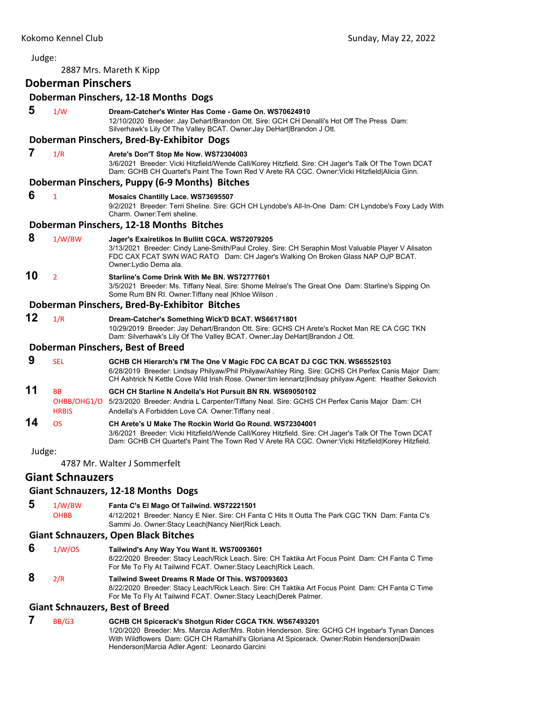Judge: 2887 Mrs. Mareth K Kipp **Doberman Pinschers Doberman Pinschers, 12‐18 Months Dogs 5** 1/W **Dream-Catcher's Winter Has Come - Game On. WS70624910** 12/10/2020 Breeder: Jay Dehart/Brandon Ott. Sire: GCH CH Denalli's Hot Off The Press Dam: Silverhawk's Lily Of The Valley BCAT. Owner:Jay DeHart|Brandon J Ott. **Doberman Pinschers, Bred‐By‐Exhibitor Dogs 7** 1/R **Arete's Don'T Stop Me Now. WS72304003** 3/6/2021 Breeder: Vicki Hitzfield/Wende Call/Korey Hitzfield. Sire: CH Jager's Talk Of The Town DCAT Dam: GCHB CH Quartet's Paint The Town Red V Arete RA CGC. Owner:Vicki Hitzfield|Alicia Ginn. **Doberman Pinschers, Puppy (6‐9 Months) Bitches 6** <sup>1</sup> **Mosaics Chantilly Lace. WS73695507** 9/2/2021 Breeder: Terri Sheline. Sire: GCH CH Lyndobe's All-In-One Dam: CH Lyndobe's Foxy Lady With Charm. Owner:Terri sheline. **Doberman Pinschers, 12‐18 Months Bitches 8** 1/W/BW **Jager's Exairetikos In Bullitt CGCA. WS72079205** 3/13/2021 Breeder: Cindy Lane-Smith/Paul Croley. Sire: CH Seraphin Most Valuable Player V Alisaton FDC CAX FCAT SWN WAC RATO Dam: CH Jager's Walking On Broken Glass NAP OJP BCAT. Owner:Lydio Dema ala. **10** <sup>2</sup> **Starline's Come Drink With Me BN. WS72777601** 3/5/2021 Breeder: Ms. Tiffany Neal. Sire: Shome Melrae's The Great One Dam: Starline's Sipping On Some Rum BN RI. Owner:Tiffany neal |Khloe Wilson . **Doberman Pinschers, Bred‐By‐Exhibitor Bitches 12** 1/R **Dream-Catcher's Something Wick'D BCAT. WS66171801** 10/29/2019 Breeder: Jay Dehart/Brandon Ott. Sire: GCHS CH Arete's Rocket Man RE CA CGC TKN Dam: Silverhawk's Lily Of The Valley BCAT. Owner:Jay DeHart|Brandon J Ott. **Doberman Pinschers, Best of Breed 9** SEL **GCHB CH Hierarch's I'M The One V Magic FDC CA BCAT DJ CGC TKN. WS65525103** 6/28/2019 Breeder: Lindsay Philyaw/Phil Philyaw/Ashley Ring. Sire: GCHS CH Perfex Canis Major Dam: CH Ashtrick N Kettle Cove Wild Irish Rose. Owner:tim lennartz|lindsay philyaw.Agent: Heather Sekovich **11** BB **GCH CH Starline N Andella's Hot Pursuit BN RN. WS69050102** OHBB/OHG1/O 5/23/2020 Breeder: Andria L Carpenter/Tiffany Neal. Sire: GCHS CH Perfex Canis Major Dam: CH HRBIS Andella's A Forbidden Love CA. Owner: Tiffany neal. **14** OS **CH Arete's U Make The Rockin World Go Round. WS72304001** 3/6/2021 Breeder: Vicki Hitzfield/Wende Call/Korey Hitzfield. Sire: CH Jager's Talk Of The Town DCAT Dam: GCHB CH Quartet's Paint The Town Red V Arete RA CGC. Owner:Vicki Hitzfield|Korey Hitzfield. Judge: 4787 Mr. Walter J Sommerfelt **Giant Schnauzers Giant Schnauzers, 12‐18 Months Dogs 5** 1/W/BW **Fanta C's El Mago Of Tailwind. WS72221501** OHBB 4/12/2021 Breeder: Nancy E Nier. Sire: CH Fanta C Hits It Outta The Park CGC TKN Dam: Fanta C's Sammi Jo. Owner:Stacy Leach|Nancy Nier|Rick Leach. **Giant Schnauzers, Open Black Bitches 6** 1/W/OS **Tailwind's Any Way You Want It. WS70093601** 8/22/2020 Breeder: Stacy Leach/Rick Leach. Sire: CH Taktika Art Focus Point Dam: CH Fanta C Time For Me To Fly At Tailwind FCAT. Owner:Stacy Leach|Rick Leach.  **8** 2/R **Tailwind Sweet Dreams R Made Of This. WS70093603** 8/22/2020 Breeder: Stacy Leach/Rick Leach. Sire: CH Taktika Art Focus Point Dam: CH Fanta C Time For Me To Fly At Tailwind FCAT. Owner:Stacy Leach|Derek Palmer.

#### **Giant Schnauzers, Best of Breed**

#### **7** BB/G3 **GCHB CH Spicerack's Shotgun Rider CGCA TKN. WS67493201** 1/20/2020 Breeder: Mrs. Marcia Adler/Mrs. Robin Henderson. Sire: GCHG CH Ingebar's Tynan Dances With Wildflowers Dam: GCH CH Ramahill's Gloriana At Spicerack. Owner:Robin Henderson|Dwain Henderson|Marcia Adler.Agent: Leonardo Garcini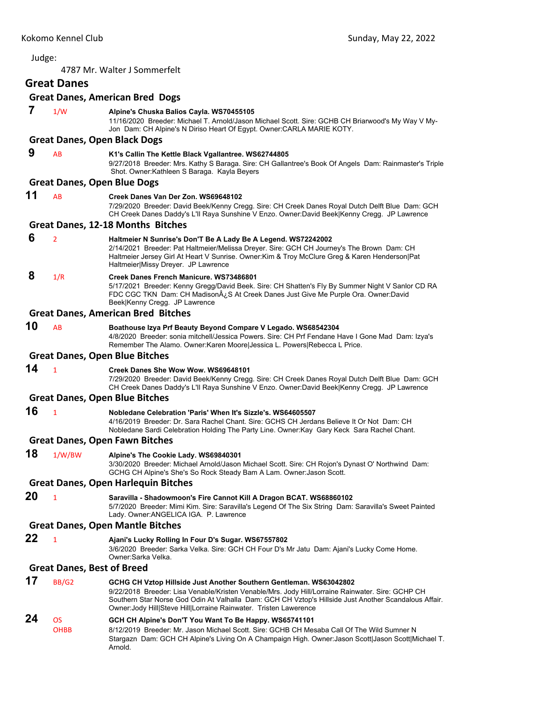4787 Mr. Walter J Sommerfelt

# **Great Danes**

|    |                                    | <b>Great Danes, American Bred Dogs</b>                                                                                                                                                                                                                                                                                                               |
|----|------------------------------------|------------------------------------------------------------------------------------------------------------------------------------------------------------------------------------------------------------------------------------------------------------------------------------------------------------------------------------------------------|
| 7  | 1/W                                | Alpine's Chuska Balios Cayla. WS70455105<br>11/16/2020 Breeder: Michael T. Arnold/Jason Michael Scott. Sire: GCHB CH Briarwood's My Way V My-<br>Jon Dam: CH Alpine's N Diriso Heart Of Egypt. Owner: CARLA MARIE KOTY.                                                                                                                              |
|    |                                    | <b>Great Danes, Open Black Dogs</b>                                                                                                                                                                                                                                                                                                                  |
| 9  | AB                                 | K1's Callin The Kettle Black Vgallantree. WS62744805<br>9/27/2018 Breeder: Mrs. Kathy S Baraga. Sire: CH Gallantree's Book Of Angels Dam: Rainmaster's Triple<br>Shot. Owner: Kathleen S Baraga. Kayla Beyers                                                                                                                                        |
|    | <b>Great Danes, Open Blue Dogs</b> |                                                                                                                                                                                                                                                                                                                                                      |
| 11 | AB                                 | Creek Danes Van Der Zon. WS69648102<br>7/29/2020 Breeder: David Beek/Kenny Cregg. Sire: CH Creek Danes Royal Dutch Delft Blue Dam: GCH<br>CH Creek Danes Daddy's L'Il Raya Sunshine V Enzo. Owner:David Beek Kenny Cregg. JP Lawrence                                                                                                                |
|    |                                    | <b>Great Danes, 12-18 Months Bitches</b>                                                                                                                                                                                                                                                                                                             |
| 6  | 2                                  | Haltmeier N Sunrise's Don'T Be A Lady Be A Legend. WS72242002<br>2/14/2021 Breeder: Pat Haltmeier/Melissa Dreyer. Sire: GCH CH Journey's The Brown Dam: CH<br>Haltmeier Jersey Girl At Heart V Sunrise. Owner: Kim & Troy McClure Greg & Karen Henderson   Pat<br>Haltmeier Missy Dreyer. JP Lawrence                                                |
| 8  | 1/R                                | Creek Danes French Manicure, WS73486801<br>5/17/2021 Breeder: Kenny Gregg/David Beek. Sire: CH Shatten's Fly By Summer Night V Sanlor CD RA<br>FDC CGC TKN Dam: CH Madison $A_{\zeta}$ S At Creek Danes Just Give Me Purple Ora. Owner:David<br>Beek Kenny Cregg. JP Lawrence                                                                        |
|    |                                    | <b>Great Danes, American Bred Bitches</b>                                                                                                                                                                                                                                                                                                            |
| 10 | AB                                 | Boathouse Izya Prf Beauty Beyond Compare V Legado. WS68542304<br>4/8/2020 Breeder: sonia mitchell/Jessica Powers. Sire: CH Prf Fendane Have I Gone Mad Dam: Izya's<br>Remember The Alamo. Owner: Karen Moore Jessica L. Powers Rebecca L Price.                                                                                                      |
|    |                                    | <b>Great Danes, Open Blue Bitches</b>                                                                                                                                                                                                                                                                                                                |
| 14 | $\mathbf{1}$                       | Creek Danes She Wow Wow. WS69648101<br>7/29/2020 Breeder: David Beek/Kenny Cregg. Sire: CH Creek Danes Royal Dutch Delft Blue Dam: GCH<br>CH Creek Danes Daddy's L'Il Raya Sunshine V Enzo. Owner:David Beek Kenny Cregg. JP Lawrence                                                                                                                |
|    |                                    | <b>Great Danes, Open Blue Bitches</b>                                                                                                                                                                                                                                                                                                                |
| 16 | $\mathbf{1}$                       | Nobledane Celebration 'Paris' When It's Sizzle's. WS64605507<br>4/16/2019 Breeder: Dr. Sara Rachel Chant. Sire: GCHS CH Jerdans Believe It Or Not Dam: CH<br>Nobledane Sardi Celebration Holding The Party Line. Owner: Kay Gary Keck Sara Rachel Chant.                                                                                             |
|    |                                    | <b>Great Danes, Open Fawn Bitches</b>                                                                                                                                                                                                                                                                                                                |
| 18 | 1/W/BW                             | Alpine's The Cookie Lady. WS69840301<br>3/30/2020 Breeder: Michael Arnold/Jason Michael Scott. Sire: CH Rojon's Dynast O' Northwind Dam:<br>GCHG CH Alpine's She's So Rock Steady Bam A Lam. Owner: Jason Scott.                                                                                                                                     |
|    |                                    | <b>Great Danes, Open Harlequin Bitches</b>                                                                                                                                                                                                                                                                                                           |
| 20 | 1                                  | Saravilla - Shadowmoon's Fire Cannot Kill A Dragon BCAT. WS68860102<br>5/7/2020 Breeder: Mimi Kim. Sire: Saravilla's Legend Of The Six String Dam: Saravilla's Sweet Painted<br>Lady. Owner: ANGELICA IGA. P. Lawrence                                                                                                                               |
|    |                                    | <b>Great Danes, Open Mantle Bitches</b>                                                                                                                                                                                                                                                                                                              |
| 22 | $\mathbf{1}$                       | Ajani's Lucky Rolling In Four D's Sugar. WS67557802<br>3/6/2020 Breeder: Sarka Velka. Sire: GCH CH Four D's Mr Jatu Dam: Ajani's Lucky Come Home.<br>Owner:Sarka Velka.                                                                                                                                                                              |
|    | <b>Great Danes, Best of Breed</b>  |                                                                                                                                                                                                                                                                                                                                                      |
| 17 | <b>BB/G2</b>                       | GCHG CH Vztop Hillside Just Another Southern Gentleman. WS63042802<br>9/22/2018 Breeder: Lisa Venable/Kristen Venable/Mrs. Jody Hill/Lorraine Rainwater. Sire: GCHP CH<br>Southern Star Norse God Odin At Valhalla Dam: GCH CH Vztop's Hillside Just Another Scandalous Affair.<br>Owner: Jody Hill Steve Hill Lorraine Rainwater. Tristen Lawerence |
| 24 | OS                                 | GCH CH Alpine's Don'T You Want To Be Happy. WS65741101                                                                                                                                                                                                                                                                                               |

OHBB 8/12/2019 Breeder: Mr. Jason Michael Scott. Sire: GCHB CH Mesaba Call Of The Wild Sumner N Stargazn Dam: GCH CH Alpine's Living On A Champaign High. Owner:Jason Scott|Jason Scott|Michael T. Arnold.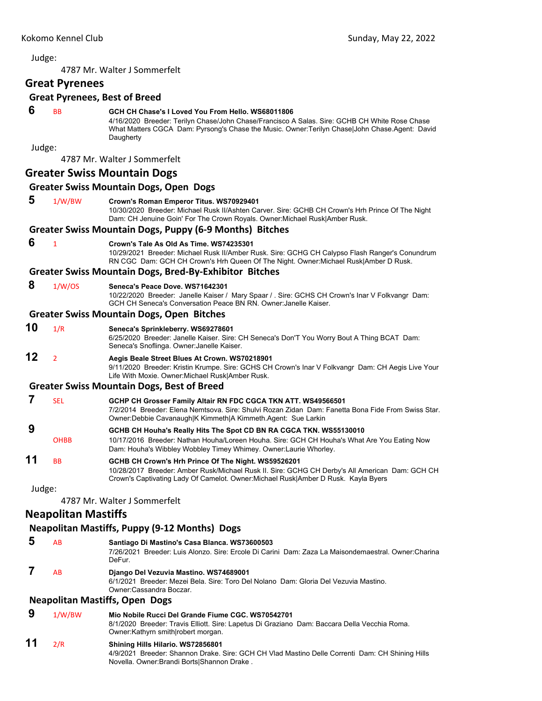4787 Mr. Walter J Sommerfelt

**Great Pyrenees**

#### **Great Pyrenees, Best of Breed**

#### **6** BB **GCH CH Chase's I Loved You From Hello. WS68011806**

4/16/2020 Breeder: Terilyn Chase/John Chase/Francisco A Salas. Sire: GCHB CH White Rose Chase What Matters CGCA Dam: Pyrsong's Chase the Music. Owner: Terilyn Chase|John Chase.Agent: David **Daugherty** 

Judge:

4787 Mr. Walter J Sommerfelt

#### **Greater Swiss Mountain Dogs**

#### **Greater Swiss Mountain Dogs, Open Dogs**

 **5** 1/W/BW **Crown's Roman Emperor Titus. WS70929401**

10/30/2020 Breeder: Michael Rusk II/Ashten Carver. Sire: GCHB CH Crown's Hrh Prince Of The Night Dam: CH Jenuine Goin' For The Crown Royals. Owner:Michael Rusk|Amber Rusk.

#### **Greater Swiss Mountain Dogs, Puppy (6‐9 Months) Bitches**

 **6** <sup>1</sup> **Crown's Tale As Old As Time. WS74235301**

10/29/2021 Breeder: Michael Rusk II/Amber Rusk. Sire: GCHG CH Calypso Flash Ranger's Conundrum RN CGC Dam: GCH CH Crown's Hrh Queen Of The Night. Owner:Michael Rusk|Amber D Rusk.

#### **Greater Swiss Mountain Dogs, Bred‐By‐Exhibitor Bitches**

 **8** 1/W/OS **Seneca's Peace Dove. WS71642301**

10/22/2020 Breeder: Janelle Kaiser / Mary Spaar / . Sire: GCHS CH Crown's Inar V Folkvangr Dam: GCH CH Seneca's Conversation Peace BN RN. Owner:Janelle Kaiser.

#### **Greater Swiss Mountain Dogs, Open Bitches**

### **10** 1/R **Seneca's Sprinkleberry. WS69278601**

6/25/2020 Breeder: Janelle Kaiser. Sire: CH Seneca's Don'T You Worry Bout A Thing BCAT Dam: Seneca's Snoflinga. Owner:Janelle Kaiser.

## **12** <sup>2</sup> **Aegis Beale Street Blues At Crown. WS70218901**

9/11/2020 Breeder: Kristin Krumpe. Sire: GCHS CH Crown's Inar V Folkvangr Dam: CH Aegis Live Your Life With Moxie. Owner:Michael Rusk|Amber Rusk.

#### **Greater Swiss Mountain Dogs, Best of Breed**

- **7** SEL **GCHP CH Grosser Family Altair RN FDC CGCA TKN ATT. WS49566501** 7/2/2014 Breeder: Elena Nemtsova. Sire: Shulvi Rozan Zidan Dam: Fanetta Bona Fide From Swiss Star. Owner:Debbie Cavanaugh|K Kimmeth|A Kimmeth.Agent: Sue Larkin
- **9 GCHB CH Houha's Really Hits The Spot CD BN RA CGCA TKN. WS55130010**
- OHBB 10/17/2016 Breeder: Nathan Houha/Loreen Houha. Sire: GCH CH Houha's What Are You Eating Now Dam: Houha's Wibbley Wobbley Timey Whimey. Owner:Laurie Whorley.

#### **11** BB **GCHB CH Crown's Hrh Prince Of The Night. WS59526201** 10/28/2017 Breeder: Amber Rusk/Michael Rusk II. Sire: GCHG CH Derby's All American Dam: GCH CH Crown's Captivating Lady Of Camelot. Owner:Michael Rusk|Amber D Rusk. Kayla Byers

Judge:

4787 Mr. Walter J Sommerfelt

### **Neapolitan Mastiffs**

### **Neapolitan Mastiffs, Puppy (9‐12 Months) Dogs**

 **5** AB **Santiago Di Mastino's Casa Blanca. WS73600503** 7/26/2021 Breeder: Luis Alonzo. Sire: Ercole Di Carini Dam: Zaza La Maisondemaestral. Owner:Charina DeFur.  **7** AB **Django Del Vezuvia Mastino. WS74689001**

> 6/1/2021 Breeder: Mezei Bela. Sire: Toro Del Nolano Dam: Gloria Del Vezuvia Mastino. Owner:Cassandra Boczar.

#### **Neapolitan Mastiffs, Open Dogs**

 **9** 1/W/BW **Mio Nobile Rucci Del Grande Fiume CGC. WS70542701**

8/1/2020 Breeder: Travis Elliott. Sire: Lapetus Di Graziano Dam: Baccara Della Vecchia Roma. Owner:Kathyrn smith|robert morgan.

**11** 2/R **Shining Hills Hilario. WS72856801** 4/9/2021 Breeder: Shannon Drake. Sire: GCH CH Vlad Mastino Delle Correnti Dam: CH Shining Hills Novella. Owner:Brandi Borts|Shannon Drake .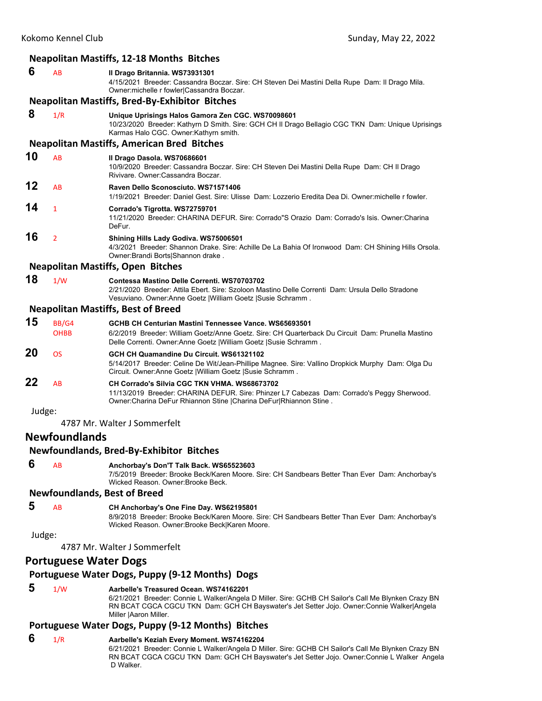|        |                              | <b>Neapolitan Mastiffs, 12-18 Months Bitches</b>                                                                                                                                                                                                                     |
|--------|------------------------------|----------------------------------------------------------------------------------------------------------------------------------------------------------------------------------------------------------------------------------------------------------------------|
| 6      | AB                           | Il Drago Britannia. WS73931301<br>4/15/2021 Breeder: Cassandra Boczar. Sire: CH Steven Dei Mastini Della Rupe Dam: Il Drago Mila.<br>Owner:michelle r fowler Cassandra Boczar.                                                                                       |
|        |                              | <b>Neapolitan Mastiffs, Bred-By-Exhibitor Bitches</b>                                                                                                                                                                                                                |
| 8      | 1/R                          | Unique Uprisings Halos Gamora Zen CGC. WS70098601<br>10/23/2020 Breeder: Kathyrn D Smith. Sire: GCH CH II Drago Bellagio CGC TKN Dam: Unique Uprisings<br>Karmas Halo CGC. Owner: Kathyrn smith.                                                                     |
|        |                              | <b>Neapolitan Mastiffs, American Bred Bitches</b>                                                                                                                                                                                                                    |
| 10     | AB                           | Il Drago Dasola. WS70686601<br>10/9/2020 Breeder: Cassandra Boczar. Sire: CH Steven Dei Mastini Della Rupe Dam: CH II Drago<br>Rivivare, Owner:Cassandra Boczar,                                                                                                     |
| 12     | AB                           | Raven Dello Sconosciuto, WS71571406<br>1/19/2021 Breeder: Daniel Gest, Sire: Ulisse Dam: Lozzerio Eredita Dea Di, Owner:michelle r fowler,                                                                                                                           |
| 14     | $\mathbf{1}$                 | Corrado's Tigrotta. WS72759701<br>11/21/2020 Breeder: CHARINA DEFUR. Sire: Corrado"S Orazio Dam: Corrado's Isis. Owner: Charina<br>DeFur.                                                                                                                            |
| 16     | $\overline{2}$               | Shining Hills Lady Godiva. WS75006501<br>4/3/2021 Breeder: Shannon Drake. Sire: Achille De La Bahia Of Ironwood Dam: CH Shining Hills Orsola.<br>Owner: Brandi Borts Shannon drake.                                                                                  |
|        |                              | <b>Neapolitan Mastiffs, Open Bitches</b>                                                                                                                                                                                                                             |
| 18     | 1/W                          | Contessa Mastino Delle Correnti, WS70703702<br>2/21/2020 Breeder: Attila Ebert. Sire: Szoloon Mastino Delle Correnti Dam: Ursula Dello Stradone<br>Vesuviano. Owner:Anne Goetz   William Goetz   Susie Schramm.                                                      |
|        |                              | <b>Neapolitan Mastiffs, Best of Breed</b>                                                                                                                                                                                                                            |
| 15     | BB/G4<br><b>OHBB</b>         | GCHB CH Centurian Mastini Tennessee Vance. WS65693501<br>6/2/2019 Breeder: William Goetz/Anne Goetz. Sire: CH Quarterback Du Circuit Dam: Prunella Mastino<br>Delle Correnti. Owner:Anne Goetz  William Goetz  Susie Schramm.                                        |
| 20     | <b>OS</b>                    | GCH CH Quamandine Du Circuit. WS61321102<br>5/14/2017 Breeder: Celine De Wit/Jean-Phillipe Magnee. Sire: Vallino Dropkick Murphy Dam: Olga Du<br>Circuit. Owner: Anne Goetz   William Goetz   Susie Schramm.                                                         |
| 22     | AB                           | CH Corrado's Silvia CGC TKN VHMA. WS68673702<br>11/13/2019 Breeder: CHARINA DEFUR. Sire: Phinzer L7 Cabezas Dam: Corrado's Peggy Sherwood.<br>Owner: Charina DeFur Rhiannon Stine   Charina DeFur  Rhiannon Stine.                                                   |
| Judge: |                              |                                                                                                                                                                                                                                                                      |
|        |                              | 4787 Mr. Walter J Sommerfelt                                                                                                                                                                                                                                         |
|        | <b>Newfoundlands</b>         |                                                                                                                                                                                                                                                                      |
|        |                              | <b>Newfoundlands, Bred-By-Exhibitor Bitches</b>                                                                                                                                                                                                                      |
| 6      | AB                           | Anchorbay's Don'T Talk Back. WS65523603<br>7/5/2019 Breeder: Brooke Beck/Karen Moore. Sire: CH Sandbears Better Than Ever Dam: Anchorbay's<br>Wicked Reason, Owner: Brooke Beck.                                                                                     |
|        |                              | <b>Newfoundlands, Best of Breed</b>                                                                                                                                                                                                                                  |
| 5      | AB                           | CH Anchorbay's One Fine Day. WS62195801<br>8/9/2018 Breeder: Brooke Beck/Karen Moore. Sire: CH Sandbears Better Than Ever Dam: Anchorbay's<br>Wicked Reason. Owner: Brooke Beck Karen Moore.                                                                         |
| Judge: |                              | 4787 Mr. Walter J Sommerfelt                                                                                                                                                                                                                                         |
|        | <b>Portuguese Water Dogs</b> |                                                                                                                                                                                                                                                                      |
|        |                              | Portuguese Water Dogs, Puppy (9-12 Months) Dogs                                                                                                                                                                                                                      |
|        |                              |                                                                                                                                                                                                                                                                      |
| 5      | 1/W                          | Aarbelle's Treasured Ocean. WS74162201<br>6/21/2021 Breeder: Connie L Walker/Angela D Miller. Sire: GCHB CH Sailor's Call Me Blynken Crazy BN<br>RN BCAT CGCA CGCU TKN Dam: GCH CH Bayswater's Jet Setter Jojo. Owner:Connie Walker Angela<br>Miller   Aaron Miller. |
|        |                              | Portuguese Water Dogs, Puppy (9-12 Months) Bitches                                                                                                                                                                                                                   |
| 6      | 1/R                          | Aarbelle's Keziah Every Moment. WS74162204                                                                                                                                                                                                                           |
|        |                              | 6/21/2021 Breeder: Connie L Walker/Angela D Miller. Sire: GCHB CH Sailor's Call Me Blynken Crazy BN<br>RN BCAT CGCA CGCU TKN Dam: GCH CH Bayswater's Jet Setter Jojo. Owner:Connie L Walker Angela                                                                   |

D Walker.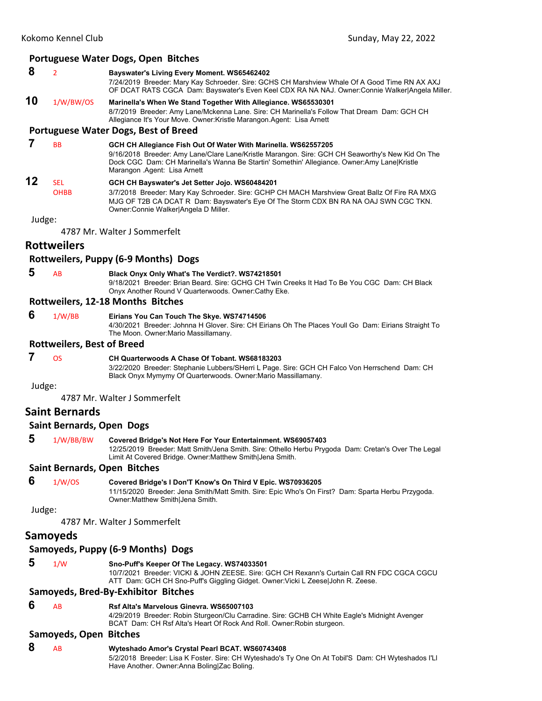#### **Portuguese Water Dogs, Open Bitches**

- **8** <sup>2</sup> **Bayswater's Living Every Moment. WS65462402**
- 7/24/2019 Breeder: Mary Kay Schroeder. Sire: GCHS CH Marshview Whale Of A Good Time RN AX AXJ OF DCAT RATS CGCA Dam: Bayswater's Even Keel CDX RA NA NAJ. Owner:Connie Walker|Angela Miller.
- **10** 1/W/BW/OS **Marinella's When We Stand Together With Allegiance. WS65530301** 8/7/2019 Breeder: Amy Lane/Mckenna Lane. Sire: CH Marinella's Follow That Dream Dam: GCH CH Allegiance It's Your Move. Owner:Kristle Marangon.Agent: Lisa Arnett

#### **Portuguese Water Dogs, Best of Breed**

#### **7** BB **GCH CH Allegiance Fish Out Of Water With Marinella. WS62557205**

9/16/2018 Breeder: Amy Lane/Clare Lane/Kristle Marangon. Sire: GCH CH Seaworthy's New Kid On The Dock CGC Dam: CH Marinella's Wanna Be Startin' Somethin' Allegiance. Owner:Amy Lane|Kristle Marangon .Agent: Lisa Arnett

## **12** SEL **GCH CH Bayswater's Jet Setter Jojo. WS60484201**

OHBB 3/7/2018 Breeder: Mary Kay Schroeder. Sire: GCHP CH MACH Marshview Great Ballz Of Fire RA MXG MJG OF T2B CA DCAT R Dam: Bayswater's Eye Of The Storm CDX BN RA NA OAJ SWN CGC TKN. Owner:Connie Walker|Angela D Miller.

Judge:

4787 Mr. Walter J Sommerfelt

### **Rottweilers**

#### **Rottweilers, Puppy (6‐9 Months) Dogs**

 **5** AB **Black Onyx Only What's The Verdict?. WS74218501** 9/18/2021 Breeder: Brian Beard. Sire: GCHG CH Twin Creeks It Had To Be You CGC Dam: CH Black Onyx Another Round V Quarterwoods. Owner:Cathy Eke.

#### **Rottweilers, 12‐18 Months Bitches**

 **6** 1/W/BB **Eirians You Can Touch The Skye. WS74714506**

4/30/2021 Breeder: Johnna H Glover. Sire: CH Eirians Oh The Places Youll Go Dam: Eirians Straight To The Moon. Owner:Mario Massillamany.

#### **Rottweilers, Best of Breed**

#### **7** OS **CH Quarterwoods A Chase Of Tobant. WS68183203**

3/22/2020 Breeder: Stephanie Lubbers/SHerri L Page. Sire: GCH CH Falco Von Herrschend Dam: CH Black Onyx Mymymy Of Quarterwoods. Owner:Mario Massillamany.

Judge:

4787 Mr. Walter J Sommerfelt

### **Saint Bernards**

#### **Saint Bernards, Open Dogs**

 **5** 1/W/BB/BW **Covered Bridge's Not Here For Your Entertainment. WS69057403** 12/25/2019 Breeder: Matt Smith/Jena Smith. Sire: Othello Herbu Prygoda Dam: Cretan's Over The Legal Limit At Covered Bridge. Owner:Matthew Smith|Jena Smith.

#### **Saint Bernards, Open Bitches**

 **6** 1/W/OS **Covered Bridge's I Don'T Know's On Third V Epic. WS70936205** 11/15/2020 Breeder: Jena Smith/Matt Smith. Sire: Epic Who's On First? Dam: Sparta Herbu Przygoda. Owner:Matthew Smith|Jena Smith.

Judge:

4787 Mr. Walter J Sommerfelt

### **Samoyeds**

## **Samoyeds, Puppy (6‐9 Months) Dogs**

### **5** 1/W **Sno-Puff's Keeper Of The Legacy. WS74033501**

10/7/2021 Breeder: VICKI & JOHN ZEESE. Sire: GCH CH Rexann's Curtain Call RN FDC CGCA CGCU ATT Dam: GCH CH Sno-Puff's Giggling Gidget. Owner:Vicki L Zeese|John R. Zeese.

### **Samoyeds, Bred‐By‐Exhibitor Bitches**

### **6** AB **Rsf Alta's Marvelous Ginevra. WS65007103**

4/29/2019 Breeder: Robin Sturgeon/Clu Carradine. Sire: GCHB CH White Eagle's Midnight Avenger BCAT Dam: CH Rsf Alta's Heart Of Rock And Roll. Owner:Robin sturgeon.

## **Samoyeds, Open Bitches**

 **8** AB **Wyteshado Amor's Crystal Pearl BCAT. WS60743408** 5/2/2018 Breeder: Lisa K Foster. Sire: CH Wyteshado's Ty One On At Tobil'S Dam: CH Wyteshados I'Ll Have Another. Owner:Anna Boling|Zac Boling.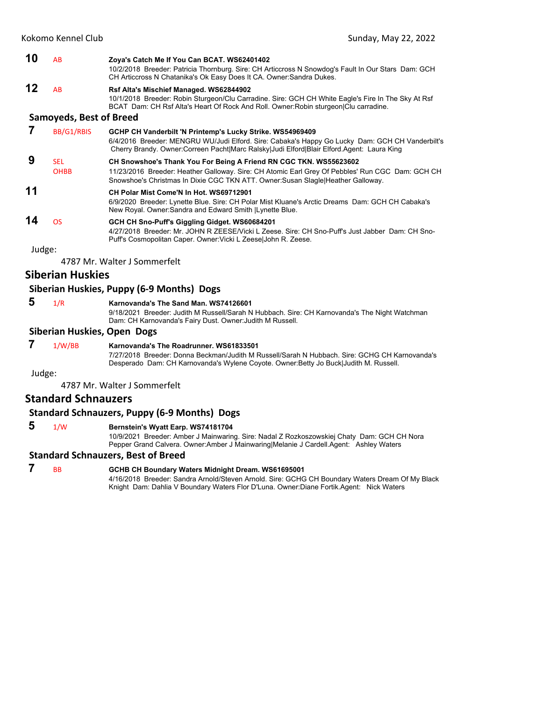| 10           | AB                                          | Zoya's Catch Me If You Can BCAT. WS62401402<br>10/2/2018 Breeder: Patricia Thornburg. Sire: CH Articcross N Snowdog's Fault In Our Stars Dam: GCH<br>CH Articcross N Chatanika's Ok Easy Does It CA. Owner: Sandra Dukes.                                 |
|--------------|---------------------------------------------|-----------------------------------------------------------------------------------------------------------------------------------------------------------------------------------------------------------------------------------------------------------|
| 12           | <b>AB</b><br><b>Samoyeds, Best of Breed</b> | Rsf Alta's Mischief Managed. WS62844902<br>10/1/2018 Breeder: Robin Sturgeon/Clu Carradine. Sire: GCH CH White Eagle's Fire In The Sky At Rsf<br>BCAT Dam: CH Rsf Alta's Heart Of Rock And Roll. Owner: Robin sturgeon Clu carradine.                     |
|              | BB/G1/RBIS                                  | GCHP CH Vanderbilt 'N Printemp's Lucky Strike. WS54969409<br>6/4/2016 Breeder: MENGRU WU/Judi Elford. Sire: Cabaka's Happy Go Lucky Dam: GCH CH Vanderbilt's<br>Cherry Brandy. Owner:Correen Pacht Marc Ralsky Judi Elford Blair Elford.Agent: Laura King |
| 9            | <b>SEL</b><br><b>OHBB</b>                   | CH Snowshoe's Thank You For Being A Friend RN CGC TKN. WS55623602<br>11/23/2016 Breeder: Heather Galloway. Sire: CH Atomic Earl Grey Of Pebbles' Run CGC Dam: GCH CH<br>Snowshoe's Christmas In Dixie CGC TKN ATT. Owner: Susan Slagle Heather Galloway.  |
| 11           |                                             | CH Polar Mist Come'N In Hot. WS69712901<br>6/9/2020 Breeder: Lynette Blue. Sire: CH Polar Mist Kluane's Arctic Dreams Dam: GCH CH Cabaka's<br>New Royal. Owner: Sandra and Edward Smith   Lynette Blue.                                                   |
| 14<br>Judge: | <b>OS</b>                                   | GCH CH Sno-Puff's Giggling Gidget. WS60684201<br>4/27/2018 Breeder: Mr. JOHN R ZEESE/Vicki L Zeese, Sire: CH Sno-Puff's Just Jabber, Dam: CH Sno-<br>Puff's Cosmopolitan Caper. Owner: Vicki L Zeese John R. Zeese.                                       |
|              |                                             |                                                                                                                                                                                                                                                           |

4787 Mr. Walter J Sommerfelt

#### **Siberian Huskies**

#### **Siberian Huskies, Puppy (6‐9 Months) Dogs**

- 
- **5** 1/R **Karnovanda's The Sand Man. WS74126601**

9/18/2021 Breeder: Judith M Russell/Sarah N Hubbach. Sire: CH Karnovanda's The Night Watchman Dam: CH Karnovanda's Fairy Dust. Owner:Judith M Russell.

#### **Siberian Huskies, Open Dogs**

 **7** 1/W/BB **Karnovanda's The Roadrunner. WS61833501** 7/27/2018 Breeder: Donna Beckman/Judith M Russell/Sarah N Hubbach. Sire: GCHG CH Karnovanda's Desperado Dam: CH Karnovanda's Wylene Coyote. Owner:Betty Jo Buck|Judith M. Russell.

Judge:

4787 Mr. Walter J Sommerfelt

## **Standard Schnauzers**

#### **Standard Schnauzers, Puppy (6‐9 Months) Dogs**

 **5** 1/W **Bernstein's Wyatt Earp. WS74181704**

10/9/2021 Breeder: Amber J Mainwaring. Sire: Nadal Z Rozkoszowskiej Chaty Dam: GCH CH Nora Pepper Grand Calvera. Owner:Amber J Mainwaring|Melanie J Cardell.Agent: Ashley Waters

### **Standard Schnauzers, Best of Breed**

 **7** BB **GCHB CH Boundary Waters Midnight Dream. WS61695001** 4/16/2018 Breeder: Sandra Arnold/Steven Arnold. Sire: GCHG CH Boundary Waters Dream Of My Black Knight Dam: Dahlia V Boundary Waters Flor D'Luna. Owner:Diane Fortik.Agent: Nick Waters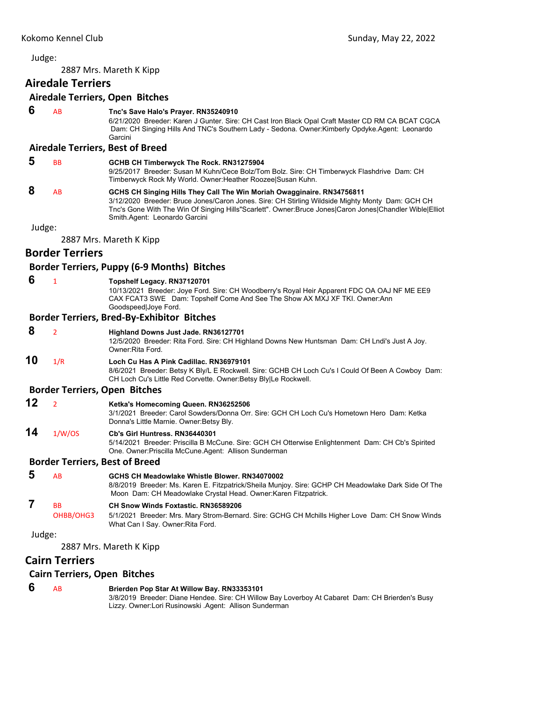<span id="page-24-0"></span>2887 Mrs. Mareth K Kipp

## **Airedale Terriers**

#### **Airedale Terriers, Open Bitches**

 **6** AB **Tnc's Save Halo's Prayer. RN35240910**

6/21/2020 Breeder: Karen J Gunter. Sire: CH Cast Iron Black Opal Craft Master CD RM CA BCAT CGCA Dam: CH Singing Hills And TNC's Southern Lady - Sedona. Owner:Kimberly Opdyke.Agent: Leonardo Garcini

#### **Airedale Terriers, Best of Breed**

| Ð | <b>BB</b> | GCHB CH Timberwyck The Rock. RN31275904<br>9/25/2017 Breeder: Susan M Kuhn/Cece Bolz/Tom Bolz. Sire: CH Timberwyck Flashdrive Dam: CH<br>Timberwyck Rock My World. Owner: Heather Roozee Susan Kuhn.                                                                                                                  |
|---|-----------|-----------------------------------------------------------------------------------------------------------------------------------------------------------------------------------------------------------------------------------------------------------------------------------------------------------------------|
| 8 | AB        | GCHS CH Singing Hills They Call The Win Moriah Owagginaire. RN34756811<br>3/12/2020 Breeder: Bruce Jones/Caron Jones. Sire: CH Stirling Wildside Mighty Monty Dam: GCH CH<br>Tnc's Gone With The Win Of Singing Hills"Scarlett". Owner:Bruce Jones Caron Jones Chandler Wible Elliot<br>Smith Agent: Leonardo Garcini |

Judge:

2887 Mrs. Mareth K Kipp

## **Border Terriers**

#### **Border Terriers, Puppy (6‐9 Months) Bitches**

| 6      | $\mathbf{1}$                                                 | Topshelf Legacy. RN37120701<br>10/13/2021 Breeder: Joye Ford. Sire: CH Woodberry's Royal Heir Apparent FDC OA OAJ NF ME EE9<br>CAX FCAT3 SWE Dam: Topshelf Come And See The Show AX MXJ XF TKI. Owner: Ann<br>Goodspeed Joye Ford. |
|--------|--------------------------------------------------------------|------------------------------------------------------------------------------------------------------------------------------------------------------------------------------------------------------------------------------------|
|        |                                                              | <b>Border Terriers, Bred-By-Exhibitor Bitches</b>                                                                                                                                                                                  |
| 8      | $\overline{2}$                                               | Highland Downs Just Jade. RN36127701<br>12/5/2020 Breeder: Rita Ford. Sire: CH Highland Downs New Huntsman Dam: CH Lndi's Just A Joy.<br>Owner Rita Ford                                                                           |
| 10     | 1/R                                                          | Loch Cu Has A Pink Cadillac, RN36979101<br>8/6/2021 Breeder: Betsy K Bly/L E Rockwell. Sire: GCHB CH Loch Cu's I Could Of Been A Cowboy Dam:<br>CH Loch Cu's Little Red Corvette. Owner: Betsy Bly Le Rockwell.                    |
|        |                                                              | <b>Border Terriers, Open Bitches</b>                                                                                                                                                                                               |
| 12     | $\overline{2}$                                               | Ketka's Homecoming Queen. RN36252506<br>3/1/2021 Breeder: Carol Sowders/Donna Orr. Sire: GCH CH Loch Cu's Hometown Hero Dam: Ketka<br>Donna's Little Marnie. Owner: Betsy Bly.                                                     |
| 14     | 1/W/OS                                                       | Cb's Girl Huntress, RN36440301<br>5/14/2021 Breeder: Priscilla B McCune. Sire: GCH CH Otterwise Enlightenment Dam: CH Cb's Spirited<br>One. Owner: Priscilla McCune. Agent: Allison Sunderman                                      |
|        |                                                              | <b>Border Terriers, Best of Breed</b>                                                                                                                                                                                              |
| 5      | AB                                                           | GCHS CH Meadowlake Whistle Blower, RN34070002<br>8/8/2019 Breeder: Ms. Karen E. Fitzpatrick/Sheila Munjoy. Sire: GCHP CH Meadowlake Dark Side Of The<br>Moon Dam: CH Meadowlake Crystal Head. Owner: Karen Fitzpatrick.            |
| 7      | <b>BB</b><br>OHBB/OHG3                                       | CH Snow Winds Foxtastic, RN36589206<br>5/1/2021 Breeder: Mrs. Mary Strom-Bernard. Sire: GCHG CH Mchills Higher Love Dam: CH Snow Winds<br>What Can I Say. Owner Rita Ford.                                                         |
| Judge: |                                                              |                                                                                                                                                                                                                                    |
|        |                                                              | 2887 Mrs. Mareth K Kipp                                                                                                                                                                                                            |
|        | <b>Cairn Terriers</b><br><b>Cairn Terriers, Open Bitches</b> |                                                                                                                                                                                                                                    |

 **6** AB **Brierden Pop Star At Willow Bay. RN33353101** 3/8/2019 Breeder: Diane Hendee. Sire: CH Willow Bay Loverboy At Cabaret Dam: CH Brierden's Busy Lizzy. Owner:Lori Rusinowski .Agent: Allison Sunderman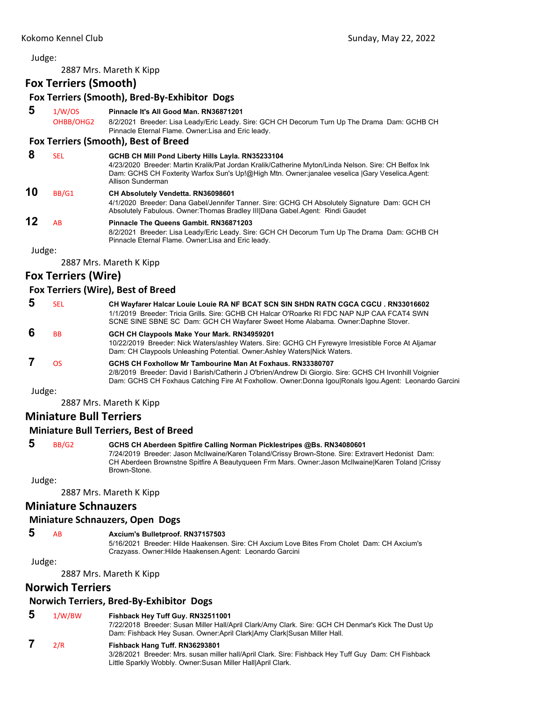2887 Mrs. Mareth K Kipp

## **Fox Terriers (Smooth)**

| 5      | 1/W/OS                     | Fox Terriers (Smooth), Bred-By-Exhibitor Dogs<br>Pinnacle It's All Good Man. RN36871201                                                                                                                                                                                          |
|--------|----------------------------|----------------------------------------------------------------------------------------------------------------------------------------------------------------------------------------------------------------------------------------------------------------------------------|
|        | OHBB/OHG2                  | 8/2/2021 Breeder: Lisa Leady/Eric Leady. Sire: GCH CH Decorum Turn Up The Drama Dam: GCHB CH<br>Pinnacle Eternal Flame. Owner: Lisa and Eric leady.                                                                                                                              |
|        |                            | Fox Terriers (Smooth), Best of Breed                                                                                                                                                                                                                                             |
| 8      | <b>SEL</b>                 | GCHB CH Mill Pond Liberty Hills Layla. RN35233104<br>4/23/2020 Breeder: Martin Kralik/Pat Jordan Kralik/Catherine Myton/Linda Nelson. Sire: CH Belfox Ink<br>Dam: GCHS CH Foxterity Warfox Sun's Up!@High Mtn. Owner:janalee veselica  Gary Veselica.Agent:<br>Allison Sunderman |
| 10     | BB/G1                      | <b>CH Absolutely Vendetta. RN36098601</b><br>4/1/2020 Breeder: Dana Gabel/Jennifer Tanner. Sire: GCHG CH Absolutely Signature Dam: GCH CH<br>Absolutely Fabulous. Owner: Thomas Bradley III Dana Gabel. Agent: Rindi Gaudet                                                      |
| 12     | AB                         | Pinnacle The Queens Gambit, RN36871203<br>8/2/2021 Breeder: Lisa Leady/Eric Leady. Sire: GCH CH Decorum Turn Up The Drama Dam: GCHB CH<br>Pinnacle Eternal Flame. Owner: Lisa and Eric leady.                                                                                    |
| Judge: |                            |                                                                                                                                                                                                                                                                                  |
|        |                            | 2887 Mrs. Mareth K Kipp                                                                                                                                                                                                                                                          |
|        | <b>Fox Terriers (Wire)</b> |                                                                                                                                                                                                                                                                                  |
|        |                            |                                                                                                                                                                                                                                                                                  |

#### **Fox Terriers (Wire), Best of Breed**

| 5 | SEL            | CH Wayfarer Halcar Louie Louie RA NF BCAT SCN SIN SHDN RATN CGCA CGCU. RN33016602<br>1/1/2019 Breeder: Tricia Grills, Sire: GCHB CH Halcar O'Roarke RI FDC NAP NJP CAA FCAT4 SWN<br>SCNE SINE SBNE SC Dam: GCH CH Wayfarer Sweet Home Alabama. Owner: Daphne Stover.             |
|---|----------------|----------------------------------------------------------------------------------------------------------------------------------------------------------------------------------------------------------------------------------------------------------------------------------|
| 6 | <b>BB</b>      | GCH CH Claypools Make Your Mark. RN34959201<br>10/22/2019 Breeder: Nick Waters/ashley Waters. Sire: GCHG CH Fyrewyre Irresistible Force At Aljamar<br>Dam: CH Claypools Unleashing Potential. Owner:Ashley Waters Nick Waters.                                                   |
|   | ΩS             | GCHS CH Foxhollow Mr Tambourine Man At Foxhaus, RN33380707<br>2/8/2019 Breeder: David I Barish/Catherin J O'brien/Andrew Di Giorgio. Sire: GCHS CH Irvonhill Voignier<br>Dam: GCHS CH Foxhaus Catching Fire At Foxhollow. Owner: Donna Igou Ronals Igou. Agent: Leonardo Garcini |
|   | l <sub>l</sub> |                                                                                                                                                                                                                                                                                  |

Judge:

2887 Mrs. Mareth K Kipp

## **Miniature Bull Terriers**

### **Miniature Bull Terriers, Best of Breed**

| -5        | BB/G2 | GCHS CH Aberdeen Spitfire Calling Norman Picklestripes @Bs. RN34080601                              |
|-----------|-------|-----------------------------------------------------------------------------------------------------|
|           |       | 7/24/2019 Breeder: Jason McIlwaine/Karen Toland/Crissy Brown-Stone. Sire: Extravert Hedonist Dam:   |
|           |       | CH Aberdeen Brownstne Spitfire A Beautyqueen Frm Mars. Owner: Jason McIlwaine Karen Toland   Crissy |
|           |       | Brown-Stone.                                                                                        |
| ۱٬۱۰۰٬۵۰۰ |       |                                                                                                     |

Judge:

2887 Mrs. Mareth K Kipp

## **Miniature Schnauzers**

#### **Miniature Schnauzers, Open Dogs**

## **5** AB **Axcium's Bulletproof. RN37157503**

5/16/2021 Breeder: Hilde Haakensen. Sire: CH Axcium Love Bites From Cholet Dam: CH Axcium's Crazyass. Owner:Hilde Haakensen.Agent: Leonardo Garcini

#### Judge:

2887 Mrs. Mareth K Kipp

## **Norwich Terriers**

### **Norwich Terriers, Bred‐By‐Exhibitor Dogs**

#### **5** 1/W/BW **Fishback Hey Tuff Guy. RN32511001**

7/22/2018 Breeder: Susan Miller Hall/April Clark/Amy Clark. Sire: GCH CH Denmar's Kick The Dust Up Dam: Fishback Hey Susan. Owner:April Clark|Amy Clark|Susan Miller Hall.

## **7** 2/R **Fishback Hang Tuff. RN36293801**

3/28/2021 Breeder: Mrs. susan miller hall/April Clark. Sire: Fishback Hey Tuff Guy Dam: CH Fishback Little Sparkly Wobbly. Owner:Susan Miller Hall|April Clark.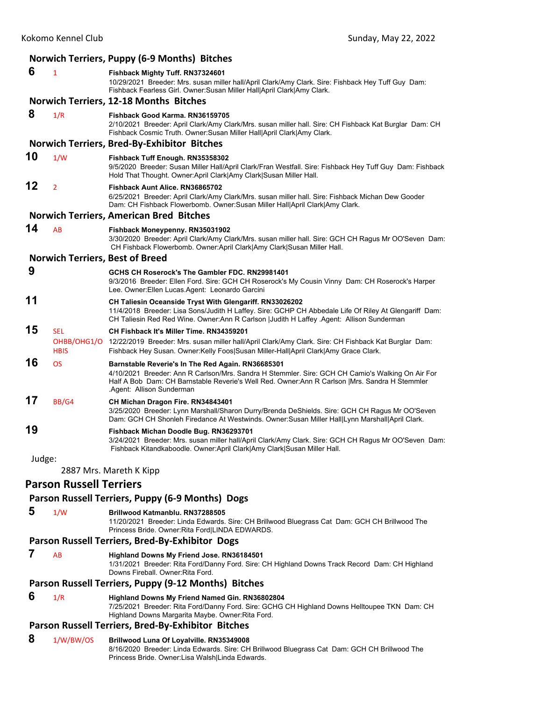|        |                                | Norwich Terriers, Puppy (6-9 Months) Bitches                                                                                                                                                                                                                                         |
|--------|--------------------------------|--------------------------------------------------------------------------------------------------------------------------------------------------------------------------------------------------------------------------------------------------------------------------------------|
| 6      | $\mathbf{1}$                   | Fishback Mighty Tuff. RN37324601<br>10/29/2021 Breeder: Mrs. susan miller hall/April Clark/Amy Clark. Sire: Fishback Hey Tuff Guy Dam:<br>Fishback Fearless Girl. Owner: Susan Miller Hall April Clark Amy Clark.                                                                    |
|        |                                | <b>Norwich Terriers, 12-18 Months Bitches</b>                                                                                                                                                                                                                                        |
| 8      | 1/R                            | Fishback Good Karma, RN36159705<br>2/10/2021 Breeder: April Clark/Amy Clark/Mrs. susan miller hall. Sire: CH Fishback Kat Burglar Dam: CH<br>Fishback Cosmic Truth. Owner: Susan Miller Hall April Clark Amy Clark.                                                                  |
|        |                                | <b>Norwich Terriers, Bred-By-Exhibitor Bitches</b>                                                                                                                                                                                                                                   |
| 10     | 1/W                            | Fishback Tuff Enough. RN35358302<br>9/5/2020 Breeder: Susan Miller Hall/April Clark/Fran Westfall. Sire: Fishback Hey Tuff Guy Dam: Fishback<br>Hold That Thought. Owner:April Clark Amy Clark Susan Miller Hall.                                                                    |
| 12     | $\overline{2}$                 | Fishback Aunt Alice. RN36865702<br>6/25/2021 Breeder: April Clark/Amy Clark/Mrs. susan miller hall. Sire: Fishback Michan Dew Gooder<br>Dam: CH Fishback Flowerbomb. Owner:Susan Miller Hall April Clark Amy Clark.                                                                  |
|        |                                | <b>Norwich Terriers, American Bred Bitches</b>                                                                                                                                                                                                                                       |
| 14     | AB                             | Fishback Moneypenny. RN35031902<br>3/30/2020 Breeder: April Clark/Amy Clark/Mrs. susan miller hall. Sire: GCH CH Ragus Mr OO'Seven Dam:<br>CH Fishback Flowerbomb. Owner:April Clark Amy Clark Susan Miller Hall.                                                                    |
|        |                                | <b>Norwich Terriers, Best of Breed</b>                                                                                                                                                                                                                                               |
| 9      |                                | GCHS CH Roserock's The Gambler FDC, RN29981401<br>9/3/2016 Breeder: Ellen Ford. Sire: GCH CH Roserock's My Cousin Vinny Dam: CH Roserock's Harper<br>Lee. Owner: Ellen Lucas. Agent: Leonardo Garcini                                                                                |
| 11     |                                | CH Taliesin Oceanside Tryst With Glengariff. RN33026202<br>11/4/2018 Breeder: Lisa Sons/Judith H Laffey. Sire: GCHP CH Abbedale Life Of Riley At Glengariff Dam:<br>CH Taliesin Red Red Wine. Owner:Ann R Carlson  Judith H Laffey .Agent: Allison Sunderman                         |
| 15     | <b>SEL</b><br><b>HBIS</b>      | CH Fishback It's Miller Time, RN34359201<br>OHBB/OHG1/O 12/22/2019 Breeder: Mrs. susan miller hall/April Clark/Amy Clark. Sire: CH Fishback Kat Burglar Dam:<br>Fishback Hey Susan. Owner:Kelly Foos Susan Miller-Hall April Clark Amy Grace Clark.                                  |
| 16     | <b>OS</b>                      | Barnstable Reverie's In The Red Again. RN36685301<br>4/10/2021 Breeder: Ann R Carlson/Mrs. Sandra H Stemmler. Sire: GCH CH Camio's Walking On Air For<br>Half A Bob Dam: CH Barnstable Reverie's Well Red. Owner: Ann R Carlson   Mrs. Sandra H Stemmler<br>Agent: Allison Sunderman |
| 17     | BB/G4                          | CH Michan Dragon Fire. RN34843401<br>3/25/2020 Breeder: Lynn Marshall/Sharon Durry/Brenda DeShields. Sire: GCH CH Ragus Mr OO'Seven<br>Dam: GCH CH Shonleh Firedance At Westwinds. Owner:Susan Miller Hall Lynn Marshall April Clark.                                                |
| 19     |                                | Fishback Michan Doodle Bug. RN36293701<br>3/24/2021 Breeder: Mrs. susan miller hall/April Clark/Amy Clark. Sire: GCH CH Ragus Mr OO'Seven Dam:<br>Fishback Kitandkaboodle. Owner:April Clark Amy Clark Susan Miller Hall.                                                            |
| Judge: |                                |                                                                                                                                                                                                                                                                                      |
|        |                                | 2887 Mrs. Mareth K Kipp                                                                                                                                                                                                                                                              |
|        | <b>Parson Russell Terriers</b> |                                                                                                                                                                                                                                                                                      |
|        |                                | Parson Russell Terriers, Puppy (6-9 Months) Dogs                                                                                                                                                                                                                                     |
| 5      | 1/W                            | Brillwood Katmanblu. RN37288505<br>11/20/2021 Breeder: Linda Edwards. Sire: CH Brillwood Bluegrass Cat Dam: GCH CH Brillwood The<br>Princess Bride. Owner: Rita Ford LINDA EDWARDS.                                                                                                  |
|        |                                | Parson Russell Terriers, Bred-By-Exhibitor Dogs                                                                                                                                                                                                                                      |
| 7      | AB                             | Highland Downs My Friend Jose. RN36184501<br>1/31/2021 Breeder: Rita Ford/Danny Ford. Sire: CH Highland Downs Track Record Dam: CH Highland<br>Downs Fireball. Owner: Rita Ford.                                                                                                     |
|        |                                | Parson Russell Terriers, Puppy (9-12 Months) Bitches                                                                                                                                                                                                                                 |

 **6** 1/R **Highland Downs My Friend Named Gin. RN36802804**

7/25/2021 Breeder: Rita Ford/Danny Ford. Sire: GCHG CH Highland Downs Helltoupee TKN Dam: CH Highland Downs Margarita Maybe. Owner: Rita Ford.

#### **Parson Russell Terriers, Bred‐By‐Exhibitor Bitches**

## **8** 1/W/BW/OS **Brillwood Luna Of Loyalville. RN35349008**

8/16/2020 Breeder: Linda Edwards. Sire: CH Brillwood Bluegrass Cat Dam: GCH CH Brillwood The Princess Bride. Owner:Lisa Walsh|Linda Edwards.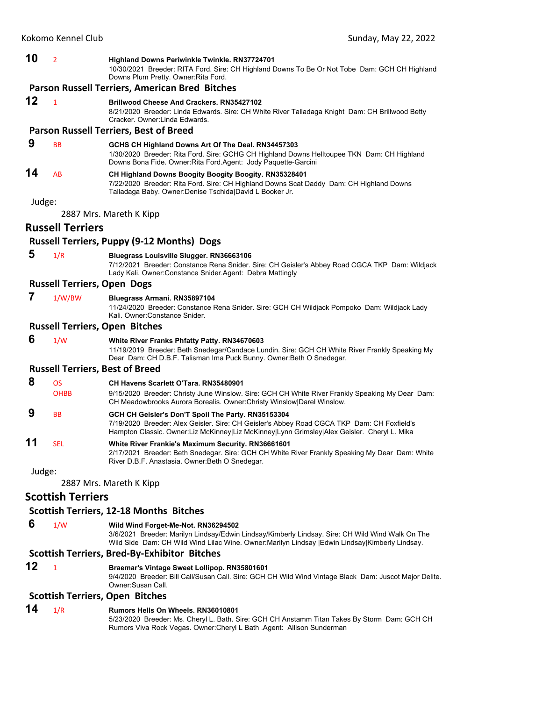**10** <sup>2</sup> **Highland Downs Periwinkle Twinkle. RN37724701**

10/30/2021 Breeder: RITA Ford. Sire: CH Highland Downs To Be Or Not Tobe Dam: GCH CH Highland Downs Plum Pretty. Owner:Rita Ford.

#### **Parson Russell Terriers, American Bred Bitches**

**12** <sup>1</sup> **Brillwood Cheese And Crackers. RN35427102**

8/21/2020 Breeder: Linda Edwards. Sire: CH White River Talladaga Knight Dam: CH Brillwood Betty Cracker. Owner:Linda Edwards.

#### **Parson Russell Terriers, Best of Breed**

#### **9** BB **GCHS CH Highland Downs Art Of The Deal. RN34457303**

1/30/2020 Breeder: Rita Ford. Sire: GCHG CH Highland Downs Helltoupee TKN Dam: CH Highland Downs Bona Fide. Owner:Rita Ford.Agent: Jody Paquette-Garcini

#### **14** AB **CH Highland Downs Boogity Boogity Boogity. RN35328401** 7/22/2020 Breeder: Rita Ford. Sire: CH Highland Downs Scat Daddy Dam: CH Highland Downs Talladaga Baby. Owner:Denise Tschida|David L Booker Jr.

Judge:

2887 Mrs. Mareth K Kipp

#### **Russell Terriers**

#### **Russell Terriers, Puppy (9‐12 Months) Dogs**

 **5** 1/R **Bluegrass Louisville Slugger. RN36663106** 7/12/2021 Breeder: Constance Rena Snider. Sire: CH Geisler's Abbey Road CGCA TKP Dam: Wildjack Lady Kali. Owner:Constance Snider.Agent: Debra Mattingly

#### **Russell Terriers, Open Dogs**

#### **7** 1/W/BW **Bluegrass Armani. RN35897104**

11/24/2020 Breeder: Constance Rena Snider. Sire: GCH CH Wildjack Pompoko Dam: Wildjack Lady Kali. Owner:Constance Snider.

#### **Russell Terriers, Open Bitches**

 **6** 1/W **White River Franks Phfatty Patty. RN34670603**

11/19/2019 Breeder: Beth Snedegar/Candace Lundin. Sire: GCH CH White River Frankly Speaking My Dear Dam: CH D.B.F. Talisman Ima Puck Bunny. Owner:Beth O Snedegar.

#### **Russell Terriers, Best of Breed**

#### **8** OS **CH Havens Scarlett O'Tara. RN35480901**

- OHBB 9/15/2020 Breeder: Christy June Winslow. Sire: GCH CH White River Frankly Speaking My Dear Dam: CH Meadowbrooks Aurora Borealis. Owner:Christy Winslow|Darel Winslow.
- **9** BB **GCH CH Geisler's Don'T Spoil The Party. RN35153304** 7/19/2020 Breeder: Alex Geisler. Sire: CH Geisler's Abbey Road CGCA TKP Dam: CH Foxfield's Hampton Classic. Owner:Liz McKinney|Liz McKinney|Lynn Grimsley|Alex Geisler. Cheryl L. Mika
- **11** SEL **White River Frankie's Maximum Security. RN36661601** 2/17/2021 Breeder: Beth Snedegar. Sire: GCH CH White River Frankly Speaking My Dear Dam: White River D.B.F. Anastasia. Owner:Beth O Snedegar.

Judge:

2887 Mrs. Mareth K Kipp

## **Scottish Terriers**

## **Scottish Terriers, 12‐18 Months Bitches**

 **6** 1/W **Wild Wind Forget-Me-Not. RN36294502**

3/6/2021 Breeder: Marilyn Lindsay/Edwin Lindsay/Kimberly Lindsay. Sire: CH Wild Wind Walk On The Wild Side Dam: CH Wild Wind Lilac Wine. Owner:Marilyn Lindsay |Edwin Lindsay|Kimberly Lindsay.

## **Scottish Terriers, Bred‐By‐Exhibitor Bitches**

## **12** <sup>1</sup> **Braemar's Vintage Sweet Lollipop. RN35801601**

9/4/2020 Breeder: Bill Call/Susan Call. Sire: GCH CH Wild Wind Vintage Black Dam: Juscot Major Delite. Owner:Susan Call.

#### **Scottish Terriers, Open Bitches**

### **14** 1/R **Rumors Hells On Wheels. RN36010801**

5/23/2020 Breeder: Ms. Cheryl L. Bath. Sire: GCH CH Anstamm Titan Takes By Storm Dam: GCH CH Rumors Viva Rock Vegas. Owner:Cheryl L Bath .Agent: Allison Sunderman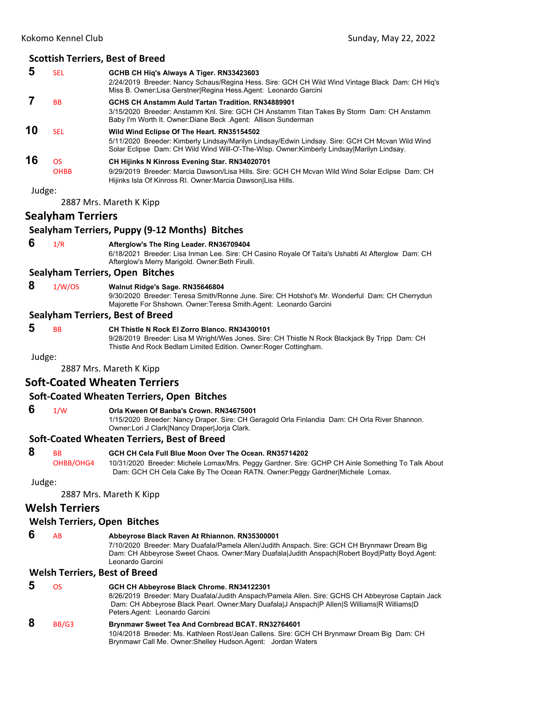### **Scottish Terriers, Best of Breed**

|           | SEL               | GCHB CH Hig's Always A Tiger. RN33423603<br>2/24/2019 Breeder: Nancy Schaus/Regina Hess. Sire: GCH CH Wild Wind Vintage Black Dam: CH Hig's<br>Miss B. Owner: Lisa Gerstner Regina Hess Agent: Leonardo Garcini                             |
|-----------|-------------------|---------------------------------------------------------------------------------------------------------------------------------------------------------------------------------------------------------------------------------------------|
|           | <b>BB</b>         | GCHS CH Anstamm Auld Tartan Tradition, RN34889901<br>3/15/2020 Breeder: Anstamm Knl. Sire: GCH CH Anstamm Titan Takes By Storm Dam: CH Anstamm<br>Baby I'm Worth It. Owner: Diane Beck Agent: Allison Sunderman                             |
| 10        | SFI.              | Wild Wind Eclipse Of The Heart. RN35154502<br>5/11/2020 Breeder: Kimberly Lindsay/Marilyn Lindsay/Edwin Lindsay. Sire: GCH CH Mcvan Wild Wind<br>Solar Eclipse Dam: CH Wild Wind Will-O'-The-Wisp. Owner: Kimberly Lindsay Marilyn Lindsay. |
| 16<br>. . | ΩS<br><b>OHBB</b> | <b>CH Hijinks N Kinross Evening Star. RN34020701</b><br>9/29/2019 Breeder: Marcia Dawson/Lisa Hills. Sire: GCH CH Mcvan Wild Wind Solar Eclipse Dam: CH<br>Hijinks Isla Of Kinross RI. Owner: Marcia Dawson Lisa Hills.                     |

Judge:

2887 Mrs. Mareth K Kipp

## **Sealyham Terriers**

#### **Sealyham Terriers, Puppy (9‐12 Months) Bitches**

## **6** 1/R **Afterglow's The Ring Leader. RN36709404**

6/18/2021 Breeder: Lisa Inman Lee. Sire: CH Casino Royale Of Taita's Ushabti At Afterglow Dam: CH Afterglow's Merry Marigold. Owner:Beth Firulli.

#### **Sealyham Terriers, Open Bitches**

#### **8** 1/W/OS **Walnut Ridge's Sage. RN35646804**

9/30/2020 Breeder: Teresa Smith/Ronne June. Sire: CH Hotshot's Mr. Wonderful Dam: CH Cherrydun Majorette For Shshown. Owner:Teresa Smith.Agent: Leonardo Garcini

#### **Sealyham Terriers, Best of Breed**

## **5** BB **CH Thistle N Rock El Zorro Blanco. RN34300101**

9/28/2019 Breeder: Lisa M Wright/Wes Jones. Sire: CH Thistle N Rock Blackjack By Tripp Dam: CH Thistle And Rock Bedlam Limited Edition. Owner:Roger Cottingham.

Judge:

2887 Mrs. Mareth K Kipp

## **Soft‐Coated Wheaten Terriers**

#### **Soft‐Coated Wheaten Terriers, Open Bitches**

## **6** 1/W **Orla Kween Of Banba's Crown. RN34675001**

1/15/2020 Breeder: Nancy Draper. Sire: CH Geragold Orla Finlandia Dam: CH Orla River Shannon. Owner:Lori J Clark|Nancy Draper|Jorja Clark.

#### **Soft‐Coated Wheaten Terriers, Best of Breed**

| 8 | <b>BB</b> | <b>GCH CH Cela Full Blue Moon Over The Ocean, RN35714202</b> |
|---|-----------|--------------------------------------------------------------|
|   |           | 2211222111<br>101010000000                                   |

OHBB/OHG4 10/31/2020 Breeder: Michele Lomax/Mrs. Peggy Gardner. Sire: GCHP CH Ainle Something To Talk About Dam: GCH CH Cela Cake By The Ocean RATN. Owner:Peggy Gardner|Michele Lomax.

Judge:

2887 Mrs. Mareth K Kipp

### **Welsh Terriers**

#### **Welsh Terriers, Open Bitches**

#### **6** AB **Abbeyrose Black Raven At Rhiannon. RN35300001**

7/10/2020 Breeder: Mary Duafala/Pamela Allen/Judith Anspach. Sire: GCH CH Brynmawr Dream Big Dam: CH Abbeyrose Sweet Chaos. Owner:Mary Duafala|Judith Anspach|Robert Boyd|Patty Boyd.Agent: Leonardo Garcini

#### **Welsh Terriers, Best of Breed**

| Ð | ΩS    | GCH CH Abbeyrose Black Chrome. RN34122301<br>8/26/2019 Breeder: Mary Duafala/Judith Anspach/Pamela Allen. Sire: GCHS CH Abbeyrose Captain Jack<br>Dam: CH Abbeyrose Black Pearl. Owner: Mary Duafala J Anspach P Allen S Williams R Williams D<br>Peters Agent: Leonardo Garcini |
|---|-------|----------------------------------------------------------------------------------------------------------------------------------------------------------------------------------------------------------------------------------------------------------------------------------|
| 8 | BB/G3 | Brynmawr Sweet Tea And Cornbread BCAT. RN32764601<br>10/4/2018 Breeder: Ms. Kathleen Rost/Jean Callens. Sire: GCH CH Brynmawr Dream Big Dam: CH<br>Brynmawr Call Me. Owner: Shelley Hudson. Agent: Jordan Waters                                                                 |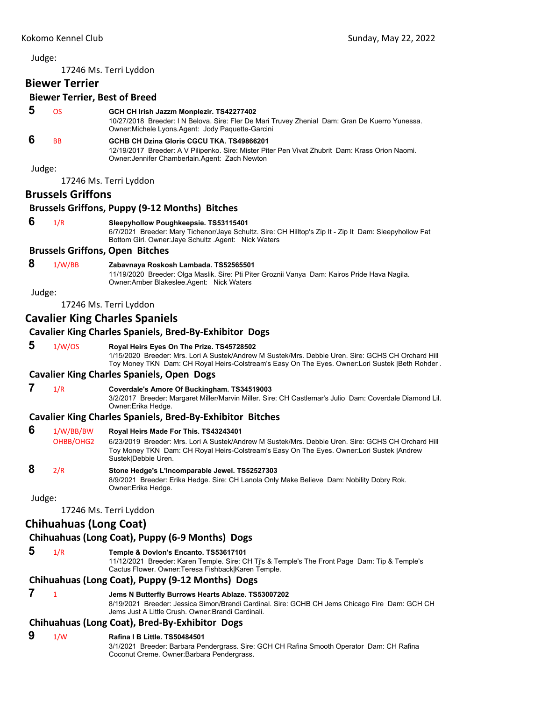## <span id="page-29-0"></span>Kokomo Kennel Club Sunday, May 22, 2022 Judge: 17246 Ms. Terri Lyddon **Biewer Terrier Biewer Terrier, Best of Breed 5** OS **GCH CH Irish Jazzm Monplezir. TS42277402** 10/27/2018 Breeder: I N Belova. Sire: Fler De Mari Truvey Zhenial Dam: Gran De Kuerro Yunessa. Owner:Michele Lyons.Agent: Jody Paquette-Garcini  **6** BB **GCHB CH Dzina Gloris CGCU TKA. TS49866201** 12/19/2017 Breeder: A V Pilipenko. Sire: Mister Piter Pen Vivat Zhubrit Dam: Krass Orion Naomi. Owner:Jennifer Chamberlain.Agent: Zach Newton Judge: 17246 Ms. Terri Lyddon **Brussels Griffons Brussels Griffons, Puppy (9‐12 Months) Bitches 6** 1/R **Sleepyhollow Poughkeepsie. TS53115401** 6/7/2021 Breeder: Mary Tichenor/Jaye Schultz. Sire: CH Hilltop's Zip It - Zip It Dam: Sleepyhollow Fat Bottom Girl. Owner:Jaye Schultz .Agent: Nick Waters **Brussels Griffons, Open Bitches 8** 1/W/BB **Zabavnaya Roskosh Lambada. TS52565501** 11/19/2020 Breeder: Olga Maslik. Sire: Pti Piter Groznii Vanya Dam: Kairos Pride Hava Nagila. Owner:Amber Blakeslee.Agent: Nick Waters Judge: 17246 Ms. Terri Lyddon **Cavalier King Charles Spaniels Cavalier King Charles Spaniels, Bred‐By‐Exhibitor Dogs 5** 1/W/OS **Royal Heirs Eyes On The Prize. TS45728502** 1/15/2020 Breeder: Mrs. Lori A Sustek/Andrew M Sustek/Mrs. Debbie Uren. Sire: GCHS CH Orchard Hill Toy Money TKN Dam: CH Royal Heirs-Colstream's Easy On The Eyes. Owner:Lori Sustek |Beth Rohder . **Cavalier King Charles Spaniels, Open Dogs 7** 1/R **Coverdale's Amore Of Buckingham. TS34519003** 3/2/2017 Breeder: Margaret Miller/Marvin Miller. Sire: CH Castlemar's Julio Dam: Coverdale Diamond Lil. Owner:Erika Hedge. **Cavalier King Charles Spaniels, Bred‐By‐Exhibitor Bitches 6** 1/W/BB/BW **Royal Heirs Made For This. TS43243401** OHBB/OHG2 6/23/2019 Breeder: Mrs. Lori A Sustek/Andrew M Sustek/Mrs. Debbie Uren. Sire: GCHS CH Orchard Hill Toy Money TKN Dam: CH Royal Heirs-Colstream's Easy On The Eyes. Owner:Lori Sustek |Andrew Sustek|Debbie Uren.  **8** 2/R **Stone Hedge's L'Incomparable Jewel. TS52527303** 8/9/2021 Breeder: Erika Hedge. Sire: CH Lanola Only Make Believe Dam: Nobility Dobry Rok. Owner:Erika Hedge. Judge: 17246 Ms. Terri Lyddon **Chihuahuas (Long Coat) Chihuahuas (Long Coat), Puppy (6‐9 Months) Dogs 5** 1/R **Temple & Dovlon's Encanto. TS53617101** 11/12/2021 Breeder: Karen Temple. Sire: CH Tj's & Temple's The Front Page Dam: Tip & Temple's Cactus Flower. Owner:Teresa Fishback|Karen Temple. **Chihuahuas (Long Coat), Puppy (9‐12 Months) Dogs**

 **7** <sup>1</sup> **Jems N Butterfly Burrows Hearts Ablaze. TS53007202** 8/19/2021 Breeder: Jessica Simon/Brandi Cardinal. Sire: GCHB CH Jems Chicago Fire Dam: GCH CH Jems Just A Little Crush. Owner:Brandi Cardinali.

### **Chihuahuas (Long Coat), Bred‐By‐Exhibitor Dogs**

- **9** 1/W **Rafina I B Little. TS50484501**
	- 3/1/2021 Breeder: Barbara Pendergrass. Sire: GCH CH Rafina Smooth Operator Dam: CH Rafina Coconut Creme. Owner:Barbara Pendergrass.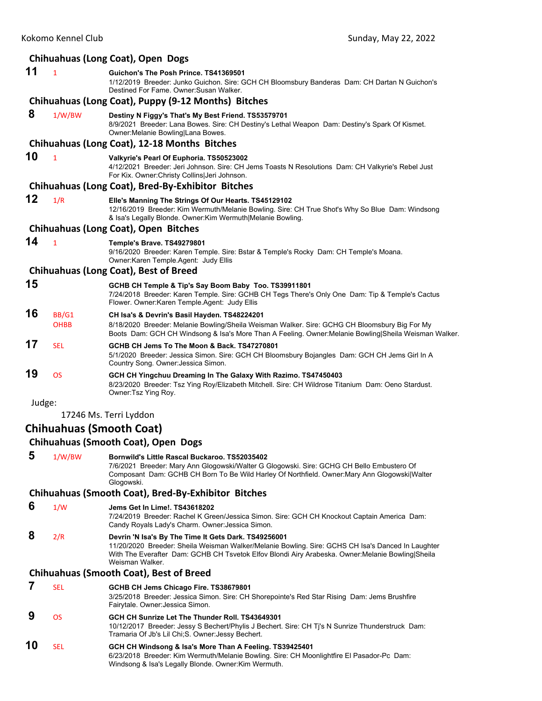|        |                      | Chihuahuas (Long Coat), Open Dogs                                                                                                                                                                                                                                                 |
|--------|----------------------|-----------------------------------------------------------------------------------------------------------------------------------------------------------------------------------------------------------------------------------------------------------------------------------|
| 11     | $\mathbf{1}$         | Guichon's The Posh Prince. TS41369501<br>1/12/2019 Breeder: Junko Guichon. Sire: GCH CH Bloomsbury Banderas Dam: CH Dartan N Guichon's<br>Destined For Fame. Owner: Susan Walker.                                                                                                 |
|        |                      | Chihuahuas (Long Coat), Puppy (9-12 Months) Bitches                                                                                                                                                                                                                               |
| 8      | 1/W/BW               | Destiny N Figgy's That's My Best Friend. TS53579701<br>8/9/2021 Breeder: Lana Bowes. Sire: CH Destiny's Lethal Weapon Dam: Destiny's Spark Of Kismet.<br>Owner: Melanie Bowling Lana Bowes.                                                                                       |
|        |                      | Chihuahuas (Long Coat), 12-18 Months Bitches                                                                                                                                                                                                                                      |
| 10     | $\mathbf{1}$         | Valkyrie's Pearl Of Euphoria. TS50523002<br>4/12/2021 Breeder: Jeri Johnson. Sire: CH Jems Toasts N Resolutions Dam: CH Valkyrie's Rebel Just<br>For Kix. Owner: Christy Collins Jeri Johnson.                                                                                    |
|        |                      | Chihuahuas (Long Coat), Bred-By-Exhibitor Bitches                                                                                                                                                                                                                                 |
| 12     | 1/R                  | Elle's Manning The Strings Of Our Hearts. TS45129102<br>12/16/2019 Breeder: Kim Wermuth/Melanie Bowling. Sire: CH True Shot's Why So Blue Dam: Windsong<br>& Isa's Legally Blonde. Owner: Kim Wermuth Melanie Bowling.                                                            |
|        |                      | Chihuahuas (Long Coat), Open Bitches                                                                                                                                                                                                                                              |
| 14     | $\mathbf{1}$         | Temple's Brave. TS49279801<br>9/16/2020 Breeder: Karen Temple. Sire: Bstar & Temple's Rocky Dam: CH Temple's Moana.<br>Owner: Karen Temple. Agent: Judy Ellis                                                                                                                     |
|        |                      | <b>Chihuahuas (Long Coat), Best of Breed</b>                                                                                                                                                                                                                                      |
| 15     |                      | GCHB CH Temple & Tip's Say Boom Baby Too. TS39911801<br>7/24/2018 Breeder: Karen Temple. Sire: GCHB CH Tegs There's Only One Dam: Tip & Temple's Cactus<br>Flower. Owner: Karen Temple. Agent: Judy Ellis                                                                         |
| 16     | BB/G1<br><b>OHBB</b> | CH Isa's & Devrin's Basil Hayden. TS48224201<br>8/18/2020 Breeder: Melanie Bowling/Sheila Weisman Walker. Sire: GCHG CH Bloomsbury Big For My<br>Boots Dam: GCH CH Windsong & Isa's More Than A Feeling. Owner: Melanie Bowling Sheila Weisman Walker.                            |
| 17     | <b>SEL</b>           | GCHB CH Jems To The Moon & Back, TS47270801<br>5/1/2020 Breeder: Jessica Simon. Sire: GCH CH Bloomsbury Bojangles Dam: GCH CH Jems Girl In A<br>Country Song. Owner: Jessica Simon.                                                                                               |
| 19     | <b>OS</b>            | GCH CH Yingchuu Dreaming In The Galaxy With Razimo. TS47450403<br>8/23/2020 Breeder: Tsz Ying Roy/Elizabeth Mitchell. Sire: CH Wildrose Titanium Dam: Oeno Stardust.<br>Owner: Tsz Ying Roy.                                                                                      |
| Judge: |                      |                                                                                                                                                                                                                                                                                   |
|        |                      | 17246 Ms. Terri Lyddon                                                                                                                                                                                                                                                            |
|        |                      | <b>Chihuahuas (Smooth Coat)</b>                                                                                                                                                                                                                                                   |
|        |                      | Chihuahuas (Smooth Coat), Open Dogs                                                                                                                                                                                                                                               |
| 5      | 1/W/BW               | Bornwild's Little Rascal Buckaroo, TS52035402<br>7/6/2021 Breeder: Mary Ann Glogowski/Walter G Glogowski. Sire: GCHG CH Bello Embustero Of<br>Composant Dam: GCHB CH Born To Be Wild Harley Of Northfield. Owner: Mary Ann Glogowski   Walter<br>Glogowski.                       |
|        |                      | <b>Chihuahuas (Smooth Coat), Bred-By-Exhibitor Bitches</b>                                                                                                                                                                                                                        |
| 6      | 1/W                  | Jems Get In Lime!. TS43618202<br>7/24/2019 Breeder: Rachel K Green/Jessica Simon. Sire: GCH CH Knockout Captain America Dam:<br>Candy Royals Lady's Charm. Owner: Jessica Simon.                                                                                                  |
| 8      | 2/R                  | Devrin 'N Isa's By The Time It Gets Dark. TS49256001<br>11/20/2020 Breeder: Sheila Weisman Walker/Melanie Bowling. Sire: GCHS CH Isa's Danced In Laughter<br>With The Everafter Dam: GCHB CH Tsvetok Elfov Blondi Airy Arabeska. Owner: Melanie Bowling Sheila<br>Weisman Walker. |
|        |                      | <b>Chihuahuas (Smooth Coat), Best of Breed</b>                                                                                                                                                                                                                                    |
| 7      | <b>SEL</b>           | GCHB CH Jems Chicago Fire. TS38679801<br>3/25/2018 Breeder: Jessica Simon. Sire: CH Shorepointe's Red Star Rising Dam: Jems Brushfire<br>Fairytale. Owner: Jessica Simon.                                                                                                         |
|        |                      |                                                                                                                                                                                                                                                                                   |

 **9** OS **GCH CH Sunrize Let The Thunder Roll. TS43649301** 10/12/2017 Breeder: Jessy S Bechert/Phylis J Bechert. Sire: CH Tj's N Sunrize Thunderstruck Dam: Tramaria Of Jb's Lil Chi;S. Owner:Jessy Bechert.

#### **10** SEL **GCH CH Windsong & Isa's More Than A Feeling. TS39425401** 6/23/2018 Breeder: Kim Wermuth/Melanie Bowling. Sire: CH Moonlightfire El Pasador-Pc Dam: Windsong & Isa's Legally Blonde. Owner:Kim Wermuth.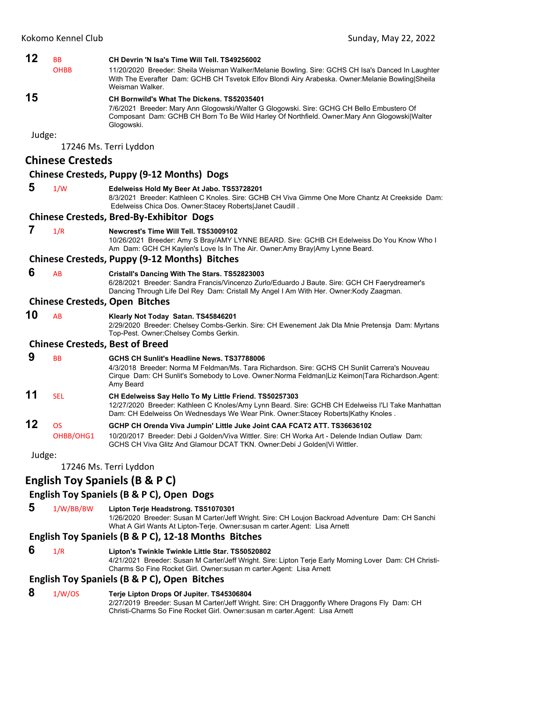| <b>OHBB</b><br><b>Chinese Cresteds</b> | CH Devrin 'N Isa's Time Will Tell. TS49256002<br>11/20/2020 Breeder: Sheila Weisman Walker/Melanie Bowling. Sire: GCHS CH Isa's Danced In Laughter<br>With The Everafter Dam: GCHB CH Tsvetok Elfov Blondi Airy Arabeska. Owner: Melanie Bowling Sheila<br>Weisman Walker.<br>CH Bornwild's What The Dickens. TS52035401<br>7/6/2021 Breeder: Mary Ann Glogowski/Walter G Glogowski. Sire: GCHG CH Bello Embustero Of<br>Composant Dam: GCHB CH Born To Be Wild Harley Of Northfield. Owner: Mary Ann Glogowski Walter<br>Glogowski.<br>17246 Ms. Terri Lyddon<br>Chinese Cresteds, Puppy (9-12 Months) Dogs<br>Edelweiss Hold My Beer At Jabo. TS53728201<br>8/3/2021 Breeder: Kathleen C Knoles. Sire: GCHB CH Viva Gimme One More Chantz At Creekside Dam:<br>Edelweiss Chica Dos. Owner: Stacey Roberts Janet Caudill.<br><b>Chinese Cresteds, Bred-By-Exhibitor Dogs</b><br>Newcrest's Time Will Tell. TS53009102<br>10/26/2021 Breeder: Amy S Bray/AMY LYNNE BEARD. Sire: GCHB CH Edelweiss Do You Know Who I<br>Am Dam: GCH CH Kaylen's Love Is In The Air. Owner:Amy Bray Amy Lynne Beard.<br>Chinese Cresteds, Puppy (9-12 Months) Bitches<br>Cristall's Dancing With The Stars. TS52823003<br>6/28/2021 Breeder: Sandra Francis/Vincenzo Zurlo/Eduardo J Baute. Sire: GCH CH Faerydreamer's<br>Dancing Through Life Del Rey Dam: Cristall My Angel I Am With Her. Owner: Kody Zaagman.<br><b>Chinese Cresteds, Open Bitches</b> |
|----------------------------------------|-------------------------------------------------------------------------------------------------------------------------------------------------------------------------------------------------------------------------------------------------------------------------------------------------------------------------------------------------------------------------------------------------------------------------------------------------------------------------------------------------------------------------------------------------------------------------------------------------------------------------------------------------------------------------------------------------------------------------------------------------------------------------------------------------------------------------------------------------------------------------------------------------------------------------------------------------------------------------------------------------------------------------------------------------------------------------------------------------------------------------------------------------------------------------------------------------------------------------------------------------------------------------------------------------------------------------------------------------------------------------------------------------------------------------------------------|
|                                        |                                                                                                                                                                                                                                                                                                                                                                                                                                                                                                                                                                                                                                                                                                                                                                                                                                                                                                                                                                                                                                                                                                                                                                                                                                                                                                                                                                                                                                           |
|                                        |                                                                                                                                                                                                                                                                                                                                                                                                                                                                                                                                                                                                                                                                                                                                                                                                                                                                                                                                                                                                                                                                                                                                                                                                                                                                                                                                                                                                                                           |
|                                        |                                                                                                                                                                                                                                                                                                                                                                                                                                                                                                                                                                                                                                                                                                                                                                                                                                                                                                                                                                                                                                                                                                                                                                                                                                                                                                                                                                                                                                           |
|                                        |                                                                                                                                                                                                                                                                                                                                                                                                                                                                                                                                                                                                                                                                                                                                                                                                                                                                                                                                                                                                                                                                                                                                                                                                                                                                                                                                                                                                                                           |
|                                        |                                                                                                                                                                                                                                                                                                                                                                                                                                                                                                                                                                                                                                                                                                                                                                                                                                                                                                                                                                                                                                                                                                                                                                                                                                                                                                                                                                                                                                           |
|                                        |                                                                                                                                                                                                                                                                                                                                                                                                                                                                                                                                                                                                                                                                                                                                                                                                                                                                                                                                                                                                                                                                                                                                                                                                                                                                                                                                                                                                                                           |
|                                        |                                                                                                                                                                                                                                                                                                                                                                                                                                                                                                                                                                                                                                                                                                                                                                                                                                                                                                                                                                                                                                                                                                                                                                                                                                                                                                                                                                                                                                           |
|                                        |                                                                                                                                                                                                                                                                                                                                                                                                                                                                                                                                                                                                                                                                                                                                                                                                                                                                                                                                                                                                                                                                                                                                                                                                                                                                                                                                                                                                                                           |
|                                        |                                                                                                                                                                                                                                                                                                                                                                                                                                                                                                                                                                                                                                                                                                                                                                                                                                                                                                                                                                                                                                                                                                                                                                                                                                                                                                                                                                                                                                           |
|                                        |                                                                                                                                                                                                                                                                                                                                                                                                                                                                                                                                                                                                                                                                                                                                                                                                                                                                                                                                                                                                                                                                                                                                                                                                                                                                                                                                                                                                                                           |
|                                        |                                                                                                                                                                                                                                                                                                                                                                                                                                                                                                                                                                                                                                                                                                                                                                                                                                                                                                                                                                                                                                                                                                                                                                                                                                                                                                                                                                                                                                           |
|                                        |                                                                                                                                                                                                                                                                                                                                                                                                                                                                                                                                                                                                                                                                                                                                                                                                                                                                                                                                                                                                                                                                                                                                                                                                                                                                                                                                                                                                                                           |
|                                        |                                                                                                                                                                                                                                                                                                                                                                                                                                                                                                                                                                                                                                                                                                                                                                                                                                                                                                                                                                                                                                                                                                                                                                                                                                                                                                                                                                                                                                           |
|                                        | Klearly Not Today Satan. TS45846201<br>2/29/2020 Breeder: Chelsey Combs-Gerkin. Sire: CH Ewenement Jak Dla Mnie Pretensja Dam: Myrtans<br>Top-Pest. Owner: Chelsey Combs Gerkin.                                                                                                                                                                                                                                                                                                                                                                                                                                                                                                                                                                                                                                                                                                                                                                                                                                                                                                                                                                                                                                                                                                                                                                                                                                                          |
|                                        | <b>Chinese Cresteds, Best of Breed</b>                                                                                                                                                                                                                                                                                                                                                                                                                                                                                                                                                                                                                                                                                                                                                                                                                                                                                                                                                                                                                                                                                                                                                                                                                                                                                                                                                                                                    |
|                                        | GCHS CH Sunlit's Headline News, TS37788006<br>4/3/2018 Breeder: Norma M Feldman/Ms. Tara Richardson. Sire: GCHS CH Sunlit Carrera's Nouveau<br>Cirque Dam: CH Sunlit's Somebody to Love. Owner: Norma Feldman Liz Keimon Tara Richardson. Agent:<br>Amy Beard                                                                                                                                                                                                                                                                                                                                                                                                                                                                                                                                                                                                                                                                                                                                                                                                                                                                                                                                                                                                                                                                                                                                                                             |
|                                        | CH Edelweiss Say Hello To My Little Friend. TS50257303<br>12/27/2020 Breeder: Kathleen C Knoles/Amy Lynn Beard. Sire: GCHB CH Edelweiss I'Ll Take Manhattan<br>Dam: CH Edelweiss On Wednesdays We Wear Pink. Owner: Stacey Roberts Kathy Knoles.                                                                                                                                                                                                                                                                                                                                                                                                                                                                                                                                                                                                                                                                                                                                                                                                                                                                                                                                                                                                                                                                                                                                                                                          |
| OHBB/OHG1                              | GCHP CH Orenda Viva Jumpin' Little Juke Joint CAA FCAT2 ATT. TS36636102<br>10/20/2017 Breeder: Debi J Golden/Viva Wittler. Sire: CH Worka Art - Delende Indian Outlaw Dam:<br>GCHS CH Viva Glitz And Glamour DCAT TKN. Owner:Debi J Golden Vi Wittler.                                                                                                                                                                                                                                                                                                                                                                                                                                                                                                                                                                                                                                                                                                                                                                                                                                                                                                                                                                                                                                                                                                                                                                                    |
|                                        |                                                                                                                                                                                                                                                                                                                                                                                                                                                                                                                                                                                                                                                                                                                                                                                                                                                                                                                                                                                                                                                                                                                                                                                                                                                                                                                                                                                                                                           |
|                                        | 17246 Ms. Terri Lyddon                                                                                                                                                                                                                                                                                                                                                                                                                                                                                                                                                                                                                                                                                                                                                                                                                                                                                                                                                                                                                                                                                                                                                                                                                                                                                                                                                                                                                    |
|                                        | <b>English Toy Spaniels (B &amp; P C)</b>                                                                                                                                                                                                                                                                                                                                                                                                                                                                                                                                                                                                                                                                                                                                                                                                                                                                                                                                                                                                                                                                                                                                                                                                                                                                                                                                                                                                 |
|                                        |                                                                                                                                                                                                                                                                                                                                                                                                                                                                                                                                                                                                                                                                                                                                                                                                                                                                                                                                                                                                                                                                                                                                                                                                                                                                                                                                                                                                                                           |

 **5** 1/W/BB/BW **Lipton Terje Headstrong. TS51070301**

1/26/2020 Breeder: Susan M Carter/Jeff Wright. Sire: CH Loujon Backroad Adventure Dam: CH Sanchi What A Girl Wants At Lipton-Terje. Owner:susan m carter.Agent: Lisa Arnett

## **English Toy Spaniels (B & P C), 12‐18 Months Bitches**

- 
- **6** 1/R **Lipton's Twinkle Twinkle Little Star. TS50520802**

4/21/2021 Breeder: Susan M Carter/Jeff Wright. Sire: Lipton Terje Early Morning Lover Dam: CH Christi-Charms So Fine Rocket Girl. Owner:susan m carter.Agent: Lisa Arnett

#### **English Toy Spaniels (B & P C), Open Bitches**

## **8** 1/W/OS **Terje Lipton Drops Of Jupiter. TS45306804**

2/27/2019 Breeder: Susan M Carter/Jeff Wright. Sire: CH Draggonfly Where Dragons Fly Dam: CH Christi-Charms So Fine Rocket Girl. Owner:susan m carter.Agent: Lisa Arnett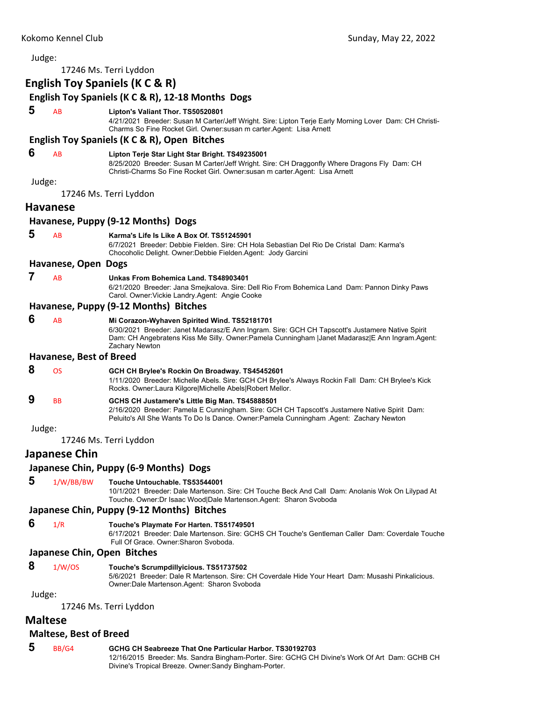| Judge:         |                             |                                                                                                                                                                                                                                                                     |
|----------------|-----------------------------|---------------------------------------------------------------------------------------------------------------------------------------------------------------------------------------------------------------------------------------------------------------------|
|                |                             | 17246 Ms. Terri Lyddon                                                                                                                                                                                                                                              |
|                |                             | English Toy Spaniels (K C & R)                                                                                                                                                                                                                                      |
|                |                             | English Toy Spaniels (K C & R), 12-18 Months Dogs                                                                                                                                                                                                                   |
| 5              | AB                          | Lipton's Valiant Thor. TS50520801<br>4/21/2021 Breeder: Susan M Carter/Jeff Wright. Sire: Lipton Terje Early Morning Lover Dam: CH Christi-<br>Charms So Fine Rocket Girl. Owner: susan m carter. Agent: Lisa Arnett                                                |
|                |                             | English Toy Spaniels (K C & R), Open Bitches                                                                                                                                                                                                                        |
| 6              | AB                          | Lipton Terje Star Light Star Bright. TS49235001<br>8/25/2020 Breeder: Susan M Carter/Jeff Wright. Sire: CH Draggonfly Where Dragons Fly Dam: CH<br>Christi-Charms So Fine Rocket Girl. Owner: susan m carter. Agent: Lisa Arnett                                    |
| Judge:         |                             | 17246 Ms. Terri Lyddon                                                                                                                                                                                                                                              |
|                | <b>Havanese</b>             |                                                                                                                                                                                                                                                                     |
|                |                             | Havanese, Puppy (9-12 Months) Dogs                                                                                                                                                                                                                                  |
| 5              | AB                          | Karma's Life Is Like A Box Of. TS51245901<br>6/7/2021 Breeder: Debbie Fielden. Sire: CH Hola Sebastian Del Rio De Cristal Dam: Karma's<br>Chocoholic Delight. Owner: Debbie Fielden. Agent: Jody Garcini                                                            |
|                | Havanese, Open Dogs         |                                                                                                                                                                                                                                                                     |
| 7              | AB                          | Unkas From Bohemica Land. TS48903401<br>6/21/2020 Breeder: Jana Smejkalova. Sire: Dell Rio From Bohemica Land Dam: Pannon Dinky Paws<br>Carol. Owner: Vickie Landry. Agent: Angie Cooke                                                                             |
|                |                             | Havanese, Puppy (9-12 Months) Bitches                                                                                                                                                                                                                               |
| 6              | AB                          | Mi Corazon-Wyhaven Spirited Wind. TS52181701<br>6/30/2021 Breeder: Janet Madarasz/E Ann Ingram. Sire: GCH CH Tapscott's Justamere Native Spirit<br>Dam: CH Angebratens Kiss Me Silly. Owner:Pamela Cunningham  Janet Madarasz E Ann Ingram.Agent:<br>Zachary Newton |
|                | Havanese, Best of Breed     |                                                                                                                                                                                                                                                                     |
| 8              | <b>OS</b>                   | GCH CH Brylee's Rockin On Broadway. TS45452601<br>1/11/2020 Breeder: Michelle Abels. Sire: GCH CH Brylee's Always Rockin Fall Dam: CH Brylee's Kick<br>Rocks. Owner:Laura Kilgore Michelle Abels Robert Mellor.                                                     |
| 9              | BB                          | GCHS CH Justamere's Little Big Man. TS45888501<br>2/16/2020 Breeder: Pamela E Cunningham. Sire: GCH CH Tapscott's Justamere Native Spirit Dam:<br>Peluito's All She Wants To Do Is Dance. Owner: Pamela Cunningham . Agent: Zachary Newton                          |
| Judge:         |                             |                                                                                                                                                                                                                                                                     |
|                |                             | 17246 Ms. Terri Lyddon                                                                                                                                                                                                                                              |
|                | <b>Japanese Chin</b>        |                                                                                                                                                                                                                                                                     |
|                |                             | Japanese Chin, Puppy (6-9 Months) Dogs                                                                                                                                                                                                                              |
| 5              | 1/W/BB/BW                   | Touche Untouchable. TS53544001<br>10/1/2021 Breeder: Dale Martenson. Sire: CH Touche Beck And Call Dam: Anolanis Wok On Lilypad At<br>Touche. Owner: Dr Isaac Wood   Dale Martenson. Agent: Sharon Svoboda                                                          |
|                |                             | Japanese Chin, Puppy (9-12 Months) Bitches                                                                                                                                                                                                                          |
| 6              | 1/R                         | Touche's Playmate For Harten. TS51749501<br>6/17/2021 Breeder: Dale Martenson. Sire: GCHS CH Touche's Gentleman Caller Dam: Coverdale Touche<br>Full Of Grace, Owner: Sharon Svoboda.                                                                               |
|                | Japanese Chin, Open Bitches |                                                                                                                                                                                                                                                                     |
| 8              | 1/W/OS                      | Touche's Scrumpdillyicious. TS51737502<br>5/6/2021 Breeder: Dale R Martenson. Sire: CH Coverdale Hide Your Heart Dam: Musashi Pinkalicious.<br>Owner: Dale Martenson. Agent: Sharon Svoboda                                                                         |
| Judge:         |                             | 17246 Ms. Terri Lyddon                                                                                                                                                                                                                                              |
| <b>Maltese</b> |                             |                                                                                                                                                                                                                                                                     |

## **Maltese, Best of Breed**

| 5 | BB/G4 | GCHG CH Seabreeze That One Particular Harbor, TS30192703                                       |
|---|-------|------------------------------------------------------------------------------------------------|
|   |       | 12/16/2015 Breeder: Ms. Sandra Bingham-Porter. Sire: GCHG CH Divine's Work Of Art Dam: GCHB CH |
|   |       | Divine's Tropical Breeze. Owner:Sandy Bingham-Porter.                                          |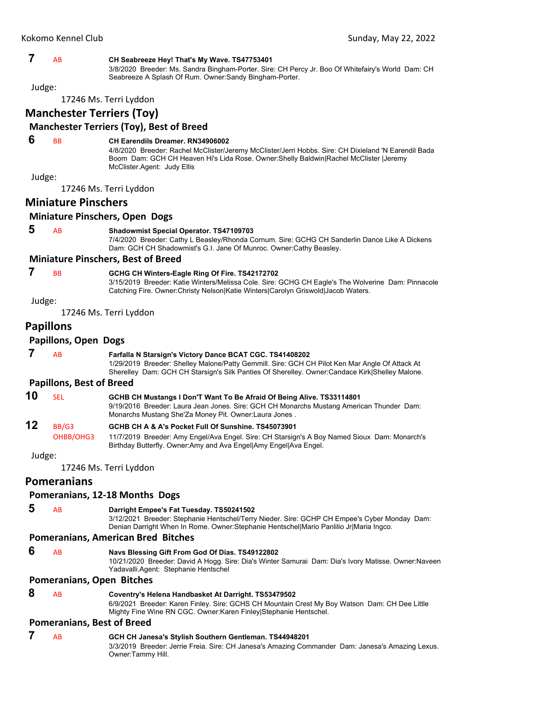|        | Kokomo Kennel Club              | Sunday, May 22, 2022                                                                                                                                                                                                                                                      |
|--------|---------------------------------|---------------------------------------------------------------------------------------------------------------------------------------------------------------------------------------------------------------------------------------------------------------------------|
|        |                                 |                                                                                                                                                                                                                                                                           |
| 7      | AB                              | CH Seabreeze Hey! That's My Wave. TS47753401<br>3/8/2020 Breeder: Ms. Sandra Bingham-Porter. Sire: CH Percy Jr. Boo Of Whitefairy's World Dam: CH<br>Seabreeze A Splash Of Rum. Owner: Sandy Bingham-Porter.                                                              |
| Judge: |                                 |                                                                                                                                                                                                                                                                           |
|        |                                 | 17246 Ms. Terri Lyddon                                                                                                                                                                                                                                                    |
|        |                                 | <b>Manchester Terriers (Toy)</b>                                                                                                                                                                                                                                          |
|        |                                 | <b>Manchester Terriers (Toy), Best of Breed</b>                                                                                                                                                                                                                           |
| 6      | <b>BB</b>                       | <b>CH Earendils Dreamer, RN34906002</b><br>4/8/2020 Breeder: Rachel McClister/Jeremy McClister/Jerri Hobbs. Sire: CH Dixieland 'N Earendil Bada<br>Boom Dam: GCH CH Heaven Hi's Lida Rose. Owner: Shelly Baldwin Rachel McClister   Jeremy<br>McClister.Agent: Judy Ellis |
| Judge: |                                 |                                                                                                                                                                                                                                                                           |
|        |                                 | 17246 Ms. Terri Lyddon                                                                                                                                                                                                                                                    |
|        | <b>Miniature Pinschers</b>      |                                                                                                                                                                                                                                                                           |
|        |                                 | <b>Miniature Pinschers, Open Dogs</b>                                                                                                                                                                                                                                     |
| 5      | AB                              | <b>Shadowmist Special Operator. TS47109703</b><br>7/4/2020 Breeder: Cathy L Beasley/Rhonda Cornum. Sire: GCHG CH Sanderlin Dance Like A Dickens                                                                                                                           |
|        |                                 | Dam: GCH CH Shadowmist's G.I. Jane Of Munroc. Owner:Cathy Beasley.                                                                                                                                                                                                        |
|        |                                 | <b>Miniature Pinschers, Best of Breed</b>                                                                                                                                                                                                                                 |
| 7      | <b>BB</b>                       | GCHG CH Winters-Eagle Ring Of Fire. TS42172702<br>3/15/2019 Breeder: Katie Winters/Melissa Cole. Sire: GCHG CH Eagle's The Wolverine Dam: Pinnacole<br>Catching Fire. Owner: Christy Nelson Katie Winters Carolyn Griswold Jacob Waters.                                  |
| Judge: |                                 |                                                                                                                                                                                                                                                                           |
|        |                                 | 17246 Ms. Terri Lyddon                                                                                                                                                                                                                                                    |
|        | <b>Papillons</b>                |                                                                                                                                                                                                                                                                           |
|        | <b>Papillons, Open Dogs</b>     |                                                                                                                                                                                                                                                                           |
| 7      | AB                              | Farfalla N Starsign's Victory Dance BCAT CGC. TS41408202<br>1/29/2019 Breeder: Shelley Malone/Patty Gemmill. Sire: GCH CH Pilot Ken Mar Angle Of Attack At<br>Sherelley Dam: GCH CH Starsign's Silk Panties Of Sherelley. Owner:Candace Kirk Shelley Malone.              |
|        | <b>Papillons, Best of Breed</b> |                                                                                                                                                                                                                                                                           |
| 10     | <b>SEL</b>                      | GCHB CH Mustangs I Don'T Want To Be Afraid Of Being Alive. TS33114801<br>9/19/2016 Breeder: Laura Jean Jones. Sire: GCH CH Monarchs Mustang American Thunder Dam:<br>Monarchs Mustang She'Za Money Pit. Owner:Laura Jones.                                                |
| 12     | BB/G3                           | GCHB CH A & A's Pocket Full Of Sunshine. TS45073901                                                                                                                                                                                                                       |
|        | OHBB/OHG3                       | 11/7/2019 Breeder: Amy Engel/Ava Engel. Sire: CH Starsign's A Boy Named Sioux Dam: Monarch's<br>Birthday Butterfly. Owner:Amy and Ava Engel Amy Engel Ava Engel.                                                                                                          |
| Judge: |                                 |                                                                                                                                                                                                                                                                           |
|        |                                 | 17246 Ms. Terri Lyddon                                                                                                                                                                                                                                                    |
|        | <b>Pomeranians</b>              |                                                                                                                                                                                                                                                                           |
|        |                                 | Pomeranians, 12-18 Months Dogs                                                                                                                                                                                                                                            |
| 5      | AB                              | Darright Empee's Fat Tuesday. TS50241502<br>3/12/2021 Breeder: Stephanie Hentschel/Terry Nieder. Sire: GCHP CH Empee's Cyber Monday Dam:<br>Denian Darright When In Rome. Owner:Stephanie Hentschel Mario Panlilio Jr Maria Ingco.                                        |
|        |                                 | <b>Pomeranians, American Bred Bitches</b>                                                                                                                                                                                                                                 |
| 6      | AB                              | Navs Blessing Gift From God Of Dias. TS49122802                                                                                                                                                                                                                           |

10/21/2020 Breeder: David A Hogg. Sire: Dia's Winter Samurai Dam: Dia's Ivory Matisse. Owner:Naveen Yadavalli.Agent: Stephanie Hentschel

**Pomeranians, Open Bitches**

- 
- **8** AB **Coventry's Helena Handbasket At Darright. TS53479502**

6/9/2021 Breeder: Karen Finley. Sire: GCHS CH Mountain Crest My Boy Watson Dam: CH Dee Little Mighty Fine Wine RN CGC. Owner:Karen Finley|Stephanie Hentschel.

#### **Pomeranians, Best of Breed**

 **7** AB **GCH CH Janesa's Stylish Southern Gentleman. TS44948201** 3/3/2019 Breeder: Jerrie Freia. Sire: CH Janesa's Amazing Commander Dam: Janesa's Amazing Lexus. Owner:Tammy Hill.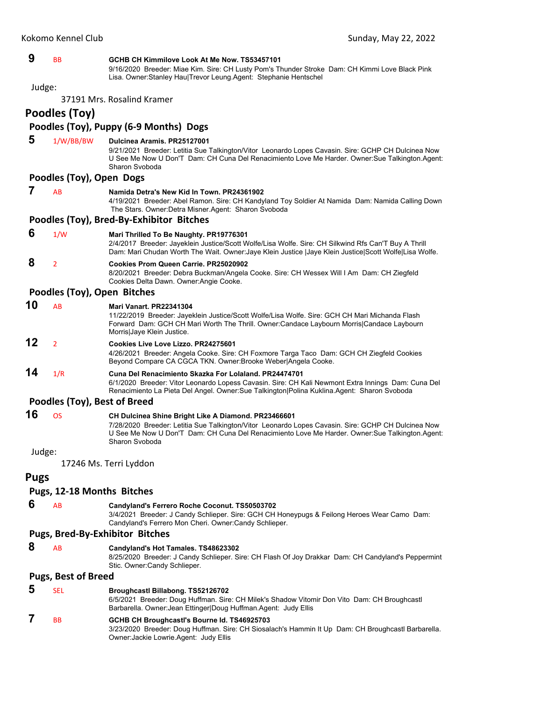#### **9** BB **GCHB CH Kimmilove Look At Me Now. TS53457101**

9/16/2020 Breeder: Miae Kim. Sire: CH Lusty Pom's Thunder Stroke Dam: CH Kimmi Love Black Pink Lisa. Owner:Stanley Hau|Trevor Leung.Agent: Stephanie Hentschel

Judge:

37191 Mrs. Rosalind Kramer

**Poodles (Toy)**

## **Poodles (Toy), Puppy (6‐9 Months) Dogs**

 **5** 1/W/BB/BW **Dulcinea Aramis. PR25127001**

9/21/2021 Breeder: Letitia Sue Talkington/Vitor Leonardo Lopes Cavasin. Sire: GCHP CH Dulcinea Now U See Me Now U Don'T Dam: CH Cuna Del Renacimiento Love Me Harder. Owner:Sue Talkington.Agent: Sharon Svoboda

#### **Poodles (Toy), Open Dogs**

### **7** AB **Namida Detra's New Kid In Town. PR24361902**

4/19/2021 Breeder: Abel Ramon. Sire: CH Kandyland Toy Soldier At Namida Dam: Namida Calling Down The Stars. Owner: Detra Misner. Agent: Sharon Svoboda

#### **Poodles (Toy), Bred‐By‐Exhibitor Bitches**

 **6** 1/W **Mari Thrilled To Be Naughty. PR19776301**

2/4/2017 Breeder: Jayeklein Justice/Scott Wolfe/Lisa Wolfe. Sire: CH Silkwind Rfs Can'T Buy A Thrill Dam: Mari Chudan Worth The Wait. Owner:Jaye Klein Justice |Jaye Klein Justice|Scott Wolfe|Lisa Wolfe.

## **8** <sup>2</sup> **Cookies Prom Queen Carrie. PR25020902**

8/20/2021 Breeder: Debra Buckman/Angela Cooke. Sire: CH Wessex Will I Am Dam: CH Ziegfeld Cookies Delta Dawn. Owner:Angie Cooke.

#### **Poodles (Toy), Open Bitches**

**10** AB **Mari Vanart. PR22341304**

11/22/2019 Breeder: Jayeklein Justice/Scott Wolfe/Lisa Wolfe. Sire: GCH CH Mari Michanda Flash Forward Dam: GCH CH Mari Worth The Thrill. Owner:Candace Laybourn Morris|Candace Laybourn Morris|Jaye Klein Justice.

## **12** <sup>2</sup> **Cookies Live Love Lizzo. PR24275601**

4/26/2021 Breeder: Angela Cooke. Sire: CH Foxmore Targa Taco Dam: GCH CH Ziegfeld Cookies Beyond Compare CA CGCA TKN. Owner:Brooke Weber|Angela Cooke.

## **14** 1/R **Cuna Del Renacimiento Skazka For Lolaland. PR24474701**

6/1/2020 Breeder: Vitor Leonardo Lopess Cavasin. Sire: CH Kali Newmont Extra Innings Dam: Cuna Del Renacimiento La Pieta Del Angel. Owner:Sue Talkington|Polina Kuklina.Agent: Sharon Svoboda

### **Poodles (Toy), Best of Breed**

| 16 | OS. | CH Dulcinea Shine Bright Like A Diamond. PR23466601                                                |
|----|-----|----------------------------------------------------------------------------------------------------|
|    |     | 7/28/2020 Breeder: Letitia Sue Talkington/Vitor Leonardo Lopes Cavasin. Sire: GCHP CH Dulcinea Now |
|    |     | U See Me Now U Don'T Dam: CH Cuna Del Renacimiento Love Me Harder. Owner: Sue Talkington. Agent:   |
|    |     | Sharon Svoboda                                                                                     |

#### Judge:

17246 Ms. Terri Lyddon

#### **Pugs**

### **Pugs, 12‐18 Months Bitches**

 **6** AB **Candyland's Ferrero Roche Coconut. TS50503702** 3/4/2021 Breeder: J Candy Schlieper. Sire: GCH CH Honeypugs & Feilong Heroes Wear Camo Dam: Candyland's Ferrero Mon Cheri. Owner:Candy Schlieper.

Owner:Jackie Lowrie.Agent: Judy Ellis

#### **Pugs, Bred‐By‐Exhibitor Bitches**

 **8** AB **Candyland's Hot Tamales. TS48623302** 8/25/2020 Breeder: J Candy Schlieper. Sire: CH Flash Of Joy Drakkar Dam: CH Candyland's Peppermint Stic. Owner:Candy Schlieper.

#### **Pugs, Best of Breed**

 **5** SEL **Broughcastl Billabong. TS52126702** 6/5/2021 Breeder: Doug Huffman. Sire: CH Milek's Shadow Vitomir Don Vito Dam: CH Broughcastl Barbarella. Owner:Jean Ettinger|Doug Huffman.Agent: Judy Ellis  **7** BB **GCHB CH Broughcastl's Bourne Id. TS46925703** 3/23/2020 Breeder: Doug Huffman. Sire: CH Siosalach's Hammin It Up Dam: CH Broughcastl Barbarella.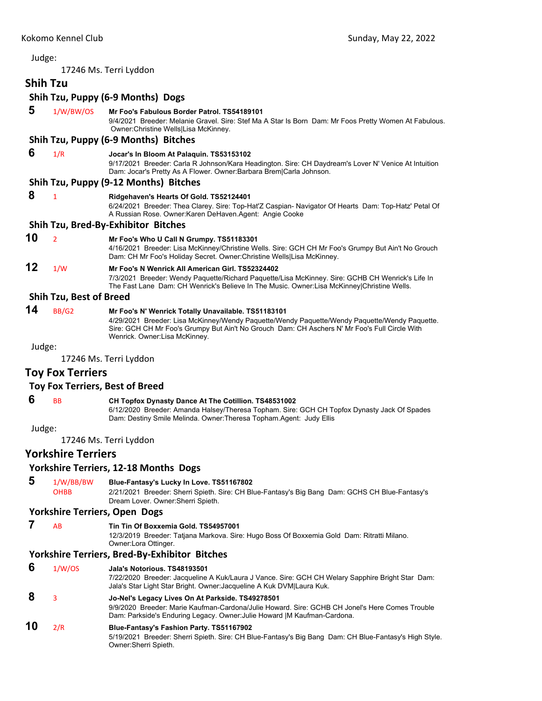17246 Ms. Terri Lyddon

## **Shih Tzu**

## **Shih Tzu, Puppy (6‐9 Months) Dogs**

 **5** 1/W/BW/OS **Mr Foo's Fabulous Border Patrol. TS54189101**

9/4/2021 Breeder: Melanie Gravel. Sire: Stef Ma A Star Is Born Dam: Mr Foos Pretty Women At Fabulous. Owner:Christine Wells|Lisa McKinney.

#### **Shih Tzu, Puppy (6‐9 Months) Bitches**

## **6** 1/R **Jocar's In Bloom At Palaquin. TS53153102**

9/17/2021 Breeder: Carla R Johnson/Kara Headington. Sire: CH Daydream's Lover N' Venice At Intuition Dam: Jocar's Pretty As A Flower. Owner:Barbara Brem|Carla Johnson.

#### **Shih Tzu, Puppy (9‐12 Months) Bitches**

## **8** <sup>1</sup> **Ridgehaven's Hearts Of Gold. TS52124401**

6/24/2021 Breeder: Thea Clarey. Sire: Top-Hat'Z Caspian- Navigator Of Hearts Dam: Top-Hatz' Petal Of A Russian Rose. Owner:Karen DeHaven.Agent: Angie Cooke

#### **Shih Tzu, Bred‐By‐Exhibitor Bitches**

**10** <sup>2</sup> **Mr Foo's Who U Call N Grumpy. TS51183301**

4/16/2021 Breeder: Lisa McKinney/Christine Wells. Sire: GCH CH Mr Foo's Grumpy But Ain't No Grouch Dam: CH Mr Foo's Holiday Secret. Owner:Christine Wells|Lisa McKinney.

## **12** 1/W **Mr Foo's N Wenrick All American Girl. TS52324402**

7/3/2021 Breeder: Wendy Paquette/Richard Paquette/Lisa McKinney. Sire: GCHB CH Wenrick's Life In The Fast Lane Dam: CH Wenrick's Believe In The Music. Owner:Lisa McKinney|Christine Wells.

#### **Shih Tzu, Best of Breed**

**14** BB/G2 **Mr Foo's N' Wenrick Totally Unavailable. TS51183101** 4/29/2021 Breeder: Lisa McKinney/Wendy Paquette/Wendy Paquette/Wendy Paquette/Wendy Paquette. Sire: GCH CH Mr Foo's Grumpy But Ain't No Grouch Dam: CH Aschers N' Mr Foo's Full Circle With Wenrick. Owner:Lisa McKinney.

Judge:

17246 Ms. Terri Lyddon

## **Toy Fox Terriers**

#### **Toy Fox Terriers, Best of Breed**

## **6** BB **CH Topfox Dynasty Dance At The Cotillion. TS48531002**

6/12/2020 Breeder: Amanda Halsey/Theresa Topham. Sire: GCH CH Topfox Dynasty Jack Of Spades Dam: Destiny Smile Melinda. Owner:Theresa Topham.Agent: Judy Ellis

Judge:

17246 Ms. Terri Lyddon

## **Yorkshire Terriers**

#### **Yorkshire Terriers, 12‐18 Months Dogs**

 **5** 1/W/BB/BW **Blue-Fantasy's Lucky In Love. TS51167802**

OHBB 2/21/2021 Breeder: Sherri Spieth. Sire: CH Blue-Fantasy's Big Bang Dam: GCHS CH Blue-Fantasy's Dream Lover. Owner:Sherri Spieth.

#### **Yorkshire Terriers, Open Dogs**

#### **7** AB **Tin Tin Of Boxxemia Gold. TS54957001**

12/3/2019 Breeder: Tatjana Markova. Sire: Hugo Boss Of Boxxemia Gold Dam: Ritratti Milano. Owner:Lora Ottinger.

#### **Yorkshire Terriers, Bred‐By‐Exhibitor Bitches**

- **6** 1/W/OS **Jala's Notorious. TS48193501**
	- 7/22/2020 Breeder: Jacqueline A Kuk/Laura J Vance. Sire: GCH CH Welary Sapphire Bright Star Dam: Jala's Star Light Star Bright. Owner:Jacqueline A Kuk DVM|Laura Kuk.

## **8** <sup>3</sup> **Jo-Nel's Legacy Lives On At Parkside. TS49278501**

9/9/2020 Breeder: Marie Kaufman-Cardona/Julie Howard. Sire: GCHB CH Jonel's Here Comes Trouble Dam: Parkside's Enduring Legacy. Owner:Julie Howard |M Kaufman-Cardona.

#### **10** 2/R **Blue-Fantasy's Fashion Party. TS51167902**

5/19/2021 Breeder: Sherri Spieth. Sire: CH Blue-Fantasy's Big Bang Dam: CH Blue-Fantasy's High Style. Owner:Sherri Spieth.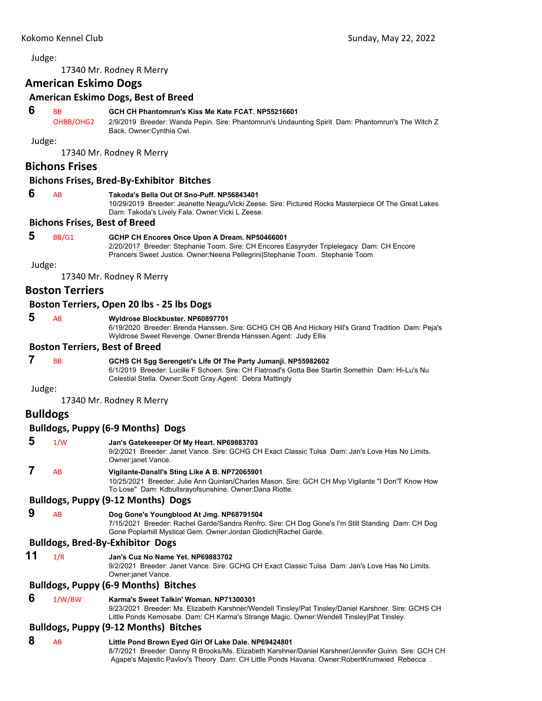<span id="page-36-0"></span>17340 Mr. Rodney R Merry

## **American Eskimo Dogs**

#### **American Eskimo Dogs, Best of Breed**

#### **6** BB **GCH CH Phantomrun's Kiss Me Kate FCAT. NP55216601**

OHBB/OHG2 2/9/2019 Breeder: Wanda Pepin. Sire: Phantomrun's Undaunting Spirit Dam: Phantomrun's The Witch Z Back. Owner:Cynthia Cwi.

Judge:

17340 Mr. Rodney R Merry

#### **Bichons Frises**

#### **Bichons Frises, Bred‐By‐Exhibitor Bitches**

#### **6** AB **Takoda's Bella Out Of Sno-Puff. NP56843401**

10/29/2019 Breeder: Jeanette Neagu/Vicki Zeese. Sire: Pictured Rocks Masterpiece Of The Great Lakes Dam: Takoda's Lively Fala. Owner:Vicki L Zeese.

#### **Bichons Frises, Best of Breed**

 **5** BB/G1 **GCHP CH Encores Once Upon A Dream. NP50466001**

2/20/2017 Breeder: Stephanie Toom. Sire: CH Encores Easyryder Triplelegacy Dam: CH Encore Prancers Sweet Justice. Owner:Neena Pellegrini|Stephanie Toom. Stephanie Toom

Judge:

17340 Mr. Rodney R Merry

#### **Boston Terriers**

#### **Boston Terriers, Open 20 lbs ‐ 25 lbs Dogs**

#### **5** AB **Wyldrose Blockbuster. NP60897701**

6/19/2020 Breeder: Brenda Hanssen. Sire: GCHG CH QB And Hickory Hill's Grand Tradition Dam: Peja's Wyldrose Sweet Revenge. Owner:Brenda Hanssen.Agent: Judy Ellis

#### **Boston Terriers, Best of Breed**

#### **7** BB **GCHS CH Sgg Serengeti's Life Of The Party Jumanji. NP55982602**

6/1/2019 Breeder: Lucille F Schoen. Sire: CH Flatroad's Gotta Bee Startin Somethin Dam: Hi-Lu's Nu Celestial Stella. Owner:Scott Gray.Agent: Debra Mattingly

#### Judge:

17340 Mr. Rodney R Merry

### **Bulldogs**

#### **Bulldogs, Puppy (6‐9 Months) Dogs**

 **5** 1/W **Jan's Gatekeeeper Of My Heart. NP69883703** 9/2/2021 Breeder: Janet Vance. Sire: GCHG CH Exact Classic Tulsa Dam: Jan's Love Has No Limits. Owner:janet Vance.  **7** AB **Vigilante-Danall's Sting Like A B. NP72065901**

10/25/2021 Breeder: Julie Ann Quinlan/Charles Mason. Sire: GCH CH Mvp Vigilante "I Don'T Know How To Lose" Dam: Kdbullsrayofsunshine. Owner:Dana Riotte.

#### **Bulldogs, Puppy (9‐12 Months) Dogs**

 **9** AB **Dog Gone's Youngblood At Jmg. NP68791504**

7/15/2021 Breeder: Rachel Garde/Sandra Renfro. Sire: CH Dog Gone's I'm Still Standing Dam: CH Dog Gone Poplarhill Mystical Gem. Owner:Jordan Glodich|Rachel Garde.

#### **Bulldogs, Bred‐By‐Exhibitor Dogs**

**11** 1/R **Jan's Cuz No Name Yet. NP69883702**

9/2/2021 Breeder: Janet Vance. Sire: GCHG CH Exact Classic Tulsa Dam: Jan's Love Has No Limits. Owner:janet Vance.

#### **Bulldogs, Puppy (6‐9 Months) Bitches**

 **6** 1/W/BW **Karma's Sweet Talkin' Woman. NP71300301**

9/23/2021 Breeder: Ms. Elizabeth Karshner/Wendell Tinsley/Pat Tinsley/Daniel Karshner. Sire: GCHS CH Little Ponds Kemosabe Dam: CH Karma's Strange Magic. Owner:Wendell Tinsley|Pat Tinsley.

#### **Bulldogs, Puppy (9‐12 Months) Bitches**

### **8** AB **Little Pond Brown Eyed Girl Of Lake Dale. NP69424801**

8/7/2021 Breeder: Danny R Brooks/Ms. Elizabeth Karshner/Daniel Karshner/Jennifer Guinn. Sire: GCH CH Agape's Majestic Pavlov's Theory Dam: CH Little Ponds Havana. Owner:RobertKrumwied Rebecca .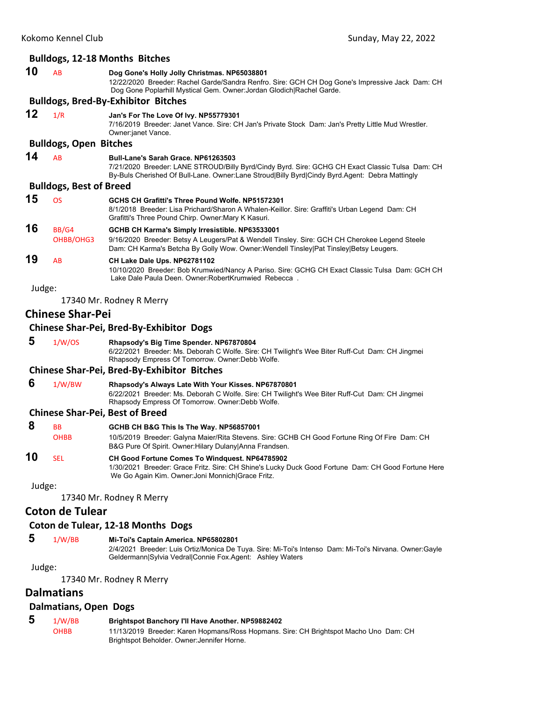| <b>Bulldogs, 12-18 Months Bitches</b> |                                                 |                                                                                                                                                                                                                                            |  |  |  |
|---------------------------------------|-------------------------------------------------|--------------------------------------------------------------------------------------------------------------------------------------------------------------------------------------------------------------------------------------------|--|--|--|
| 10                                    | <b>AB</b>                                       | Dog Gone's Holly Jolly Christmas. NP65038801<br>12/22/2020 Breeder: Rachel Garde/Sandra Renfro. Sire: GCH CH Dog Gone's Impressive Jack Dam: CH<br>Dog Gone Poplarhill Mystical Gem. Owner: Jordan Glodich Rachel Garde.                   |  |  |  |
|                                       |                                                 | <b>Bulldogs, Bred-By-Exhibitor Bitches</b>                                                                                                                                                                                                 |  |  |  |
| 12                                    | 1/R                                             | Jan's For The Love Of Ivy. NP55779301<br>7/16/2019 Breeder: Janet Vance. Sire: CH Jan's Private Stock Dam: Jan's Pretty Little Mud Wrestler.<br>Owner:janet Vance.                                                                         |  |  |  |
|                                       | <b>Bulldogs, Open Bitches</b>                   |                                                                                                                                                                                                                                            |  |  |  |
| 14                                    | <b>AB</b>                                       | Bull-Lane's Sarah Grace, NP61263503<br>7/21/2020 Breeder: LANE STROUD/Billy Byrd/Cindy Byrd. Sire: GCHG CH Exact Classic Tulsa Dam: CH<br>By-Buls Cherished Of Bull-Lane. Owner:Lane Stroud Billy Byrd Cindy Byrd.Agent: Debra Mattingly   |  |  |  |
| <b>Bulldogs, Best of Breed</b>        |                                                 |                                                                                                                                                                                                                                            |  |  |  |
| 15                                    | <b>OS</b>                                       | GCHS CH Grafitti's Three Pound Wolfe, NP51572301<br>8/1/2018 Breeder: Lisa Prichard/Sharon A Whalen-Keillor. Sire: Graffiti's Urban Legend Dam: CH<br>Grafitti's Three Pound Chirp. Owner: Mary K Kasuri.                                  |  |  |  |
| 16                                    | BB/G4<br>OHBB/OHG3                              | GCHB CH Karma's Simply Irresistible. NP63533001<br>9/16/2020 Breeder: Betsy A Leugers/Pat & Wendell Tinsley. Sire: GCH CH Cherokee Legend Steele<br>Dam: CH Karma's Betcha By Golly Wow. Owner: Wendell Tinsley Pat Tinsley Betsy Leugers. |  |  |  |
| 19                                    | AB                                              | CH Lake Dale Ups. NP62781102<br>10/10/2020 Breeder: Bob Krumwied/Nancy A Pariso. Sire: GCHG CH Exact Classic Tulsa Dam: GCH CH<br>Lake Dale Paula Deen, Owner: RobertKrumwied Rebecca                                                      |  |  |  |
| Judge:                                |                                                 |                                                                                                                                                                                                                                            |  |  |  |
|                                       |                                                 | 17340 Mr. Rodney R Merry                                                                                                                                                                                                                   |  |  |  |
| <b>Chinese Shar-Pei</b>               |                                                 |                                                                                                                                                                                                                                            |  |  |  |
|                                       | <b>Chinese Shar-Pei, Bred-By-Exhibitor Dogs</b> |                                                                                                                                                                                                                                            |  |  |  |
| 5                                     | 1/W/OS                                          | Rhapsody's Big Time Spender. NP67870804<br>6/22/2021 Breeder: Ms. Deborah C Wolfe. Sire: CH Twilight's Wee Biter Ruff-Cut Dam: CH Jingmei<br>Rhapsody Empress Of Tomorrow. Owner: Debb Wolfe.                                              |  |  |  |

#### **Chinese Shar‐Pei, Bred‐By‐Exhibitor Bitches**

 **6** 1/W/BW **Rhapsody's Always Late With Your Kisses. NP67870801** 6/22/2021 Breeder: Ms. Deborah C Wolfe. Sire: CH Twilight's Wee Biter Ruff-Cut Dam: CH Jingmei Rhapsody Empress Of Tomorrow. Owner:Debb Wolfe.

#### **Chinese Shar‐Pei, Best of Breed**

| -8 | <b>BB</b>   | GCHB CH B&G This Is The Way. NP56857001                                                                                                                  |
|----|-------------|----------------------------------------------------------------------------------------------------------------------------------------------------------|
|    | <b>OHBB</b> | 10/5/2019 Breeder: Galyna Maier/Rita Stevens. Sire: GCHB CH Good Fortune Ring Of Fire Dam: CH<br>B&G Pure Of Spirit. Owner: Hilary Dulany Anna Frandsen. |
| 10 | <b>SEL</b>  | CH Good Fortune Comes To Windquest. NP64785902<br>1/30/2021 Breeder: Grace Fritz. Sire: CH Shine's Lucky Duck Good Fortune Dam: CH Good Fortune Here     |

We Go Again Kim. Owner:Joni Monnich|Grace Fritz.

Judge:

17340 Mr. Rodney R Merry

## **Coton de Tulear**

#### **Coton de Tulear, 12‐18 Months Dogs**

 **5** 1/W/BB **Mi-Toi's Captain America. NP65802801**

2/4/2021 Breeder: Luis Ortiz/Monica De Tuya. Sire: Mi-Toi's Intenso Dam: Mi-Toi's Nirvana. Owner:Gayle Geldermann|Sylvia Vedral|Connie Fox.Agent: Ashley Waters

Judge:

17340 Mr. Rodney R Merry

## **Dalmatians**

## **Dalmatians, Open Dogs**

 **5** 1/W/BB **Brightspot Banchory I'll Have Another. NP59882402** OHBB 11/13/2019 Breeder: Karen Hopmans/Ross Hopmans. Sire: CH Brightspot Macho Uno Dam: CH Brightspot Beholder. Owner:Jennifer Horne.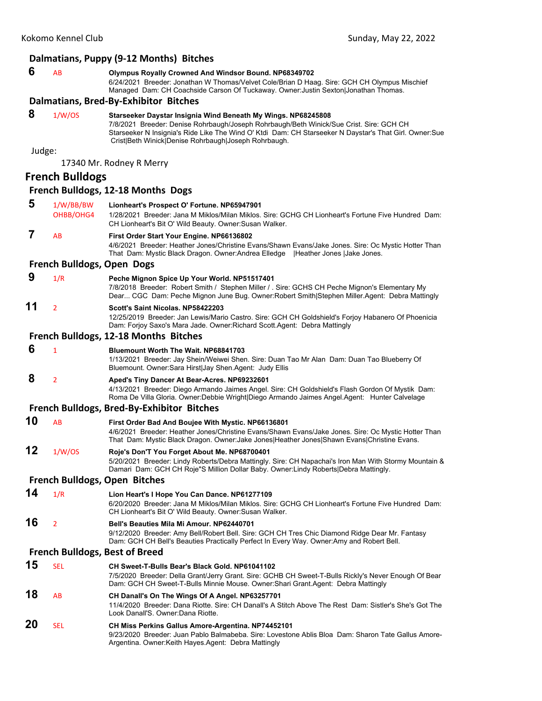#### **Dalmatians, Puppy (9‐12 Months) Bitches 6** AB **Olympus Royally Crowned And Windsor Bound. NP68349702** 6/24/2021 Breeder: Jonathan W Thomas/Velvet Cole/Brian D Haag. Sire: GCH CH Olympus Mischief Managed Dam: CH Coachside Carson Of Tuckaway. Owner:Justin Sexton|Jonathan Thomas. **Dalmatians, Bred‐By‐Exhibitor Bitches 8** 1/W/OS **Starseeker Daystar Insignia Wind Beneath My Wings. NP68245808** 7/8/2021 Breeder: Denise Rohrbaugh/Joseph Rohrbaugh/Beth Winick/Sue Crist. Sire: GCH CH Starseeker N Insignia's Ride Like The Wind O' Ktdi Dam: CH Starseeker N Daystar's That Girl. Owner:Sue Crist|Beth Winick|Denise Rohrbaugh|Joseph Rohrbaugh. Judge: 17340 Mr. Rodney R Merry **French Bulldogs French Bulldogs, 12‐18 Months Dogs 5** 1/W/BB/BW **Lionheart's Prospect O' Fortune. NP65947901** OHBB/OHG4 1/28/2021 Breeder: Jana M Miklos/Milan Miklos. Sire: GCHG CH Lionheart's Fortune Five Hundred Dam: CH Lionheart's Bit O' Wild Beauty. Owner:Susan Walker.  **7** AB **First Order Start Your Engine. NP66136802** 4/6/2021 Breeder: Heather Jones/Christine Evans/Shawn Evans/Jake Jones. Sire: Oc Mystic Hotter Than That Dam: Mystic Black Dragon. Owner:Andrea Elledge | Heather Jones | Jake Jones. **French Bulldogs, Open Dogs 9** 1/R **Peche Mignon Spice Up Your World. NP51517401** 7/8/2018 Breeder: Robert Smith / Stephen Miller / . Sire: GCHS CH Peche Mignon's Elementary My Dear... CGC Dam: Peche Mignon June Bug. Owner:Robert Smith|Stephen Miller.Agent: Debra Mattingly **11** <sup>2</sup> **Scott's Saint Nicolas. NP58422203** 12/25/2019 Breeder: Jan Lewis/Mario Castro. Sire: GCH CH Goldshield's Forjoy Habanero Of Phoenicia Dam: Forjoy Saxo's Mara Jade. Owner:Richard Scott.Agent: Debra Mattingly **French Bulldogs, 12‐18 Months Bitches 6** <sup>1</sup> **Bluemount Worth The Wait. NP68841703** 1/13/2021 Breeder: Jay Shein/Weiwei Shen. Sire: Duan Tao Mr Alan Dam: Duan Tao Blueberry Of Bluemount. Owner:Sara Hirst|Jay Shen.Agent: Judy Ellis  **8** <sup>2</sup> **Aped's Tiny Dancer At Bear-Acres. NP69232601** 4/13/2021 Breeder: Diego Armando Jaimes Angel. Sire: CH Goldshield's Flash Gordon Of Mystik Dam: Roma De Villa Gloria. Owner:Debbie Wright|Diego Armando Jaimes Angel.Agent: Hunter Calvelage **French Bulldogs, Bred‐By‐Exhibitor Bitches 10** AB **First Order Bad And Boujee With Mystic. NP66136801** 4/6/2021 Breeder: Heather Jones/Christine Evans/Shawn Evans/Jake Jones. Sire: Oc Mystic Hotter Than That Dam: Mystic Black Dragon. Owner:Jake Jones|Heather Jones|Shawn Evans|Christine Evans. **12** 1/W/OS **Roje's Don'T You Forget About Me. NP68700401** 5/20/2021 Breeder: Lindy Roberts/Debra Mattingly. Sire: CH Napachai's Iron Man With Stormy Mountain & Damari Dam: GCH CH Roje"S Million Dollar Baby. Owner:Lindy Roberts|Debra Mattingly. **French Bulldogs, Open Bitches 14** 1/R **Lion Heart's I Hope You Can Dance. NP61277109** 6/20/2020 Breeder: Jana M Miklos/Milan Miklos. Sire: GCHG CH Lionheart's Fortune Five Hundred Dam: CH Lionheart's Bit O' Wild Beauty. Owner:Susan Walker. **16** <sup>2</sup> **Bell's Beauties Mila Mi Amour. NP62440701** 9/12/2020 Breeder: Amy Bell/Robert Bell. Sire: GCH CH Tres Chic Diamond Ridge Dear Mr. Fantasy Dam: GCH CH Bell's Beauties Practically Perfect In Every Way. Owner:Amy and Robert Bell. **French Bulldogs, Best of Breed 15** SEL **CH Sweet-T-Bulls Bear's Black Gold. NP61041102** 7/5/2020 Breeder: Della Grant/Jerry Grant. Sire: GCHB CH Sweet-T-Bulls Rickly's Never Enough Of Bear Dam: GCH CH Sweet-T-Bulls Minnie Mouse. Owner:Shari Grant.Agent: Debra Mattingly **18** AB **CH Danall's On The Wings Of A Angel. NP63257701** 11/4/2020 Breeder: Dana Riotte. Sire: CH Danall's A Stitch Above The Rest Dam: Sistler's She's Got The Look Danall'S. Owner:Dana Riotte. **20** SEL **CH Miss Perkins Gallus Amore-Argentina. NP74452101** 9/23/2020 Breeder: Juan Pablo Balmabeba. Sire: Lovestone Ablis Bloa Dam: Sharon Tate Gallus Amore-Argentina. Owner:Keith Hayes.Agent: Debra Mattingly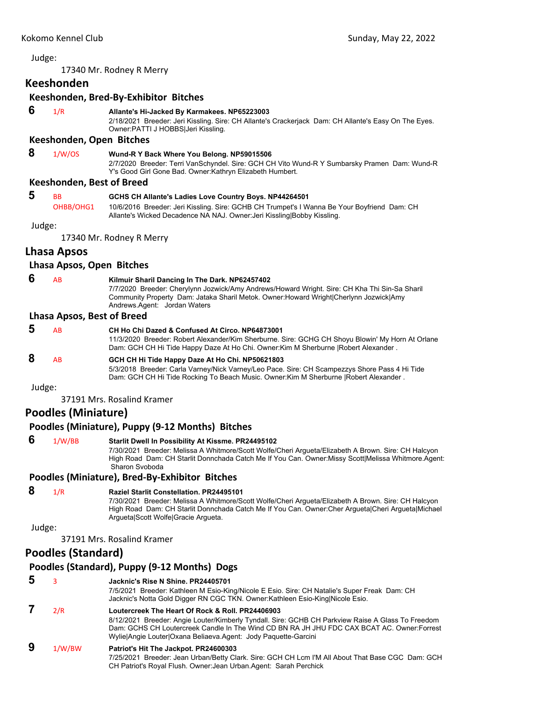17340 Mr. Rodney R Merry

## **Keeshonden**

#### **Keeshonden, Bred‐By‐Exhibitor Bitches**

## **6** 1/R **Allante's Hi-Jacked By Karmakees. NP65223003**

2/18/2021 Breeder: Jeri Kissling. Sire: CH Allante's Crackerjack Dam: CH Allante's Easy On The Eyes. Owner:PATTI J HOBBS|Jeri Kissling.

#### **Keeshonden, Open Bitches**

 **8** 1/W/OS **Wund-R Y Back Where You Belong. NP59015506**

2/7/2020 Breeder: Terri VanSchyndel. Sire: GCH CH Vito Wund-R Y Sumbarsky Pramen Dam: Wund-R Y's Good Girl Gone Bad. Owner:Kathryn Elizabeth Humbert.

#### **Keeshonden, Best of Breed**

| -5 | <b>BB</b> | GCHS CH Allante's Ladies Love Country Boys. NP44264501                                      |
|----|-----------|---------------------------------------------------------------------------------------------|
|    | OHBB/OHG1 | 10/6/2016 Breeder: Jeri Kissling. Sire: GCHB CH Trumpet's I Wanna Be Your Boyfriend Dam: CH |
|    |           | Allante's Wicked Decadence NA NAJ. Owner: Jeri Kissling Bobby Kissling.                     |

Judge:

17340 Mr. Rodney R Merry

## **Lhasa Apsos**

#### **Lhasa Apsos, Open Bitches**

 **6** AB **Kilmuir Sharil Dancing In The Dark. NP62457402**

7/7/2020 Breeder: Cherylynn Jozwick/Amy Andrews/Howard Wright. Sire: CH Kha Thi Sin-Sa Sharil Community Property Dam: Jataka Sharil Metok. Owner:Howard Wright|Cherlynn Jozwick|Amy Andrews.Agent: Jordan Waters

#### **Lhasa Apsos, Best of Breed**

| 5      | AB | CH Ho Chi Dazed & Confused At Circo, NP64873001<br>11/3/2020 Breeder: Robert Alexander/Kim Sherburne. Sire: GCHG CH Shoyu Blowin' My Horn At Orlane<br>Dam: GCH CH Hi Tide Happy Daze At Ho Chi. Owner: Kim M Sherburne   Robert Alexander. |
|--------|----|---------------------------------------------------------------------------------------------------------------------------------------------------------------------------------------------------------------------------------------------|
| 8      | AB | GCH CH Hi Tide Happy Daze At Ho Chi. NP50621803<br>5/3/2018 Breeder: Carla Varney/Nick Varney/Leo Pace. Sire: CH Scampezzys Shore Pass 4 Hi Tide<br>Dam: GCH CH Hi Tide Rocking To Beach Music. Owner: Kim M Sherburne   Robert Alexander.  |
| Judge: |    |                                                                                                                                                                                                                                             |

37191 Mrs. Rosalind Kramer

## **Poodles (Miniature)**

#### **Poodles (Miniature), Puppy (9‐12 Months) Bitches**

 **6** 1/W/BB **Starlit Dwell In Possibility At Kissme. PR24495102** 7/30/2021 Breeder: Melissa A Whitmore/Scott Wolfe/Cheri Argueta/Elizabeth A Brown. Sire: CH Halcyon High Road Dam: CH Starlit Donnchada Catch Me If You Can. Owner:Missy Scott|Melissa Whitmore.Agent: Sharon Svoboda

### **Poodles (Miniature), Bred‐By‐Exhibitor Bitches**

## **8** 1/R **Raziel Starlit Constellation. PR24495101**

7/30/2021 Breeder: Melissa A Whitmore/Scott Wolfe/Cheri Argueta/Elizabeth A Brown. Sire: CH Halcyon High Road Dam: CH Starlit Donnchada Catch Me If You Can. Owner:Cher Argueta|Cheri Argueta|Michael Argueta|Scott Wolfe|Gracie Argueta.

Judge:

37191 Mrs. Rosalind Kramer

## **Poodles (Standard)**

### **Poodles (Standard), Puppy (9‐12 Months) Dogs**

 **5** <sup>3</sup> **Jacknic's Rise N Shine. PR24405701** 7/5/2021 Breeder: Kathleen M Esio-King/Nicole E Esio. Sire: CH Natalie's Super Freak Dam: CH Jacknic's Notta Gold Digger RN CGC TKN. Owner:Kathleen Esio-King|Nicole Esio.  **7** 2/R **Loutercreek The Heart Of Rock & Roll. PR24406903** 8/12/2021 Breeder: Angie Louter/Kimberly Tyndall. Sire: GCHB CH Parkview Raise A Glass To Freedom Dam: GCHS CH Loutercreek Candle In The Wind CD BN RA JH JHU FDC CAX BCAT AC. Owner:Forrest Wylie|Angie Louter|Oxana Beliaeva.Agent: Jody Paquette-Garcini  **9** 1/W/BW **Patriot's Hit The Jackpot. PR24600303** 7/25/2021 Breeder: Jean Urban/Betty Clark. Sire: GCH CH Lcm I'M All About That Base CGC Dam: GCH CH Patriot's Royal Flush. Owner:Jean Urban.Agent: Sarah Perchick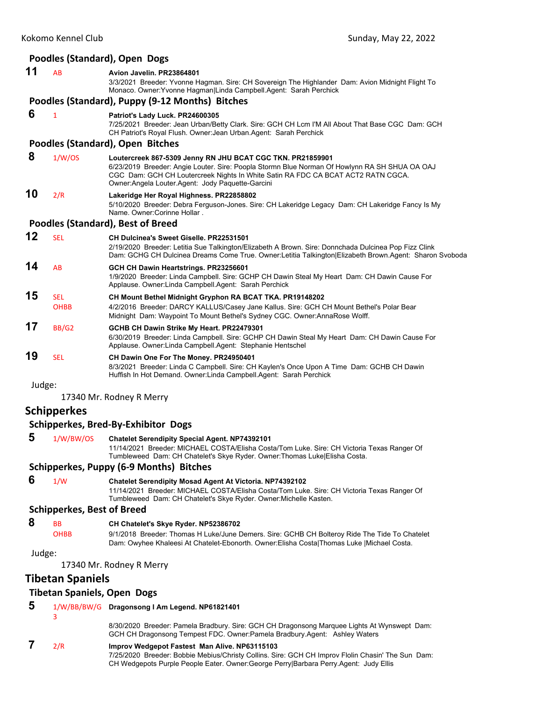# **Poodles (Standard), Open Dogs 11** AB **Avion Javelin. PR23864801**

3/3/2021 Breeder: Yvonne Hagman. Sire: CH Sovereign The Highlander Dam: Avion Midnight Flight To Monaco. Owner:Yvonne Hagman|Linda Campbell.Agent: Sarah Perchick

#### **Poodles (Standard), Puppy (9‐12 Months) Bitches**

 **6** <sup>1</sup> **Patriot's Lady Luck. PR24600305**

7/25/2021 Breeder: Jean Urban/Betty Clark. Sire: GCH CH Lcm I'M All About That Base CGC Dam: GCH CH Patriot's Royal Flush. Owner:Jean Urban.Agent: Sarah Perchick

#### **Poodles (Standard), Open Bitches**

## **8** 1/W/OS **Loutercreek 867-5309 Jenny RN JHU BCAT CGC TKN. PR21859901**

6/23/2019 Breeder: Angie Louter. Sire: Poopla Stormn Blue Norman Of Howlynn RA SH SHUA OA OAJ CGC Dam: GCH CH Loutercreek Nights In White Satin RA FDC CA BCAT ACT2 RATN CGCA. Owner:Angela Louter.Agent: Jody Paquette-Garcini

## **10** 2/R **Lakeridge Her Royal Highness. PR22858802**

5/10/2020 Breeder: Debra Ferguson-Jones. Sire: CH Lakeridge Legacy Dam: CH Lakeridge Fancy Is My Name. Owner:Corinne Hollar .

#### **Poodles (Standard), Best of Breed**

| 12 | SEL                       | <b>CH Dulcinea's Sweet Giselle, PR22531501</b><br>2/19/2020 Breeder: Letitia Sue Talkington/Elizabeth A Brown. Sire: Donnchada Dulcinea Pop Fizz Clink                                                                                                                                                    |
|----|---------------------------|-----------------------------------------------------------------------------------------------------------------------------------------------------------------------------------------------------------------------------------------------------------------------------------------------------------|
| 14 | AB                        | Dam: GCHG CH Dulcinea Dreams Come True. Owner:Letitia Talkington Elizabeth Brown.Agent: Sharon Svoboda<br>GCH CH Dawin Heartstrings. PR23256601<br>1/9/2020 Breeder: Linda Campbell. Sire: GCHP CH Dawin Steal My Heart Dam: CH Dawin Cause For<br>Applause. Owner: Linda Campbell. Agent: Sarah Perchick |
| 15 | <b>SEL</b><br><b>OHBB</b> | <b>CH Mount Bethel Midnight Gryphon RA BCAT TKA. PR19148202</b><br>4/2/2016 Breeder: DARCY KALLUS/Casey Jane Kallus. Sire: GCH CH Mount Bethel's Polar Bear<br>Midnight Dam: Waypoint To Mount Bethel's Sydney CGC. Owner: AnnaRose Wolff.                                                                |
| 17 | BB/G2                     | GCHB CH Dawin Strike My Heart. PR22479301<br>6/30/2019 Breeder: Linda Campbell. Sire: GCHP CH Dawin Steal My Heart Dam: CH Dawin Cause For<br>Applause. Owner: Linda Campbell. Agent: Stephanie Hentschel                                                                                                 |
| 19 | <b>SEL</b>                | CH Dawin One For The Money. PR24950401                                                                                                                                                                                                                                                                    |

8/3/2021 Breeder: Linda C Campbell. Sire: CH Kaylen's Once Upon A Time Dam: GCHB CH Dawin Huffish In Hot Demand. Owner:Linda Campbell.Agent: Sarah Perchick

Judge:

17340 Mr. Rodney R Merry

## **Schipperkes**

#### **Schipperkes, Bred‐By‐Exhibitor Dogs**

 **5** 1/W/BW/OS **Chatelet Serendipity Special Agent. NP74392101**

11/14/2021 Breeder: MICHAEL COSTA/Elisha Costa/Tom Luke. Sire: CH Victoria Texas Ranger Of Tumbleweed Dam: CH Chatelet's Skye Ryder. Owner:Thomas Luke|Elisha Costa.

### **Schipperkes, Puppy (6‐9 Months) Bitches**

 **6** 1/W **Chatelet Serendipity Mosad Agent At Victoria. NP74392102**

11/14/2021 Breeder: MICHAEL COSTA/Elisha Costa/Tom Luke. Sire: CH Victoria Texas Ranger Of Tumbleweed Dam: CH Chatelet's Skye Ryder. Owner:Michelle Kasten.

### **Schipperkes, Best of Breed**

- **8** BB **CH Chatelet's Skye Ryder. NP52386702**
	- OHBB 9/1/2018 Breeder: Thomas H Luke/June Demers. Sire: GCHB CH Bolteroy Ride The Tide To Chatelet Dam: Owyhee Khaleesi At Chatelet-Ebonorth. Owner:Elisha Costa|Thomas Luke |Michael Costa.

Judge:

17340 Mr. Rodney R Merry

## **Tibetan Spaniels**

### **Tibetan Spaniels, Open Dogs**

| 5 |     | 1/W/BB/BW/G Dragonsong I Am Legend. NP61821401                                                                                                                                                                                             |
|---|-----|--------------------------------------------------------------------------------------------------------------------------------------------------------------------------------------------------------------------------------------------|
|   |     | 8/30/2020 Breeder: Pamela Bradbury. Sire: GCH CH Dragonsong Marquee Lights At Wynswept Dam:<br>GCH CH Dragonsong Tempest FDC. Owner: Pamela Bradbury. Agent: Ashley Waters                                                                 |
|   | 2/R | Improv Wedgepot Fastest Man Alive. NP63115103<br>7/25/2020 Breeder: Bobbie Mebius/Christy Collins. Sire: GCH CH Improv Flolin Chasin' The Sun Dam:<br>CH Wedgepots Purple People Eater, Owner:George PerrylBarbara Perry.Agent: Judy Ellis |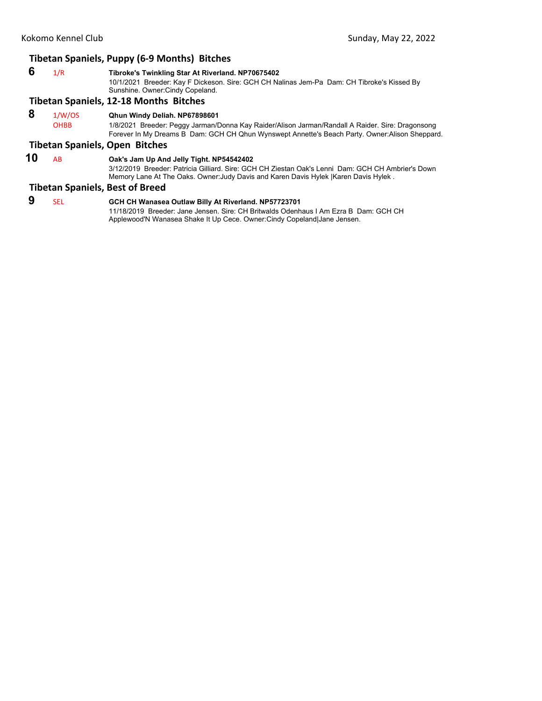## **Tibetan Spaniels, Puppy (6‐9 Months) Bitches**

 **6** 1/R **Tibroke's Twinkling Star At Riverland. NP70675402** 10/1/2021 Breeder: Kay F Dickeson. Sire: GCH CH Nalinas Jem-Pa Dam: CH Tibroke's Kissed By Sunshine. Owner:Cindy Copeland.

#### **Tibetan Spaniels, 12‐18 Months Bitches**

 **8** 1/W/OS **Qhun Windy Deliah. NP67898601**

OHBB 1/8/2021 Breeder: Peggy Jarman/Donna Kay Raider/Alison Jarman/Randall A Raider. Sire: Dragonsong Forever In My Dreams B Dam: GCH CH Qhun Wynswept Annette's Beach Party. Owner:Alison Sheppard.

#### **Tibetan Spaniels, Open Bitches**

#### **10** AB **Oak's Jam Up And Jelly Tight. NP54542402**

3/12/2019 Breeder: Patricia Gilliard. Sire: GCH CH Ziestan Oak's Lenni Dam: GCH CH Ambrier's Down Memory Lane At The Oaks. Owner:Judy Davis and Karen Davis Hylek |Karen Davis Hylek .

#### **Tibetan Spaniels, Best of Breed**

 **9** SEL **GCH CH Wanasea Outlaw Billy At Riverland. NP57723701**

11/18/2019 Breeder: Jane Jensen. Sire: CH Britwalds Odenhaus I Am Ezra B Dam: GCH CH Applewood'N Wanasea Shake It Up Cece. Owner:Cindy Copeland|Jane Jensen.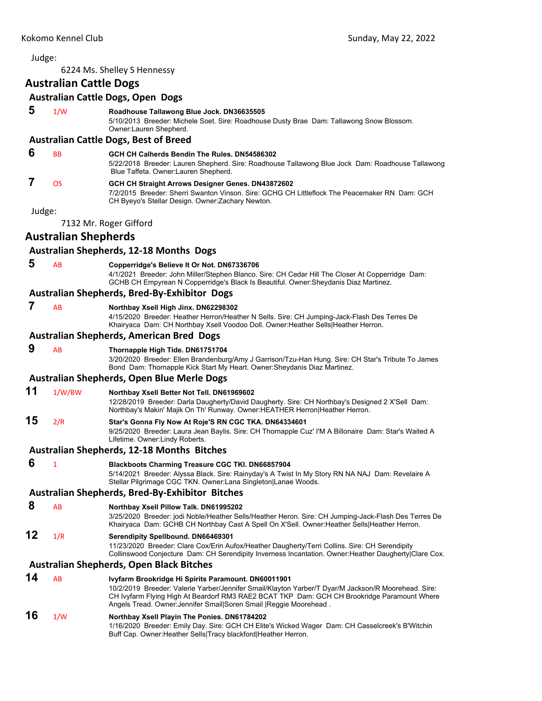#### <span id="page-42-0"></span>Judge: 6224 Ms. Shelley S Hennessy **Australian Cattle Dogs Australian Cattle Dogs, Open Dogs 5** 1/W **Roadhouse Tallawong Blue Jock. DN36635505** 5/10/2013 Breeder: Michele Soet. Sire: Roadhouse Dusty Brae Dam: Tallawong Snow Blossom. Owner:Lauren Shepherd. **Australian Cattle Dogs, Best of Breed 6** BB **GCH CH Calherds Bendin The Rules. DN54586302** 5/22/2018 Breeder: Lauren Shepherd. Sire: Roadhouse Tallawong Blue Jock Dam: Roadhouse Tallawong Blue Taffeta. Owner:Lauren Shepherd.  **7** OS **GCH CH Straight Arrows Designer Genes. DN43872602** 7/2/2015 Breeder: Sherri Swanton Vinson. Sire: GCHG CH Littleflock The Peacemaker RN Dam: GCH CH Byeyo's Stellar Design. Owner:Zachary Newton. Judge: 7132 Mr. Roger Gifford **Australian Shepherds Australian Shepherds, 12‐18 Months Dogs 5** AB **Copperridge's Believe It Or Not. DN67336706** 4/1/2021 Breeder: John Miller/Stephen Blanco. Sire: CH Cedar Hill The Closer At Copperridge Dam: GCHB CH Empyrean N Copperridge's Black Is Beautiful. Owner:Sheydanis Diaz Martinez. **Australian Shepherds, Bred‐By‐Exhibitor Dogs 7** AB **Northbay Xsell High Jinx. DN62298302** 4/15/2020 Breeder: Heather Herron/Heather N Sells. Sire: CH Jumping-Jack-Flash Des Terres De Khairyaca Dam: CH Northbay Xsell Voodoo Doll. Owner:Heather Sells|Heather Herron. **Australian Shepherds, American Bred Dogs 9** AB **Thornapple High Tide. DN61751704** 3/20/2020 Breeder: Ellen Brandenburg/Amy J Garrison/Tzu-Han Hung. Sire: CH Star's Tribute To James Bond Dam: Thornapple Kick Start My Heart. Owner:Sheydanis Diaz Martinez. **Australian Shepherds, Open Blue Merle Dogs 11** 1/W/BW **Northbay Xsell Better Not Tell. DN61969602** 12/28/2019 Breeder: Darla Daugherty/David Daugherty. Sire: CH Northbay's Designed 2 X'Sell Dam: Northbay's Makin' Majik On Th' Runway. Owner:HEATHER Herron|Heather Herron. **15** 2/R **Star's Gonna Fly Now At Roje'S RN CGC TKA. DN64334601** 9/25/2020 Breeder: Laura Jean Baylis. Sire: CH Thornapple Cuz' I'M A Billonaire Dam: Star's Waited A Lifetime. Owner:Lindy Roberts. **Australian Shepherds, 12‐18 Months Bitches 6** <sup>1</sup> **Blackboots Charming Treasure CGC TKI. DN66857904** 5/14/2021 Breeder: Alyssa Black. Sire: Rainyday's A Twist In My Story RN NA NAJ Dam: Revelaire A Stellar Pilgrimage CGC TKN. Owner:Lana Singleton|Lanae Woods. **Australian Shepherds, Bred‐By‐Exhibitor Bitches 8** AB **Northbay Xsell Pillow Talk. DN61995202** 3/25/2020 Breeder: jodi Noble/Heather Sells/Heather Heron. Sire: CH Jumping-Jack-Flash Des Terres De Khairyaca Dam: GCHB CH Northbay Cast A Spell On X'Sell. Owner:Heather Sells|Heather Herron. **12** 1/R **Serendipity Spellbound. DN66469301** 11/23/2020 Breeder: Clare Cox/Erin Aufox/Heather Daugherty/Terri Collins. Sire: CH Serendipity Collinswood Conjecture Dam: CH Serendipity Inverness Incantation. Owner:Heather Daugherty|Clare Cox. **Australian Shepherds, Open Black Bitches 14** AB **Ivyfarm Brookridge Hi Spirits Paramount. DN60011901** 10/2/2019 Breeder: Valerie Yarber/Jennifer Smail/Klayton Yarber/T Dyar/M Jackson/R Moorehead. Sire: CH Ivyfarm Flying High At Beardorf RM3 RAE2 BCAT TKP Dam: GCH CH Brookridge Paramount Where Angels Tread. Owner:Jennifer Smail|Soren Smail |Reggie Moorehead . **16** 1/W **Northbay Xsell Playin The Ponies. DN61784202** 1/16/2020 Breeder: Emily Day. Sire: GCH CH Elite's Wicked Wager Dam: CH Casselcreek's B'Witchin Buff Cap. Owner:Heather Sells|Tracy blackford|Heather Herron.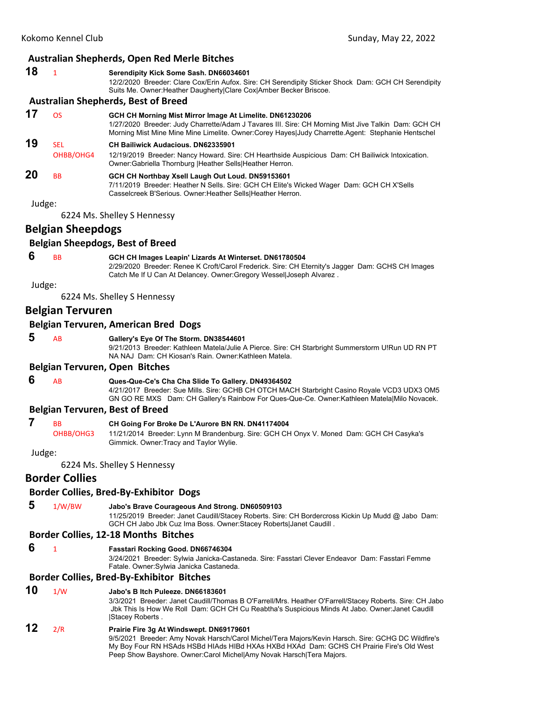#### **Australian Shepherds, Open Red Merle Bitches**

#### **18** <sup>1</sup> **Serendipity Kick Some Sash. DN66034601**

12/2/2020 Breeder: Clare Cox/Erin Aufox. Sire: CH Serendipity Sticker Shock Dam: GCH CH Serendipity Suits Me. Owner:Heather Daugherty|Clare Cox|Amber Becker Briscoe.

## **Australian Shepherds, Best of Breed**

**17** OS **GCH CH Morning Mist Mirror Image At Limelite. DN61230206** 1/27/2020 Breeder: Judy Charrette/Adam J Tavares III. Sire: CH Morning Mist Jive Talkin Dam: GCH CH Morning Mist Mine Mine Mine Limelite. Owner:Corey Hayes|Judy Charrette.Agent: Stephanie Hentschel

## **19** SEL **CH Bailiwick Audacious. DN62335901**

OHBB/OHG4 12/19/2019 Breeder: Nancy Howard. Sire: CH Hearthside Auspicious Dam: CH Bailiwick Intoxication. Owner:Gabriella Thornburg |Heather Sells|Heather Herron.

#### **20** BB **GCH CH Northbay Xsell Laugh Out Loud. DN59153601** 7/11/2019 Breeder: Heather N Sells. Sire: GCH CH Elite's Wicked Wager Dam: GCH CH X'Sells Casselcreek B'Serious. Owner:Heather Sells|Heather Herron.

Judge:

6224 Ms. Shelley S Hennessy

## **Belgian Sheepdogs**

#### **Belgian Sheepdogs, Best of Breed**

#### **6** BB **GCH CH Images Leapin' Lizards At Winterset. DN61780504**

2/29/2020 Breeder: Renee K Croft/Carol Frederick. Sire: CH Eternity's Jagger Dam: GCHS CH Images Catch Me If U Can At Delancey. Owner:Gregory Wessel|Joseph Alvarez .

Judge:

6224 Ms. Shelley S Hennessy

## **Belgian Tervuren**

#### **Belgian Tervuren, American Bred Dogs**

 **5** AB **Gallery's Eye Of The Storm. DN38544601**

9/21/2013 Breeder: Kathleen Matela/Julie A Pierce. Sire: CH Starbright Summerstorm U!Run UD RN PT NA NAJ Dam: CH Kiosan's Rain. Owner:Kathleen Matela.

#### **Belgian Tervuren, Open Bitches**

## **6** AB **Ques-Que-Ce's Cha Cha Slide To Gallery. DN49364502**

4/21/2017 Breeder: Sue Mills. Sire: GCHB CH OTCH MACH Starbright Casino Royale VCD3 UDX3 OM5 GN GO RE MXS Dam: CH Gallery's Rainbow For Ques-Que-Ce. Owner:Kathleen Matela|Milo Novacek.

#### **Belgian Tervuren, Best of Breed**

# **7** BB **CH Going For Broke De L'Aurore BN RN. DN41174004**<br>OHBB/OHG3 11/21/2014 Breeder: Lynn M Brandenburg. Sire: GCH CH

11/21/2014 Breeder: Lynn M Brandenburg. Sire: GCH CH Onyx V. Moned Dam: GCH CH Casyka's Gimmick. Owner:Tracy and Taylor Wylie.

#### Judge:

6224 Ms. Shelley S Hennessy

## **Border Collies**

## **Border Collies, Bred‐By‐Exhibitor Dogs**

- 
- **5** 1/W/BW **Jabo's Brave Courageous And Strong. DN60509103**

11/25/2019 Breeder: Janet Caudill/Stacey Roberts. Sire: CH Bordercross Kickin Up Mudd @ Jabo Dam: GCH CH Jabo Jbk Cuz Ima Boss. Owner:Stacey Roberts|Janet Caudill .

## **Border Collies, 12‐18 Months Bitches**

 **6** <sup>1</sup> **Fasstari Rocking Good. DN66746304**

3/24/2021 Breeder: Sylwia Janicka-Castaneda. Sire: Fasstari Clever Endeavor Dam: Fasstari Femme Fatale. Owner:Sylwia Janicka Castaneda.

## **Border Collies, Bred‐By‐Exhibitor Bitches**

**10** 1/W **Jabo's B Itch Puleeze. DN66183601**

3/3/2021 Breeder: Janet Caudill/Thomas B O'Farrell/Mrs. Heather O'Farrell/Stacey Roberts. Sire: CH Jabo Jbk This Is How We Roll Dam: GCH CH Cu Reabtha's Suspicious Minds At Jabo. Owner:Janet Caudill |Stacey Roberts .

**12** 2/R **Prairie Fire 3g At Windswept. DN69179601** 9/5/2021 Breeder: Amy Novak Harsch/Carol Michel/Tera Majors/Kevin Harsch. Sire: GCHG DC Wildfire's My Boy Four RN HSAds HSBd HIAds HIBd HXAs HXBd HXAd Dam: GCHS CH Prairie Fire's Old West Peep Show Bayshore. Owner:Carol Michel|Amy Novak Harsch|Tera Majors.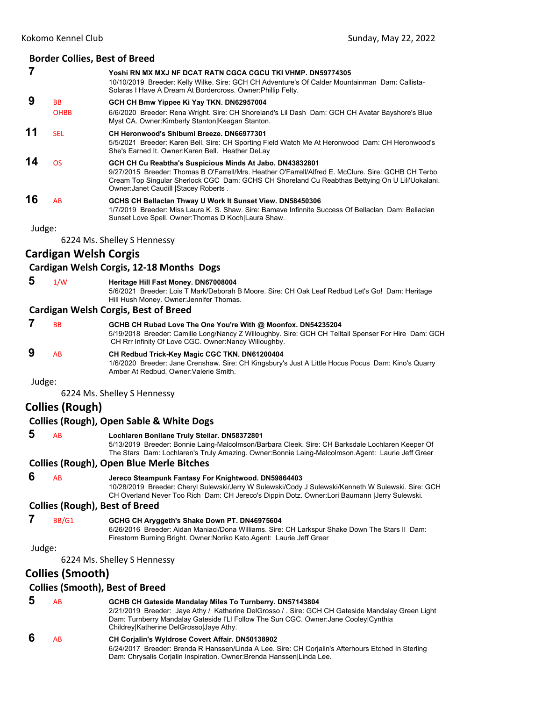#### **Border Collies, Best of Breed**

|    |                          | Yoshi RN MX MXJ NF DCAT RATN CGCA CGCU TKI VHMP. DN59774305<br>10/10/2019 Breeder: Kelly Wilke. Sire: GCH CH Adventure's Of Calder Mountainman Dam: Callista-<br>Solaras I Have A Dream At Bordercross. Owner: Phillip Felty.                                                                                |
|----|--------------------------|--------------------------------------------------------------------------------------------------------------------------------------------------------------------------------------------------------------------------------------------------------------------------------------------------------------|
| 9  | <b>BB</b><br><b>OHBB</b> | GCH CH Bmw Yippee Ki Yay TKN. DN62957004<br>6/6/2020 Breeder: Rena Wright, Sire: CH Shoreland's Lil Dash Dam: GCH CH Avatar Bayshore's Blue<br>Myst CA. Owner: Kimberly Stanton Keagan Stanton.                                                                                                              |
| 11 | <b>SEL</b>               | CH Heronwood's Shibumi Breeze, DN66977301<br>5/5/2021 Breeder: Karen Bell. Sire: CH Sporting Field Watch Me At Heronwood Dam: CH Heronwood's<br>She's Earned It. Owner: Karen Bell. Heather DeLay                                                                                                            |
| 14 | <b>OS</b>                | GCH CH Cu Reabtha's Suspicious Minds At Jabo. DN43832801<br>9/27/2015 Breeder: Thomas B O'Farrell/Mrs. Heather O'Farrell/Alfred E. McClure, Sire: GCHB CH Terbo<br>Cream Top Singular Sherlock CGC Dam: GCHS CH Shoreland Cu Reabthas Bettying On U Lili'Uokalani.<br>Owner: Janet Caudill   Stacey Roberts. |
| 16 | AB                       | GCHS CH Bellacian Thway U Work It Sunset View. DN58450306<br>1/7/2019 Breeder: Miss Laura K. S. Shaw, Sire: Bamaye Infinnite Success Of Bellaclan, Dam: Bellaclan<br>Sunset Love Spell. Owner: Thomas D Koch Laura Shaw.                                                                                     |

Judge:

6224 Ms. Shelley S Hennessy

## **Cardigan Welsh Corgis**

#### **Cardigan Welsh Corgis, 12‐18 Months Dogs**

#### **5** 1/W **Heritage Hill Fast Money. DN67008004**

5/6/2021 Breeder: Lois T Mark/Deborah B Moore. Sire: CH Oak Leaf Redbud Let's Go! Dam: Heritage Hill Hush Money. Owner:Jennifer Thomas.

#### **Cardigan Welsh Corgis, Best of Breed**

|        | <b>B<sub>B</sub></b> | GCHB CH Rubad Love The One You're With @ Moonfox. DN54235204<br>5/19/2018 Breeder: Camille Long/Nancy Z Willoughby. Sire: GCH CH Telltail Spenser For Hire Dam: GCH<br>CH Rrr Infinity Of Love CGC. Owner: Nancy Willoughby. |
|--------|----------------------|------------------------------------------------------------------------------------------------------------------------------------------------------------------------------------------------------------------------------|
|        | <b>AB</b>            | CH Redbud Trick-Key Magic CGC TKN. DN61200404<br>1/6/2020 Breeder: Jane Crenshaw. Sire: CH Kingsbury's Just A Little Hocus Pocus Dam: Kino's Quarry<br>Amber At Redbud. Owner: Valerie Smith.                                |
| Judge: |                      |                                                                                                                                                                                                                              |

6224 Ms. Shelley S Hennessy

## **Collies (Rough)**

#### **Collies (Rough), Open Sable & White Dogs**

#### **5** AB **Lochlaren Bonilane Truly Stellar. DN58372801**

5/13/2019 Breeder: Bonnie Laing-Malcolmson/Barbara Cleek. Sire: CH Barksdale Lochlaren Keeper Of The Stars Dam: Lochlaren's Truly Amazing. Owner:Bonnie Laing-Malcolmson.Agent: Laurie Jeff Greer

#### **Collies (Rough), Open Blue Merle Bitches**

 **6** AB **Jereco Steampunk Fantasy For Knightwood. DN59864403**

10/28/2019 Breeder: Cheryl Sulewski/Jerry W Sulewski/Cody J Sulewski/Kenneth W Sulewski. Sire: GCH CH Overland Never Too Rich Dam: CH Jereco's Dippin Dotz. Owner:Lori Baumann |Jerry Sulewski.

## **Collies (Rough), Best of Breed**

## **7** BB/G1 **GCHG CH Aryggeth's Shake Down PT. DN46975604**

6/26/2016 Breeder: Aidan Maniaci/Dona Williams. Sire: CH Larkspur Shake Down The Stars II Dam: Firestorm Burning Bright. Owner:Noriko Kato.Agent: Laurie Jeff Greer

Judge:

6224 Ms. Shelley S Hennessy

## **Collies (Smooth)**

#### **Collies (Smooth), Best of Breed**

 **5** AB **GCHB CH Gateside Mandalay Miles To Turnberry. DN57143804** 2/21/2019 Breeder: Jaye Athy / Katherine DelGrosso / . Sire: GCH CH Gateside Mandalay Green Light Dam: Turnberry Mandalay Gateside I'Ll Follow The Sun CGC. Owner:Jane Cooley|Cynthia Childrey|Katherine DelGrosso|Jaye Athy.  **6** AB **CH Corjalin's Wyldrose Covert Affair. DN50138902** 6/24/2017 Breeder: Brenda R Hanssen/Linda A Lee. Sire: CH Corjalin's Afterhours Etched In Sterling Dam: Chrysalis Corjalin Inspiration. Owner:Brenda Hanssen|Linda Lee.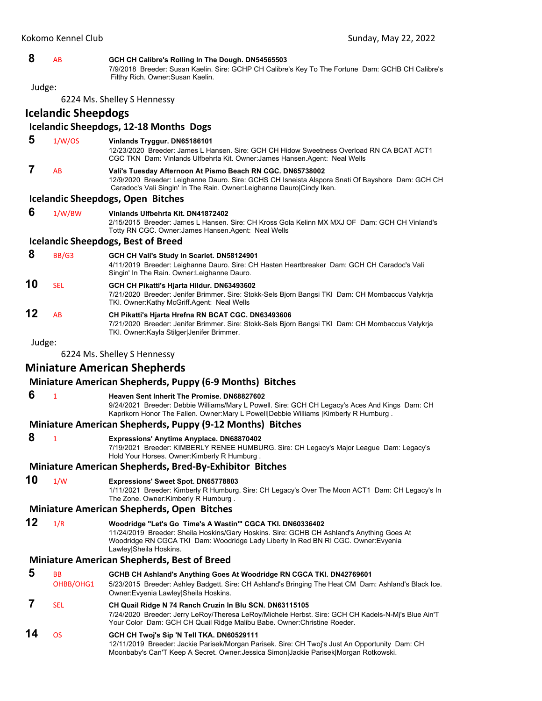#### **8** AB **GCH CH Calibre's Rolling In The Dough. DN54565503**

7/9/2018 Breeder: Susan Kaelin. Sire: GCHP CH Calibre's Key To The Fortune Dam: GCHB CH Calibre's Filthy Rich. Owner:Susan Kaelin.

Judge:

6224 Ms. Shelley S Hennessy

**Icelandic Sheepdogs**

## **Icelandic Sheepdogs, 12‐18 Months Dogs**

## **5** 1/W/OS **Vinlands Tryggur. DN65186101**

12/23/2020 Breeder: James L Hansen. Sire: GCH CH Hidow Sweetness Overload RN CA BCAT ACT1 CGC TKN Dam: Vinlands Ulfbehrta Kit. Owner:James Hansen.Agent: Neal Wells  **7** AB **Vali's Tuesday Afternoon At Pismo Beach RN CGC. DN65738002**

12/9/2020 Breeder: Leighanne Dauro. Sire: GCHS CH Isneista Alspora Snati Of Bayshore Dam: GCH CH Caradoc's Vali Singin' In The Rain. Owner:Leighanne Dauro|Cindy Iken.

#### **Icelandic Sheepdogs, Open Bitches**

| 1/W/BW | Vinlands Ulfbehrta Kit, DN41872402                                                                                                                    |
|--------|-------------------------------------------------------------------------------------------------------------------------------------------------------|
|        | 2/15/2015 Breeder: James L Hansen, Sire: CH Kross Gola Kelinn MX MXJ OF Dam: GCH CH Vinland's<br>Totty RN CGC. Owner: James Hansen. Agent: Neal Wells |
|        | the books Channels and Doctof Bussel                                                                                                                  |

#### **Icelandic Sheepdogs, Best of Breed**

- **8** BB/G3 **GCH CH Vali's Study In Scarlet. DN58124901** 4/11/2019 Breeder: Leighanne Dauro. Sire: CH Hasten Heartbreaker Dam: GCH CH Caradoc's Vali Singin' In The Rain. Owner:Leighanne Dauro.
- **10** SEL **GCH CH Pikatti's Hjarta Hildur. DN63493602**

7/21/2020 Breeder: Jenifer Brimmer. Sire: Stokk-Sels Bjorn Bangsi TKI Dam: CH Mombaccus Valykrja TKI. Owner:Kathy McGriff.Agent: Neal Wells

**12** AB **CH Pikatti's Hjarta Hrefna RN BCAT CGC. DN63493606** 7/21/2020 Breeder: Jenifer Brimmer. Sire: Stokk-Sels Bjorn Bangsi TKI Dam: CH Mombaccus Valykrja TKI. Owner:Kayla Stilger|Jenifer Brimmer.

Judge:

6224 Ms. Shelley S Hennessy

## **Miniature American Shepherds**

## **Miniature American Shepherds, Puppy (6‐9 Months) Bitches**

 **6** <sup>1</sup> **Heaven Sent Inherit The Promise. DN68827602**

9/24/2021 Breeder: Debbie Williams/Mary L Powell. Sire: GCH CH Legacy's Aces And Kings Dam: CH Kaprikorn Honor The Fallen. Owner:Mary L Powell|Debbie Williams |Kimberly R Humburg .

## **Miniature American Shepherds, Puppy (9‐12 Months) Bitches**

#### **8** <sup>1</sup> **Expressions' Anytime Anyplace. DN68870402**

7/19/2021 Breeder: KIMBERLY RENEE HUMBURG. Sire: CH Legacy's Major League Dam: Legacy's Hold Your Horses. Owner:Kimberly R Humburg .

### **Miniature American Shepherds, Bred‐By‐Exhibitor Bitches**

**10** 1/W **Expressions' Sweet Spot. DN65778803**

1/11/2021 Breeder: Kimberly R Humburg. Sire: CH Legacy's Over The Moon ACT1 Dam: CH Legacy's In The Zone. Owner: Kimberly R Humburg.

#### **Miniature American Shepherds, Open Bitches**

**12** 1/R **Woodridge "Let's Go Time's A Wastin'" CGCA TKI. DN60336402** 11/24/2019 Breeder: Sheila Hoskins/Gary Hoskins. Sire: GCHB CH Ashland's Anything Goes At Woodridge RN CGCA TKI Dam: Woodridge Lady Liberty In Red BN RI CGC. Owner:Evyenia Lawley|Sheila Hoskins.

## **Miniature American Shepherds, Best of Breed**

- **5** BB **GCHB CH Ashland's Anything Goes At Woodridge RN CGCA TKI. DN42769601** OHBB/OHG1 5/23/2015 Breeder: Ashley Badgett. Sire: CH Ashland's Bringing The Heat CM Dam: Ashland's Black Ice. Owner:Evyenia Lawley|Sheila Hoskins.  **7** SEL **CH Quail Ridge N 74 Ranch Cruzin In Blu SCN. DN63115105** 7/24/2020 Breeder: Jerry LeRoy/Theresa LeRoy/Michele Herbst. Sire: GCH CH Kadels-N-Mj's Blue Ain'T Your Color Dam: GCH CH Quail Ridge Malibu Babe. Owner:Christine Roeder. **14** OS **GCH CH Twoj's Sip 'N Tell TKA. DN60529111**
- 12/11/2019 Breeder: Jackie Parisek/Morgan Parisek. Sire: CH Twoj's Just An Opportunity Dam: CH Moonbaby's Can'T Keep A Secret. Owner:Jessica Simon|Jackie Parisek|Morgan Rotkowski.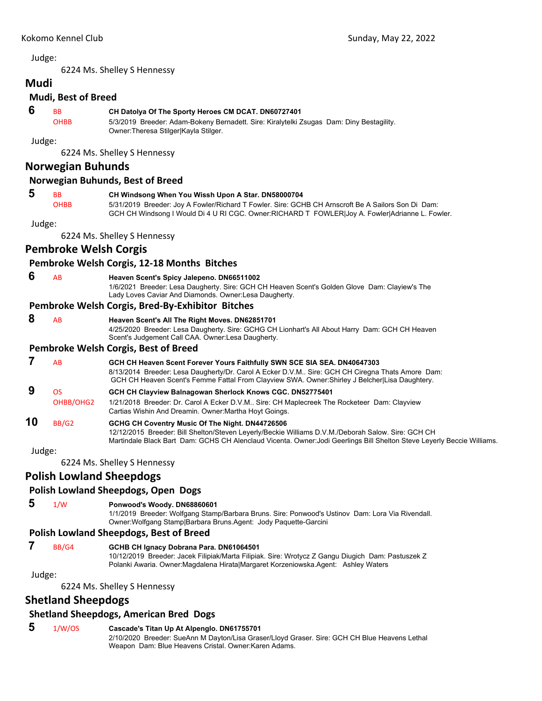6224 Ms. Shelley S Hennessy

## **Mudi Mudi, Best of Breed**

#### **6** BB **CH Datolya Of The Sporty Heroes CM DCAT. DN60727401**

OHBB 5/3/2019 Breeder: Adam-Bokeny Bernadett. Sire: Kiralytelki Zsugas Dam: Diny Bestagility. Owner:Theresa Stilger|Kayla Stilger.

Judge:

6224 Ms. Shelley S Hennessy

## **Norwegian Buhunds**

#### **Norwegian Buhunds, Best of Breed**

#### **5** BB **CH Windsong When You Wissh Upon A Star. DN58000704**

OHBB 5/31/2019 Breeder: Joy A Fowler/Richard T Fowler. Sire: GCHB CH Arnscroft Be A Sailors Son Di Dam: GCH CH Windsong I Would Di 4 U RI CGC. Owner:RICHARD T FOWLER|Joy A. Fowler|Adrianne L. Fowler.

Judge:

6224 Ms. Shelley S Hennessy

## **Pembroke Welsh Corgis**

#### **Pembroke Welsh Corgis, 12‐18 Months Bitches**

#### **6** AB **Heaven Scent's Spicy Jalepeno. DN66511002**

1/6/2021 Breeder: Lesa Daugherty. Sire: GCH CH Heaven Scent's Golden Glove Dam: Clayiew's The Lady Loves Caviar And Diamonds. Owner:Lesa Daugherty.

#### **Pembroke Welsh Corgis, Bred‐By‐Exhibitor Bitches**

 **8** AB **Heaven Scent's All The Right Moves. DN62851701**

4/25/2020 Breeder: Lesa Daugherty. Sire: GCHG CH Lionhart's All About Harry Dam: GCH CH Heaven Scent's Judgement Call CAA. Owner:Lesa Daugherty.

#### **Pembroke Welsh Corgis, Best of Breed**

|    | ΑR        | GCH CH Heaven Scent Forever Yours Faithfully SWN SCE SIA SEA. DN40647303<br>8/13/2014 Breeder: Lesa Daugherty/Dr. Carol A Ecker D.V.M Sire: GCH CH Ciregna Thats Amore Dam:<br>GCH CH Heaven Scent's Femme Fattal From Clayview SWA. Owner: Shirley J Belcher Lisa Daughtery. |
|----|-----------|-------------------------------------------------------------------------------------------------------------------------------------------------------------------------------------------------------------------------------------------------------------------------------|
|    | ΩS        | GCH CH Clayview Balnagowan Sherlock Knows CGC. DN52775401                                                                                                                                                                                                                     |
|    | OHBB/OHG2 | 1/21/2018 Breeder: Dr. Carol A Ecker D.V.M Sire: CH Maplecreek The Rocketeer Dam: Clayview<br>Cartias Wishin And Dreamin. Owner: Martha Hoyt Goings.                                                                                                                          |
| 10 | BB/G2     | GCHG CH Coventry Music Of The Night. DN44726506<br>10/10/0015 Based of Bill Oletter (Otercomment of the U.S. M.Bilton, D.V.M. (Belevel, October Ober OOLLOLL                                                                                                                  |

12/12/2015 Breeder: Bill Shelton/Steven Leyerly/Beckie Williams D.V.M./Deborah Salow. Sire: GCH CH Martindale Black Bart Dam: GCHS CH Alenclaud Vicenta. Owner:Jodi Geerlings Bill Shelton Steve Leyerly Beccie Williams.

Judge:

6224 Ms. Shelley S Hennessy

## **Polish Lowland Sheepdogs**

### **Polish Lowland Sheepdogs, Open Dogs**

 **5** 1/W **Ponwood's Woody. DN68860601**

1/1/2019 Breeder: Wolfgang Stamp/Barbara Bruns. Sire: Ponwood's Ustinov Dam: Lora Via Rivendall. Owner:Wolfgang Stamp|Barbara Bruns.Agent: Jody Paquette-Garcini

### **Polish Lowland Sheepdogs, Best of Breed**

 **7** BB/G4 **GCHB CH Ignacy Dobrana Para. DN61064501**

10/12/2019 Breeder: Jacek Filipiak/Marta Filipiak. Sire: Wrotycz Z Gangu Diugich Dam: Pastuszek Z Polanki Awaria. Owner:Magdalena Hirata|Margaret Korzeniowska.Agent: Ashley Waters

Judge:

6224 Ms. Shelley S Hennessy

## **Shetland Sheepdogs**

### **Shetland Sheepdogs, American Bred Dogs**

#### **5** 1/W/OS **Cascade's Titan Up At Alpenglo. DN61755701**

2/10/2020 Breeder: SueAnn M Dayton/Lisa Graser/Lloyd Graser. Sire: GCH CH Blue Heavens Lethal Weapon Dam: Blue Heavens Cristal. Owner:Karen Adams.